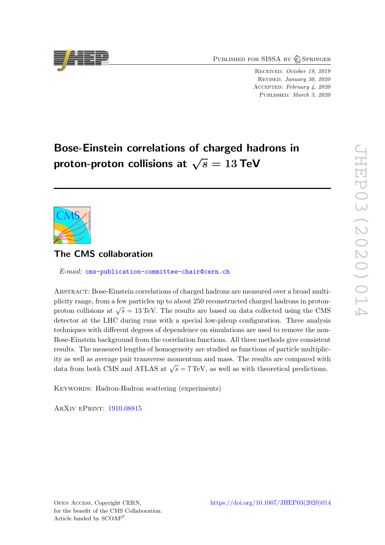PUBLISHED FOR SISSA BY 2 SPRINGER

Received: October 19, 2019 Revised: January 30, 2020 Accepted: February 4, 2020 PUBLISHED: March 3, 2020

# Bose-Einstein correlations of charged hadrons in proton-proton collisions at  $\sqrt{s} = 13$  TeV



# The CMS collaboration

E-mail: [cms-publication-committee-chair@cern.ch](mailto:cms-publication-committee-chair@cern.ch)

Abstract: Bose-Einstein correlations of charged hadrons are measured over a broad multiplicity range, from a few particles up to about 250 reconstructed charged hadrons in protonproton collisions at  $\sqrt{s} = 13 \text{ TeV}$ . The results are based on data collected using the CMS detector at the LHC during runs with a special low-pileup configuration. Three analysis techniques with different degrees of dependence on simulations are used to remove the non-Bose-Einstein background from the correlation functions. All three methods give consistent results. The measured lengths of homogeneity are studied as functions of particle multiplicity as well as average pair transverse momentum and mass. The results are compared with data from both CMS and ATLAS at  $\sqrt{s} = 7$  TeV, as well as with theoretical predictions.

KEYWORDS: Hadron-Hadron scattering (experiments)

ArXiv ePrint: [1910.08815](https://arxiv.org/abs/1910.08815)

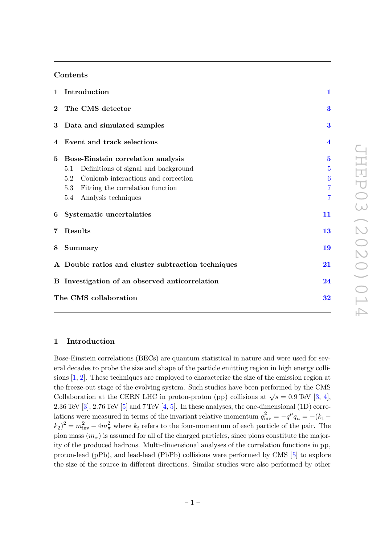# Contents

|                | 1 Introduction                                                                                                                                                                                     | $\mathbf{1}$                       |  |  |  |  |  |
|----------------|----------------------------------------------------------------------------------------------------------------------------------------------------------------------------------------------------|------------------------------------|--|--|--|--|--|
|                | 2 The CMS detector                                                                                                                                                                                 | 3                                  |  |  |  |  |  |
| $\bf{3}^-$     | Data and simulated samples                                                                                                                                                                         | 3                                  |  |  |  |  |  |
|                | 4 Event and track selections                                                                                                                                                                       | $\boldsymbol{4}$                   |  |  |  |  |  |
| 5              | Bose-Einstein correlation analysis<br>Definitions of signal and background<br>5.1<br>Coulomb interactions and correction<br>5.2<br>5.3 Fitting the correlation function<br>5.4 Analysis techniques | $\overline{5}$<br>5<br>6<br>7<br>7 |  |  |  |  |  |
|                | 6 Systematic uncertainties                                                                                                                                                                         | 11                                 |  |  |  |  |  |
| $\overline{7}$ | Results                                                                                                                                                                                            | 13                                 |  |  |  |  |  |
| 8              | <b>Summary</b>                                                                                                                                                                                     | 19                                 |  |  |  |  |  |
|                | A Double ratios and cluster subtraction techniques                                                                                                                                                 | 21                                 |  |  |  |  |  |
|                | B Investigation of an observed anticorrelation                                                                                                                                                     |                                    |  |  |  |  |  |
|                | The CMS collaboration                                                                                                                                                                              | 32                                 |  |  |  |  |  |
|                |                                                                                                                                                                                                    |                                    |  |  |  |  |  |

# <span id="page-1-0"></span>1 Introduction

Bose-Einstein correlations (BECs) are quantum statistical in nature and were used for several decades to probe the size and shape of the particle emitting region in high energy collisions [\[1,](#page-27-0) [2\]](#page-27-1). These techniques are employed to characterize the size of the emission region at the freeze-out stage of the evolving system. Such studies have been performed by the CMS Collaboration at the CERN LHC in proton-proton (pp) collisions at  $\sqrt{s} = 0.9 \text{ TeV}$  [\[3,](#page-27-2) [4\]](#page-27-3), 2.36 TeV  $[3]$ , 2.76 TeV  $[5]$  and 7 TeV  $[4, 5]$  $[4, 5]$  $[4, 5]$ . In these analyses, the one-dimensional (1D) correlations were measured in terms of the invariant relative momentum  $q_{\text{inv}}^2 = -q^{\mu}q_{\mu} = -(k_1 (k_2)^2 = m_{\text{inv}}^2 - 4m_{\pi}^2$  where  $k_i$  refers to the four-momentum of each particle of the pair. The pion mass  $(m_{\pi})$  is assumed for all of the charged particles, since pions constitute the majority of the produced hadrons. Multi-dimensional analyses of the correlation functions in pp, proton-lead (pPb), and lead-lead (PbPb) collisions were performed by CMS [\[5\]](#page-27-4) to explore the size of the source in different directions. Similar studies were also performed by other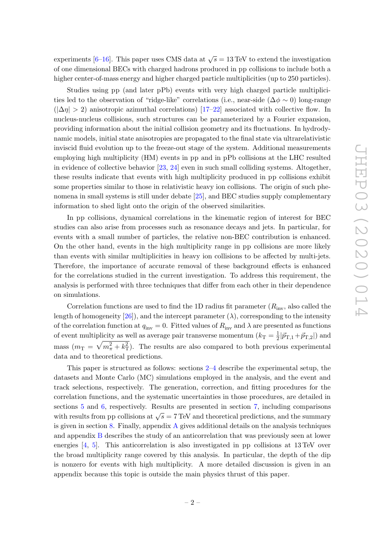experiments [\[6](#page-27-5)[–16\]](#page-28-0). This paper uses CMS data at  $\sqrt{s} = 13 \text{ TeV}$  to extend the investigation of one dimensional BECs with charged hadrons produced in pp collisions to include both a higher center-of-mass energy and higher charged particle multiplicities (up to 250 particles).

Studies using pp (and later pPb) events with very high charged particle multiplicities led to the observation of "ridge-like" correlations (i.e., near-side  $(\Delta \phi \sim 0)$ ) long-range  $(|\Delta \eta| > 2)$  anisotropic azimuthal correlations) [\[17](#page-28-1)[–22\]](#page-28-2) associated with collective flow. In nucleus-nucleus collisions, such structures can be parameterized by a Fourier expansion, providing information about the initial collision geometry and its fluctuations. In hydrodynamic models, initial state anisotropies are propagated to the final state via ultrarelativistic inviscid fluid evolution up to the freeze-out stage of the system. Additional measurements employing high multiplicity (HM) events in pp and in pPb collisions at the LHC resulted in evidence of collective behavior [\[23,](#page-28-3) [24\]](#page-28-4) even in such small colliding systems. Altogether, these results indicate that events with high multiplicity produced in pp collisions exhibit some properties similar to those in relativistic heavy ion collisions. The origin of such phenomena in small systems is still under debate [\[25\]](#page-28-5), and BEC studies supply complementary information to shed light onto the origin of the observed similarities.

In pp collisions, dynamical correlations in the kinematic region of interest for BEC studies can also arise from processes such as resonance decays and jets. In particular, for events with a small number of particles, the relative non-BEC contribution is enhanced. On the other hand, events in the high multiplicity range in pp collisions are more likely than events with similar multiplicities in heavy ion collisions to be affected by multi-jets. Therefore, the importance of accurate removal of these background effects is enhanced for the correlations studied in the current investigation. To address this requirement, the analysis is performed with three techniques that differ from each other in their dependence on simulations.

Correlation functions are used to find the 1D radius fit parameter  $(R_{\text{inv}},$  also called the length of homogeneity  $[26]$ , and the intercept parameter  $(\lambda)$ , corresponding to the intensity of the correlation function at  $q_{\text{inv}} = 0$ . Fitted values of  $R_{\text{inv}}$  and  $\lambda$  are presented as functions of event multiplicity as well as average pair transverse momentum  $(k_T = \frac{1}{2})$  $\frac{1}{2}|\vec{p}_{\text{T},1}+\vec{p}_{\text{T},2}|)$  and mass  $(m_T = \sqrt{m_{\pi}^2 + k_T^2})$ . The results are also compared to both previous experimental data and to theoretical predictions.

This paper is structured as follows: sections [2](#page-3-0)[–4](#page-4-0) describe the experimental setup, the datasets and Monte Carlo (MC) simulations employed in the analysis, and the event and track selections, respectively. The generation, correction, and fitting procedures for the correlation functions, and the systematic uncertainties in those procedures, are detailed in sections [5](#page-5-0) and [6,](#page-11-0) respectively. Results are presented in section [7,](#page-13-0) including comparisons with results from pp collisions at  $\sqrt{s} = 7$  TeV and theoretical predictions, and the summary is given in section [8.](#page-19-0) Finally, appendix [A](#page-21-0) gives additional details on the analysis techniques and appendix [B](#page-24-0) describes the study of an anticorrelation that was previously seen at lower energies [\[4,](#page-27-3) [5\]](#page-27-4). This anticorrelation is also investigated in pp collisions at 13 TeV over the broad multiplicity range covered by this analysis. In particular, the depth of the dip is nonzero for events with high multiplicity. A more detailed discussion is given in an appendix because this topic is outside the main physics thrust of this paper.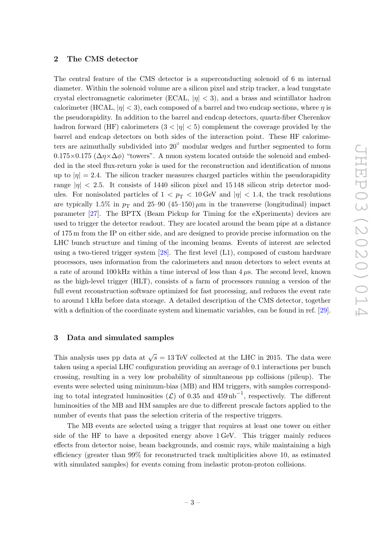#### <span id="page-3-0"></span>2 The CMS detector

The central feature of the CMS detector is a superconducting solenoid of 6 m internal diameter. Within the solenoid volume are a silicon pixel and strip tracker, a lead tungstate crystal electromagnetic calorimeter (ECAL,  $|\eta| < 3$ ), and a brass and scintillator hadron calorimeter (HCAL,  $|\eta| < 3$ ), each composed of a barrel and two endcap sections, where  $\eta$  is the pseudorapidity. In addition to the barrel and endcap detectors, quartz-fiber Cherenkov hadron forward (HF) calorimeters  $(3 < |\eta| < 5)$  complement the coverage provided by the barrel and endcap detectors on both sides of the interaction point. These HF calorimeters are azimuthally subdivided into 20◦ modular wedges and further segmented to form  $0.175\times0.175$  ( $\Delta\eta\times\Delta\phi$ ) "towers". A muon system located outside the solenoid and embedded in the steel flux-return yoke is used for the reconstruction and identification of muons up to  $|\eta| = 2.4$ . The silicon tracker measures charged particles within the pseudorapidity range  $|\eta| < 2.5$ . It consists of 1440 silicon pixel and 15 148 silicon strip detector modules. For nonisolated particles of  $1 < p_T < 10$  GeV and  $|\eta| < 1.4$ , the track resolutions are typically 1.5% in  $p_T$  and 25–90 (45–150)  $\mu$ m in the transverse (longitudinal) impact parameter [\[27\]](#page-28-7). The BPTX (Beam Pickup for Timing for the eXperiments) devices are used to trigger the detector readout. They are located around the beam pipe at a distance of 175 m from the IP on either side, and are designed to provide precise information on the LHC bunch structure and timing of the incoming beams. Events of interest are selected using a two-tiered trigger system  $[28]$ . The first level  $(L1)$ , composed of custom hardware processors, uses information from the calorimeters and muon detectors to select events at a rate of around 100 kHz within a time interval of less than  $4 \mu s$ . The second level, known as the high-level trigger (HLT), consists of a farm of processors running a version of the full event reconstruction software optimized for fast processing, and reduces the event rate to around 1 kHz before data storage. A detailed description of the CMS detector, together with a definition of the coordinate system and kinematic variables, can be found in ref. [\[29\]](#page-28-9).

## <span id="page-3-1"></span>3 Data and simulated samples

This analysis uses pp data at  $\sqrt{s} = 13 \text{ TeV}$  collected at the LHC in 2015. The data were taken using a special LHC configuration providing an average of 0.1 interactions per bunch crossing, resulting in a very low probability of simultaneous pp collisions (pileup). The events were selected using minimum-bias (MB) and HM triggers, with samples corresponding to total integrated luminosities  $(\mathcal{L})$  of 0.35 and 459 nb<sup>-1</sup>, respectively. The different luminosities of the MB and HM samples are due to different prescale factors applied to the number of events that pass the selection criteria of the respective triggers.

The MB events are selected using a trigger that requires at least one tower on either side of the HF to have a deposited energy above 1 GeV. This trigger mainly reduces effects from detector noise, beam backgrounds, and cosmic rays, while maintaining a high efficiency (greater than 99% for reconstructed track multiplicities above 10, as estimated with simulated samples) for events coming from inelastic proton-proton collisions.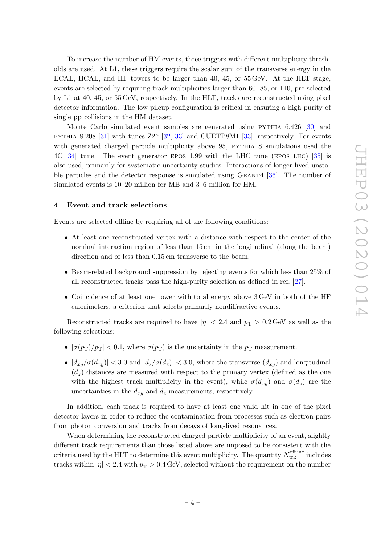To increase the number of HM events, three triggers with different multiplicity thresholds are used. At L1, these triggers require the scalar sum of the transverse energy in the ECAL, HCAL, and HF towers to be larger than 40, 45, or 55 GeV. At the HLT stage, events are selected by requiring track multiplicities larger than 60, 85, or 110, pre-selected by L1 at 40, 45, or 55 GeV, respectively. In the HLT, tracks are reconstructed using pixel detector information. The low pileup configuration is critical in ensuring a high purity of single pp collisions in the HM dataset.

Monte Carlo simulated event samples are generated using PYTHIA 6.426 [\[30\]](#page-29-0) and PYTHIA 8.208 [\[31\]](#page-29-1) with tunes  $Z2^*$  [\[32,](#page-29-2) [33\]](#page-29-3) and CUETP8M1 [\[33\]](#page-29-3), respectively. For events with generated charged particle multiplicity above 95, PYTHIA 8 simulations used the 4C [\[34\]](#page-29-4) tune. The event generator epos 1.99 with the LHC tune (epos lhc) [\[35\]](#page-29-5) is also used, primarily for systematic uncertainty studies. Interactions of longer-lived unsta-ble particles and the detector response is simulated using GEANT4 [\[36\]](#page-29-6). The number of simulated events is 10–20 million for MB and 3–6 million for HM.

### <span id="page-4-0"></span>4 Event and track selections

Events are selected offline by requiring all of the following conditions:

- At least one reconstructed vertex with a distance with respect to the center of the nominal interaction region of less than 15 cm in the longitudinal (along the beam) direction and of less than 0.15 cm transverse to the beam.
- Beam-related background suppression by rejecting events for which less than 25% of all reconstructed tracks pass the high-purity selection as defined in ref. [\[27\]](#page-28-7).
- Coincidence of at least one tower with total energy above 3 GeV in both of the HF calorimeters, a criterion that selects primarily nondiffractive events.

Reconstructed tracks are required to have  $|\eta| < 2.4$  and  $p_T > 0.2$  GeV as well as the following selections:

- $|\sigma(p_T)/p_T|$  < 0.1, where  $\sigma(p_T)$  is the uncertainty in the  $p_T$  measurement.
- $|d_{xy}/\sigma(d_{xy})|$  < 3.0 and  $|d_z/\sigma(d_z)|$  < 3.0, where the transverse  $(d_{xy})$  and longitudinal  $(d_z)$  distances are measured with respect to the primary vertex (defined as the one with the highest track multiplicity in the event), while  $\sigma(d_{xy})$  and  $\sigma(d_z)$  are the uncertainties in the  $d_{xy}$  and  $d_z$  measurements, respectively.

In addition, each track is required to have at least one valid hit in one of the pixel detector layers in order to reduce the contamination from processes such as electron pairs from photon conversion and tracks from decays of long-lived resonances.

When determining the reconstructed charged particle multiplicity of an event, slightly different track requirements than those listed above are imposed to be consistent with the criteria used by the HLT to determine this event multiplicity. The quantity  $N_{\text{trk}}^{\text{offline}}$  includes tracks within  $|\eta| < 2.4$  with  $p_T > 0.4$  GeV, selected without the requirement on the number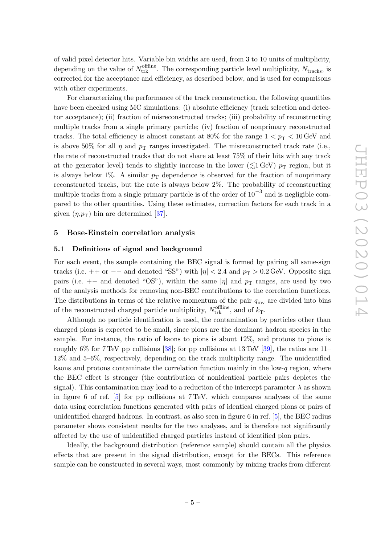of valid pixel detector hits. Variable bin widths are used, from 3 to 10 units of multiplicity, depending on the value of  $N_{\text{trk}}^{\text{offline}}$ . The corresponding particle level multiplicity,  $N_{\text{tracks}}$ , is corrected for the acceptance and efficiency, as described below, and is used for comparisons with other experiments.

For characterizing the performance of the track reconstruction, the following quantities have been checked using MC simulations: (i) absolute efficiency (track selection and detector acceptance); (ii) fraction of misreconstructed tracks; (iii) probability of reconstructing multiple tracks from a single primary particle; (iv) fraction of nonprimary reconstructed tracks. The total efficiency is almost constant at 80% for the range  $1 < p_T < 10$  GeV and is above 50% for all  $\eta$  and  $p<sub>T</sub>$  ranges investigated. The misreconstructed track rate (i.e., the rate of reconstructed tracks that do not share at least 75% of their hits with any track at the generator level) tends to slightly increase in the lower ( $\lesssim$ 1 GeV)  $p_T$  region, but it is always below 1%. A similar  $p_T$  dependence is observed for the fraction of nonprimary reconstructed tracks, but the rate is always below 2%. The probability of reconstructing multiple tracks from a single primary particle is of the order of  $10^{-3}$  and is negligible compared to the other quantities. Using these estimates, correction factors for each track in a given  $(\eta, p_{\rm T})$  bin are determined [\[37\]](#page-29-7).

#### <span id="page-5-0"></span>5 Bose-Einstein correlation analysis

#### <span id="page-5-1"></span>5.1 Definitions of signal and background

For each event, the sample containing the BEC signal is formed by pairing all same-sign tracks (i.e. ++ or -- and denoted "SS") with  $|\eta| < 2.4$  and  $p_T > 0.2$  GeV. Opposite sign pairs (i.e. +– and denoted "OS"), within the same  $|\eta|$  and  $p_T$  ranges, are used by two of the analysis methods for removing non-BEC contributions to the correlation functions. The distributions in terms of the relative momentum of the pair  $q_{\text{inv}}$  are divided into bins of the reconstructed charged particle multiplicity,  $N_{\text{trk}}^{\text{offline}}$ , and of  $k_{\text{T}}$ .

Although no particle identification is used, the contamination by particles other than charged pions is expected to be small, since pions are the dominant hadron species in the sample. For instance, the ratio of kaons to pions is about 12%, and protons to pions is roughly 6% for 7 TeV pp collisions  $[38]$ ; for pp collisions at 13 TeV  $[39]$ , the ratios are 11– 12% and 5–6%, respectively, depending on the track multiplicity range. The unidentified kaons and protons contaminate the correlation function mainly in the low- $q$  region, where the BEC effect is stronger (the contribution of nonidentical particle pairs depletes the signal). This contamination may lead to a reduction of the intercept parameter  $\lambda$  as shown in figure 6 of ref. [\[5\]](#page-27-4) for pp collisions at 7 TeV, which compares analyses of the same data using correlation functions generated with pairs of identical charged pions or pairs of unidentified charged hadrons. In contrast, as also seen in figure 6 in ref. [\[5\]](#page-27-4), the BEC radius parameter shows consistent results for the two analyses, and is therefore not significantly affected by the use of unidentified charged particles instead of identified pion pairs.

Ideally, the background distribution (reference sample) should contain all the physics effects that are present in the signal distribution, except for the BECs. This reference sample can be constructed in several ways, most commonly by mixing tracks from different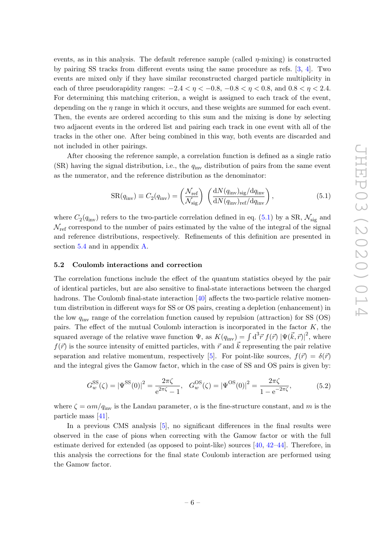events, as in this analysis. The default reference sample (called  $\eta$ -mixing) is constructed by pairing SS tracks from different events using the same procedure as refs. [\[3,](#page-27-2) [4\]](#page-27-3). Two events are mixed only if they have similar reconstructed charged particle multiplicity in each of three pseudorapidity ranges:  $-2.4 < \eta < -0.8, -0.8 < \eta < 0.8,$  and  $0.8 < \eta < 2.4$ . For determining this matching criterion, a weight is assigned to each track of the event, depending on the  $\eta$  range in which it occurs, and these weights are summed for each event. Then, the events are ordered according to this sum and the mixing is done by selecting two adjacent events in the ordered list and pairing each track in one event with all of the tracks in the other one. After being combined in this way, both events are discarded and not included in other pairings.

After choosing the reference sample, a correlation function is defined as a single ratio  $(SR)$  having the signal distribution, i.e., the  $q_{\text{inv}}$  distribution of pairs from the same event as the numerator, and the reference distribution as the denominator:

<span id="page-6-1"></span>
$$
SR(q_{\text{inv}}) \equiv C_2(q_{\text{inv}}) = \left(\frac{\mathcal{N}_{\text{ref}}}{\mathcal{N}_{\text{sig}}}\right) \left(\frac{\mathrm{d}N(q_{\text{inv}})_{\text{sig}}/\mathrm{d}q_{\text{inv}}}{\mathrm{d}N(q_{\text{inv}})_{\text{ref}}/\mathrm{d}q_{\text{inv}}}\right),\tag{5.1}
$$

where  $C_2(q_{\text{inv}})$  refers to the two-particle correlation defined in eq. [\(5.1\)](#page-6-1) by a SR,  $\mathcal{N}_{\text{sig}}$  and  $\mathcal{N}_{\text{ref}}$  correspond to the number of pairs estimated by the value of the integral of the signal and reference distributions, respectively. Refinements of this definition are presented in section [5.4](#page-7-1) and in appendix [A.](#page-21-0)

#### <span id="page-6-0"></span>5.2 Coulomb interactions and correction

The correlation functions include the effect of the quantum statistics obeyed by the pair of identical particles, but are also sensitive to final-state interactions between the charged hadrons. The Coulomb final-state interaction [\[40\]](#page-29-10) affects the two-particle relative momentum distribution in different ways for SS or OS pairs, creating a depletion (enhancement) in the low  $q_{\text{inv}}$  range of the correlation function caused by repulsion (attraction) for SS (OS) pairs. The effect of the mutual Coulomb interaction is incorporated in the factor  $K$ , the squared average of the relative wave function  $\Psi$ , as  $K(q_{\text{inv}}) = \int d^3 \vec{r} f(\vec{r}) |\Psi(\vec{k}, \vec{r})|^2$ , where  $f(\vec{r})$  is the source intensity of emitted particles, with  $\vec{r}$  and  $\vec{k}$  representing the pair relative separation and relative momentum, respectively [\[5\]](#page-27-4). For point-like sources,  $f(\vec{r}) = \delta(\vec{r})$ and the integral gives the Gamow factor, which in the case of SS and OS pairs is given by:

$$
G_w^{\rm SS}(\zeta) = |\Psi^{\rm SS}(0)|^2 = \frac{2\pi\zeta}{e^{2\pi\zeta} - 1}, \quad G_w^{\rm OS}(\zeta) = |\Psi^{\rm OS}(0)|^2 = \frac{2\pi\zeta}{1 - e^{-2\pi\zeta}},\tag{5.2}
$$

where  $\zeta = \alpha m / q_{\text{inv}}$  is the Landau parameter,  $\alpha$  is the fine-structure constant, and m is the particle mass [\[41\]](#page-29-11).

In a previous CMS analysis [\[5\]](#page-27-4), no significant differences in the final results were observed in the case of pions when correcting with the Gamow factor or with the full estimate derived for extended (as opposed to point-like) sources [\[40,](#page-29-10) [42–](#page-29-12)[44\]](#page-29-13). Therefore, in this analysis the corrections for the final state Coulomb interaction are performed using the Gamow factor.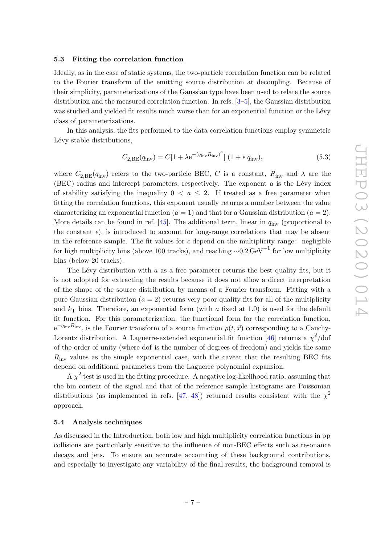#### <span id="page-7-0"></span>5.3 Fitting the correlation function

Ideally, as in the case of static systems, the two-particle correlation function can be related to the Fourier transform of the emitting source distribution at decoupling. Because of their simplicity, parameterizations of the Gaussian type have been used to relate the source distribution and the measured correlation function. In refs. [\[3–](#page-27-2)[5\]](#page-27-4), the Gaussian distribution was studied and yielded fit results much worse than for an exponential function or the Lévy class of parameterizations.

In this analysis, the fits performed to the data correlation functions employ symmetric Lévy stable distributions,

<span id="page-7-2"></span>
$$
C_{2,\text{BE}}(q_{\text{inv}}) = C[1 + \lambda e^{-(q_{\text{inv}}R_{\text{inv}})^{a}}] (1 + \epsilon q_{\text{inv}}),
$$
\n(5.3)

where  $C_{2,BE}(q_{\text{inv}})$  refers to the two-particle BEC, C is a constant,  $R_{\text{inv}}$  and  $\lambda$  are the  $(BEC)$  radius and intercept parameters, respectively. The exponent  $\alpha$  is the Lévy index of stability satisfying the inequality  $0 < a \leq 2$ . If treated as a free parameter when fitting the correlation functions, this exponent usually returns a number between the value characterizing an exponential function  $(a = 1)$  and that for a Gaussian distribution  $(a = 2)$ . More details can be found in ref.  $[45]$ . The additional term, linear in  $q_{\text{inv}}$  (proportional to the constant  $\epsilon$ ), is introduced to account for long-range correlations that may be absent in the reference sample. The fit values for  $\epsilon$  depend on the multiplicity range: negligible for high multiplicity bins (above 100 tracks), and reaching  $\sim 0.2 \,\text{GeV}^{-1}$  for low multiplicity bins (below 20 tracks).

The Lévy distribution with  $a$  as a free parameter returns the best quality fits, but it is not adopted for extracting the results because it does not allow a direct interpretation of the shape of the source distribution by means of a Fourier transform. Fitting with a pure Gaussian distribution  $(a = 2)$  returns very poor quality fits for all of the multiplicity and  $k_T$  bins. Therefore, an exponential form (with a fixed at 1.0) is used for the default fit function. For this parameterization, the functional form for the correlation function,  $e^{-q_{inv}R_{inv}}$ , is the Fourier transform of a source function  $\rho(t, \vec{x})$  corresponding to a Cauchy-Lorentz distribution. A Laguerre-extended exponential fit function [\[46\]](#page-29-15) returns a  $\chi^2/d$ of of the order of unity (where dof is the number of degrees of freedom) and yields the same  $R_{\text{inv}}$  values as the simple exponential case, with the caveat that the resulting BEC fits depend on additional parameters from the Laguerre polynomial expansion.

A  $\chi^2$  test is used in the fitting procedure. A negative log-likelihood ratio, assuming that the bin content of the signal and that of the reference sample histograms are Poissonian distributions (as implemented in refs. [\[47,](#page-29-16) [48\]](#page-30-0)) returned results consistent with the  $\chi^2$ approach.

#### <span id="page-7-1"></span>5.4 Analysis techniques

As discussed in the Introduction, both low and high multiplicity correlation functions in pp collisions are particularly sensitive to the influence of non-BEC effects such as resonance decays and jets. To ensure an accurate accounting of these background contributions, and especially to investigate any variability of the final results, the background removal is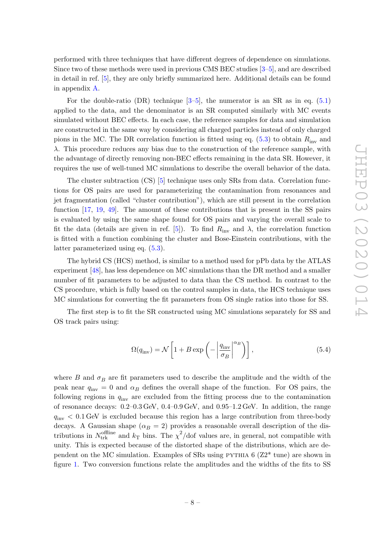performed with three techniques that have different degrees of dependence on simulations. Since two of these methods were used in previous CMS BEC studies [\[3–](#page-27-2)[5\]](#page-27-4), and are described in detail in ref. [\[5\]](#page-27-4), they are only briefly summarized here. Additional details can be found in appendix [A.](#page-21-0)

For the double-ratio  $(DR)$  technique  $[3-5]$  $[3-5]$ , the numerator is an SR as in eq.  $(5.1)$ applied to the data, and the denominator is an SR computed similarly with MC events simulated without BEC effects. In each case, the reference samples for data and simulation are constructed in the same way by considering all charged particles instead of only charged pions in the MC. The DR correlation function is fitted using eq.  $(5.3)$  to obtain  $R_{\text{inv}}$  and  $\lambda$ . This procedure reduces any bias due to the construction of the reference sample, with the advantage of directly removing non-BEC effects remaining in the data SR. However, it requires the use of well-tuned MC simulations to describe the overall behavior of the data.

The cluster subtraction (CS) [\[5\]](#page-27-4) technique uses only SRs from data. Correlation functions for OS pairs are used for parameterizing the contamination from resonances and jet fragmentation (called "cluster contribution"), which are still present in the correlation function [\[17,](#page-28-1) [19,](#page-28-10) [49\]](#page-30-1). The amount of these contributions that is present in the SS pairs is evaluated by using the same shape found for OS pairs and varying the overall scale to fit the data (details are given in ref. [\[5\]](#page-27-4)). To find  $R_{\text{inv}}$  and  $\lambda$ , the correlation function is fitted with a function combining the cluster and Bose-Einstein contributions, with the latter parameterized using eq. [\(5.3\)](#page-7-2).

The hybrid CS (HCS) method, is similar to a method used for pPb data by the ATLAS experiment [\[48\]](#page-30-0), has less dependence on MC simulations than the DR method and a smaller number of fit parameters to be adjusted to data than the CS method. In contrast to the CS procedure, which is fully based on the control samples in data, the HCS technique uses MC simulations for converting the fit parameters from OS single ratios into those for SS.

The first step is to fit the SR constructed using MC simulations separately for SS and OS track pairs using:

<span id="page-8-0"></span>
$$
\Omega(q_{\rm inv}) = \mathcal{N} \left[ 1 + B \exp\left( -\left| \frac{q_{\rm inv}}{\sigma_B} \right|^{\alpha_B} \right) \right],\tag{5.4}
$$

where B and  $\sigma_B$  are fit parameters used to describe the amplitude and the width of the peak near  $q_{\text{inv}} = 0$  and  $\alpha_B$  defines the overall shape of the function. For OS pairs, the following regions in  $q_{\text{inv}}$  are excluded from the fitting process due to the contamination of resonance decays: 0.2–0.3 GeV, 0.4–0.9 GeV, and 0.95–1.2 GeV. In addition, the range  $q_{\text{inv}}$  < 0.1 GeV is excluded because this region has a large contribution from three-body decays. A Gaussian shape  $(\alpha_B = 2)$  provides a reasonable overall description of the distributions in  $N_{\text{trk}}^{\text{offline}}$  and  $k_{\text{T}}$  bins. The  $\chi^2/\text{dof}$  values are, in general, not compatible with unity. This is expected because of the distorted shape of the distributions, which are dependent on the MC simulation. Examples of SRs using PYTHIA  $6$  ( $Z2*$  tune) are shown in figure [1.](#page-9-0) Two conversion functions relate the amplitudes and the widths of the fits to SS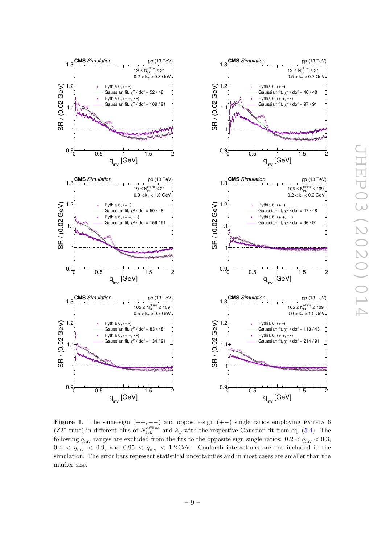

<span id="page-9-0"></span>Figure 1. The same-sign  $(+,--)$  and opposite-sign  $(+-)$  single ratios employing PYTHIA 6 ( $Z2^*$  tune) in different bins of  $N_{\text{trk}}^{\text{offline}}$  and  $k_T$  with the respective Gaussian fit from eq. [\(5.4\)](#page-8-0). The following  $q_{\text{inv}}$  ranges are excluded from the fits to the opposite sign single ratios:  $0.2 < q_{\text{inv}} < 0.3$ ,  $0.4 < q_{\text{inv}} < 0.9$ , and  $0.95 < q_{\text{inv}} < 1.2$  GeV. Coulomb interactions are not included in the simulation. The error bars represent statistical uncertainties and in most cases are smaller than the marker size.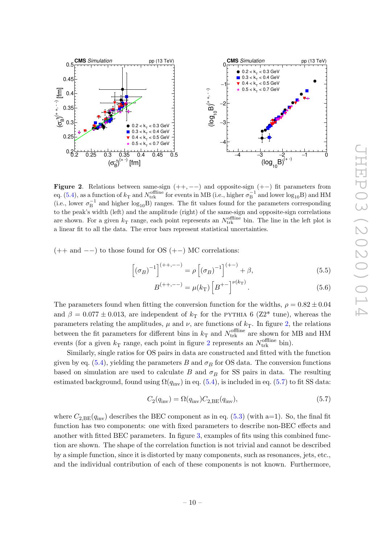

<span id="page-10-0"></span>**Figure 2.** Relations between same-sign  $(+,-)$  and opposite-sign  $(+-)$  fit parameters from eq. [\(5.4\)](#page-8-0), as a function of  $k_T$  and  $N_{\text{trk}}^{\text{offline}}$  for events in MB (i.e., higher  $\sigma_B^{-1}$  and lower  $\log_{10}B$ ) and HM (i.e., lower  $\sigma_B^{-1}$  and higher log<sub>10</sub>B) ranges. The fit values found for the parameters corresponding to the peak's width (left) and the amplitude (right) of the same-sign and opposite-sign correlations are shown. For a given  $k_T$  range, each point represents an  $N_{\text{trk}}^{\text{offline}}$  bin. The line in the left plot is a linear fit to all the data. The error bars represent statistical uncertainties.

 $(++ \text{ and } --)$  to those found for OS  $(+-)$  MC correlations:

$$
[(\sigma_B)^{-1}]^{(++,-)} = \rho [(\sigma_B)^{-1}]^{(+-)} + \beta,
$$
\n(5.5)

<span id="page-10-3"></span><span id="page-10-2"></span>
$$
B^{(++,--)} = \mu(k_{\rm T}) \left[ B^{+-} \right]^{\nu(k_{\rm T})}.
$$
 (5.6)

The parameters found when fitting the conversion function for the widths,  $\rho = 0.82 \pm 0.04$ and  $\beta = 0.077 \pm 0.013$ , are independent of  $k<sub>T</sub>$  for the PYTHIA 6 (Z2<sup>\*</sup> tune), whereas the parameters relating the amplitudes,  $\mu$  and  $\nu$ , are functions of  $k_T$ . In figure [2,](#page-10-0) the relations between the fit parameters for different bins in  $k_T$  and  $N_{\text{trk}}^{\text{offline}}$  are shown for MB and HM events (for a given  $k_T$  range, each point in figure [2](#page-10-0) represents an  $N_{\text{trk}}^{\text{offline}}$  bin).

Similarly, single ratios for OS pairs in data are constructed and fitted with the function given by eq. [\(5.4\)](#page-8-0), yielding the parameters B and  $\sigma_B$  for OS data. The conversion functions based on simulation are used to calculate B and  $\sigma_B$  for SS pairs in data. The resulting estimated background, found using  $\Omega(q_{\text{inv}})$  in eq. [\(5.4\)](#page-8-0), is included in eq. [\(5.7\)](#page-10-1) to fit SS data:

<span id="page-10-1"></span>
$$
C_2(q_{\text{inv}}) = \Omega(q_{\text{inv}}) C_{2,\text{BE}}(q_{\text{inv}}),\tag{5.7}
$$

where  $C_{2,BE}(q_{\text{inv}})$  describes the BEC component as in eq. [\(5.3\)](#page-7-2) (with a=1). So, the final fit function has two components: one with fixed parameters to describe non-BEC effects and another with fitted BEC parameters. In figure [3,](#page-12-0) examples of fits using this combined function are shown. The shape of the correlation function is not trivial and cannot be described by a simple function, since it is distorted by many components, such as resonances, jets, etc., and the individual contribution of each of these components is not known. Furthermore,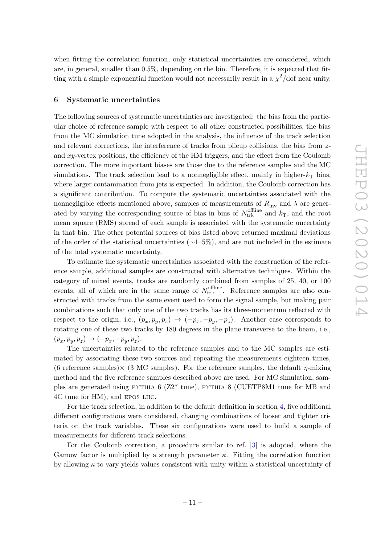when fitting the correlation function, only statistical uncertainties are considered, which are, in general, smaller than 0.5%, depending on the bin. Therefore, it is expected that fitting with a simple exponential function would not necessarily result in a  $\chi^2$ /dof near unity.

#### <span id="page-11-0"></span>6 Systematic uncertainties

The following sources of systematic uncertainties are investigated: the bias from the particular choice of reference sample with respect to all other constructed possibilities, the bias from the MC simulation tune adopted in the analysis, the influence of the track selection and relevant corrections, the interference of tracks from pileup collisions, the bias from zand xy-vertex positions, the efficiency of the HM triggers, and the effect from the Coulomb correction. The more important biases are those due to the reference samples and the MC simulations. The track selection lead to a nonnegligible effect, mainly in higher- $k_T$  bins, where larger contamination from jets is expected. In addition, the Coulomb correction has a significant contribution. To compute the systematic uncertainties associated with the nonnegligible effects mentioned above, samples of measurements of  $R_{\text{inv}}$  and  $\lambda$  are generated by varying the corresponding source of bias in bins of  $N_{\text{trk}}^{\text{offline}}$  and  $k_T$ , and the root mean square (RMS) spread of each sample is associated with the systematic uncertainty in that bin. The other potential sources of bias listed above returned maximal deviations of the order of the statistical uncertainties ( $\sim$ 1–5%), and are not included in the estimate of the total systematic uncertainty.

To estimate the systematic uncertainties associated with the construction of the reference sample, additional samples are constructed with alternative techniques. Within the category of mixed events, tracks are randomly combined from samples of 25, 40, or 100 events, all of which are in the same range of  $N_{\text{trk}}^{\text{offline}}$ . Reference samples are also constructed with tracks from the same event used to form the signal sample, but making pair combinations such that only one of the two tracks has its three-momentum reflected with respect to the origin, i.e.,  $(p_x, p_y, p_z) \rightarrow (-p_x, -p_y, -p_z)$ . Another case corresponds to rotating one of these two tracks by 180 degrees in the plane transverse to the beam, i.e.,  $(p_x, p_y, p_z) \rightarrow (-p_x, -p_y, p_z).$ 

The uncertainties related to the reference samples and to the MC samples are estimated by associating these two sources and repeating the measurements eighteen times, (6 reference samples) $\times$  (3 MC samples). For the reference samples, the default  $\eta$ -mixing method and the five reference samples described above are used. For MC simulation, samples are generated using PYTHIA  $6$  ( $Z2^*$  tune), PYTHIA 8 (CUETP8M1 tune for MB and 4C tune for HM), and epos lhc.

For the track selection, in addition to the default definition in section [4,](#page-4-0) five additional different configurations were considered, changing combinations of looser and tighter criteria on the track variables. These six configurations were used to build a sample of measurements for different track selections.

For the Coulomb correction, a procedure similar to ref. [\[3\]](#page-27-2) is adopted, where the Gamow factor is multiplied by a strength parameter  $\kappa$ . Fitting the correlation function by allowing  $\kappa$  to vary yields values consistent with unity within a statistical uncertainty of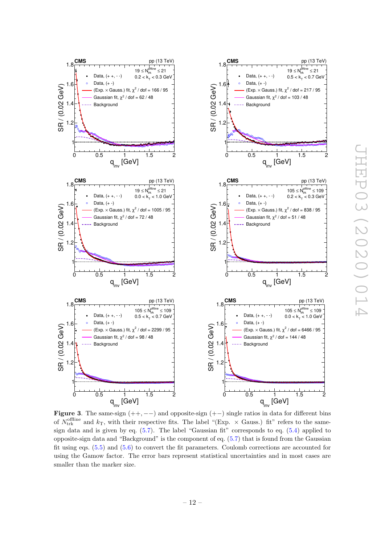



<span id="page-12-0"></span>Figure 3. The same-sign  $(+,-)$  and opposite-sign  $(+)$  single ratios in data for different bins of  $N_{\text{trk}}^{\text{offline}}$  and  $k_{\text{T}}$ , with their respective fits. The label "(Exp.  $\times$  Gauss.) fit" refers to the samesign data and is given by eq.  $(5.7)$ . The label "Gaussian fit" corresponds to eq.  $(5.4)$  applied to opposite-sign data and "Background" is the component of eq. [\(5.7\)](#page-10-1) that is found from the Gaussian fit using eqs. [\(5.5\)](#page-10-2) and [\(5.6\)](#page-10-3) to convert the fit parameters. Coulomb corrections are accounted for using the Gamow factor. The error bars represent statistical uncertainties and in most cases are smaller than the marker size.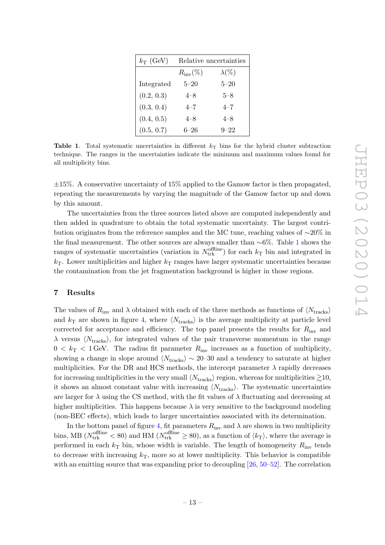| $k_{\rm T}$ (GeV) | Relative uncertainties |               |  |  |  |
|-------------------|------------------------|---------------|--|--|--|
|                   | $R_{\rm inv}(\%)$      | $\lambda(\%)$ |  |  |  |
| Integrated        | $5 - 20$               | $5 - 20$      |  |  |  |
| (0.2, 0.3)        | $4 - 8$                | $5 - 8$       |  |  |  |
| (0.3, 0.4)        | $4 - 7$                | $4 - 7$       |  |  |  |
| (0.4, 0.5)        | $4 - 8$                | $4 - 8$       |  |  |  |
| (0.5, 0.7)        | 6–26                   | $9 - 22$      |  |  |  |

<span id="page-13-1"></span>**Table 1.** Total systematic uncertainties in different  $k<sub>T</sub>$  bins for the hybrid cluster subtraction technique. The ranges in the uncertainties indicate the minimum and maximum values found for all multiplicity bins.

 $\pm 15\%$ . A conservative uncertainty of 15% applied to the Gamow factor is then propagated, repeating the measurements by varying the magnitude of the Gamow factor up and down by this amount.

The uncertainties from the three sources listed above are computed independently and then added in quadrature to obtain the total systematic uncertainty. The largest contribution originates from the reference samples and the MC tune, reaching values of ∼20% in the final measurement. The other sources are always smaller than ∼6%. Table [1](#page-13-1) shows the ranges of systematic uncertainties (variation in  $N_{\text{trk}}^{\text{offline}}$ ) for each  $k_{\text{T}}$  bin and integrated in  $k<sub>T</sub>$ . Lower multiplicities and higher  $k<sub>T</sub>$  ranges have larger systematic uncertainties because the contamination from the jet fragmentation background is higher in those regions.

#### <span id="page-13-0"></span>7 Results

The values of  $R_{\text{inv}}$  and  $\lambda$  obtained with each of the three methods as functions of  $\langle N_{\text{tracks}} \rangle$ and  $k_T$  are shown in figure [4,](#page-14-0) where  $\langle N_{\text{tracks}} \rangle$  is the average multiplicity at particle level corrected for acceptance and efficiency. The top panel presents the results for  $R_{\text{inv}}$  and  $\lambda$  versus  $\langle N_{\text{tracks}} \rangle$ , for integrated values of the pair transverse momentum in the range  $0 < k_{\rm T} < 1$  GeV. The radius fit parameter  $R_{\rm inv}$  increases as a function of multiplicity, showing a change in slope around  $\langle N_{\text{tracks}} \rangle \sim 20$ –30 and a tendency to saturate at higher multiplicities. For the DR and HCS methods, the intercept parameter  $\lambda$  rapidly decreases for increasing multiplicities in the very small  $\langle N_{\rm tracks} \rangle$  region, whereas for multiplicities  $\gtrsim 10$ , it shows an almost constant value with increasing  $\langle N_{\text{tracks}} \rangle$ . The systematic uncertainties are larger for  $\lambda$  using the CS method, with the fit values of  $\lambda$  fluctuating and decreasing at higher multiplicities. This happens because  $\lambda$  is very sensitive to the background modeling (non-BEC effects), which leads to larger uncertainties associated with its determination.

In the bottom panel of figure [4,](#page-14-0) fit parameters  $R_{\text{inv}}$  and  $\lambda$  are shown in two multiplicity bins, MB ( $N_{\text{trk}}^{\text{offline}}$  < 80) and HM ( $N_{\text{trk}}^{\text{offline}} \ge 80$ ), as a function of  $\langle k_{\text{T}} \rangle$ , where the average is performed in each  $k_T$  bin, whose width is variable. The length of homogeneity  $R_{\text{inv}}$  tends to decrease with increasing  $k_T$ , more so at lower multiplicity. This behavior is compatible with an emitting source that was expanding prior to decoupling  $[26, 50-52]$  $[26, 50-52]$  $[26, 50-52]$ . The correlation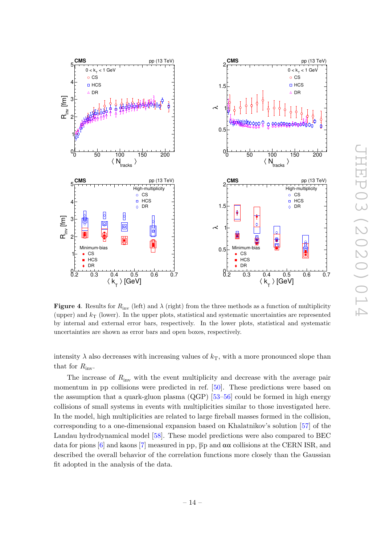

<span id="page-14-0"></span>**Figure 4.** Results for  $R_{\text{inv}}$  (left) and  $\lambda$  (right) from the three methods as a function of multiplicity (upper) and  $k_T$  (lower). In the upper plots, statistical and systematic uncertainties are represented by internal and external error bars, respectively. In the lower plots, statistical and systematic uncertainties are shown as error bars and open boxes, respectively.

intensity  $\lambda$  also decreases with increasing values of  $k<sub>T</sub>$ , with a more pronounced slope than that for  $R_{\text{inv}}$ .

The increase of  $R_{\text{inv}}$  with the event multiplicity and decrease with the average pair momentum in pp collisions were predicted in ref. [\[50\]](#page-30-2). These predictions were based on the assumption that a quark-gluon plasma (QGP) [\[53](#page-30-4)[–56\]](#page-30-5) could be formed in high energy collisions of small systems in events with multiplicities similar to those investigated here. In the model, high multiplicities are related to large fireball masses formed in the collision, corresponding to a one-dimensional expansion based on Khalatnikov's solution [\[57\]](#page-30-6) of the Landau hydrodynamical model [\[58\]](#page-30-7). These model predictions were also compared to BEC data for pions [\[6\]](#page-27-5) and kaons [\[7\]](#page-27-6) measured in pp,  $\bar{p}p$  and  $\alpha\alpha$  collisions at the CERN ISR, and described the overall behavior of the correlation functions more closely than the Gaussian fit adopted in the analysis of the data.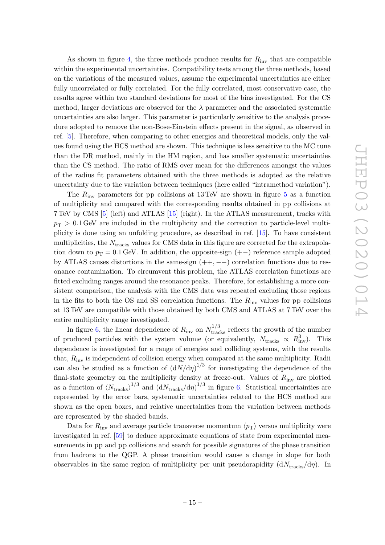As shown in figure [4,](#page-14-0) the three methods produce results for  $R_{\text{inv}}$  that are compatible within the experimental uncertainties. Compatibility tests among the three methods, based on the variations of the measured values, assume the experimental uncertainties are either fully uncorrelated or fully correlated. For the fully correlated, most conservative case, the results agree within two standard deviations for most of the bins investigated. For the CS method, larger deviations are observed for the  $\lambda$  parameter and the associated systematic uncertainties are also larger. This parameter is particularly sensitive to the analysis procedure adopted to remove the non-Bose-Einstein effects present in the signal, as observed in ref. [\[5\]](#page-27-4). Therefore, when comparing to other energies and theoretical models, only the values found using the HCS method are shown. This technique is less sensitive to the MC tune than the DR method, mainly in the HM region, and has smaller systematic uncertainties than the CS method. The ratio of RMS over mean for the differences amongst the values of the radius fit parameters obtained with the three methods is adopted as the relative uncertainty due to the variation between techniques (here called "intramethod variation").

The  $R_{\text{inv}}$  parameters for pp collisions at 13 TeV are shown in figure [5](#page-16-0) as a function of multiplicity and compared with the corresponding results obtained in pp collisions at 7 TeV by CMS [\[5\]](#page-27-4) (left) and ATLAS [\[15\]](#page-28-11) (right). In the ATLAS measurement, tracks with  $p_{\rm T} > 0.1$  GeV are included in the multiplicity and the correction to particle-level multiplicity is done using an unfolding procedure, as described in ref. [\[15\]](#page-28-11). To have consistent multiplicities, the  $N<sub>tracks</sub>$  values for CMS data in this figure are corrected for the extrapolation down to  $p_T = 0.1$  GeV. In addition, the opposite-sign  $(+-)$  reference sample adopted by ATLAS causes distortions in the same-sign  $(+, --)$  correlation functions due to resonance contamination. To circumvent this problem, the ATLAS correlation functions are fitted excluding ranges around the resonance peaks. Therefore, for establishing a more consistent comparison, the analysis with the CMS data was repeated excluding those regions in the fits to both the OS and SS correlation functions. The  $R_{\text{inv}}$  values for pp collisions at 13 TeV are compatible with those obtained by both CMS and ATLAS at 7 TeV over the entire multiplicity range investigated.

In figure [6,](#page-18-0) the linear dependence of  $R_{\text{inv}}$  on  $N_{\text{tracks}}^{1/3}$  reflects the growth of the number of produced particles with the system volume (or equivalently,  $N_{\text{tracks}} \propto R_{\text{inv}}^3$ ). This dependence is investigated for a range of energies and colliding systems, with the results that,  $R_{\text{inv}}$  is independent of collision energy when compared at the same multiplicity. Radii can also be studied as a function of  $(dN/d\eta)^{1/3}$  for investigating the dependence of the final-state geometry on the multiplicity density at freeze-out. Values of  $R_{\text{inv}}$  are plotted as a function of  $\langle N_{\text{tracks}} \rangle^{1/3}$  and  $(dN_{\text{tracks}}/d\eta)^{1/3}$  in figure [6.](#page-18-0) Statistical uncertainties are represented by the error bars, systematic uncertainties related to the HCS method are shown as the open boxes, and relative uncertainties from the variation between methods are represented by the shaded bands.

Data for  $R_{\text{inv}}$  and average particle transverse momentum  $\langle p_{\text{T}} \rangle$  versus multiplicity were investigated in ref. [\[59\]](#page-30-8) to deduce approximate equations of state from experimental measurements in pp and  $\bar{p}p$  collisions and search for possible signatures of the phase transition from hadrons to the QGP. A phase transition would cause a change in slope for both observables in the same region of multiplicity per unit pseudorapidity  $(dN<sub>tracks</sub>/d\eta)$ . In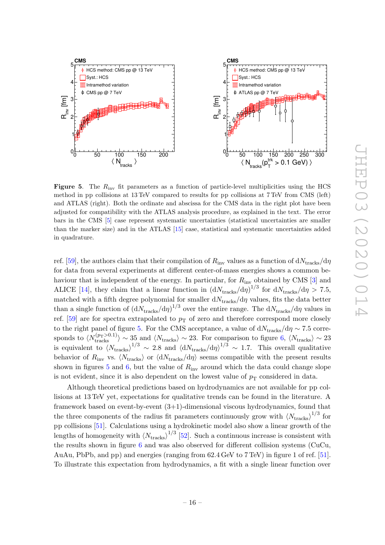

<span id="page-16-0"></span>**Figure 5.** The  $R_{\text{inv}}$  fit parameters as a function of particle-level multiplicities using the HCS method in pp collisions at 13 TeV compared to results for pp collisions at 7 TeV from CMS (left) and ATLAS (right). Both the ordinate and abscissa for the CMS data in the right plot have been adjusted for compatibility with the ATLAS analysis procedure, as explained in the text. The error bars in the CMS [\[5\]](#page-27-4) case represent systematic uncertainties (statistical uncertainties are smaller than the marker size) and in the ATLAS [\[15\]](#page-28-11) case, statistical and systematic uncertainties added in quadrature.

ref. [\[59\]](#page-30-8), the authors claim that their compilation of  $R_{\text{inv}}$  values as a function of  $dN_{\text{tracks}}/d\eta$ for data from several experiments at different center-of-mass energies shows a common behaviour that is independent of the energy. In particular, for  $R_{\text{inv}}$  obtained by CMS [\[3\]](#page-27-2) and ALICE [\[14\]](#page-28-12), they claim that a linear function in  $(dN<sub>tracks</sub>/d\eta)<sup>1/3</sup>$  for  $dN<sub>tracks</sub>/d\eta > 7.5$ , matched with a fifth degree polynomial for smaller  $dN<sub>tracks</sub>/d\eta$  values, fits the data better than a single function of  $(dN_{\text{tracks}}/d\eta)^{1/3}$  over the entire range. The  $dN_{\text{tracks}}/d\eta$  values in ref. [\[59\]](#page-30-8) are for spectra extrapolated to  $p_T$  of zero and therefore correspond more closely to the right panel of figure [5.](#page-16-0) For the CMS acceptance, a value of  $dN<sub>tracks</sub>/d\eta \sim 7.5$  corresponds to  $\langle N_{\text{tracks}}^{(p_T>0.1)} \rangle \sim 35$  and  $\langle N_{\text{tracks}} \rangle \sim 23$ . For comparison to figure [6,](#page-18-0)  $\langle N_{\text{tracks}} \rangle \sim 23$ is equivalent to  $\langle N_{\text{tracks}} \rangle^{1/3} \sim 2.8$  and  $\langle dN_{\text{tracks}}/d\eta \rangle^{1/3} \sim 1.7$ . This overall qualitative behavior of  $R_{\text{inv}}$  vs.  $\langle N_{\text{tracks}} \rangle$  or  $\langle dN_{\text{tracks}}/d\eta \rangle$  seems compatible with the present results shown in figures [5](#page-16-0) and [6,](#page-18-0) but the value of  $R_{\text{inv}}$  around which the data could change slope is not evident, since it is also dependent on the lowest value of  $p<sub>T</sub>$  considered in data.

Although theoretical predictions based on hydrodynamics are not available for pp collisions at 13 TeV yet, expectations for qualitative trends can be found in the literature. A framework based on event-by-event (3+1)-dimensional viscous hydrodynamics, found that the three components of the radius fit parameters continuously grow with  $\langle N_{\rm tracks} \rangle^{1/3}$  for pp collisions [\[51\]](#page-30-9). Calculations using a hydrokinetic model also show a linear growth of the lengths of homogeneity with  $\langle N_{\rm tracks} \rangle^{1/3}$  [\[52\]](#page-30-3). Such a continuous increase is consistent with the results shown in figure [6](#page-18-0) and was also observed for different collision systems (CuCu, AuAu, PbPb, and pp) and energies (ranging from 62.4 GeV to 7 TeV) in figure 1 of ref. [\[51\]](#page-30-9). To illustrate this expectation from hydrodynamics, a fit with a single linear function over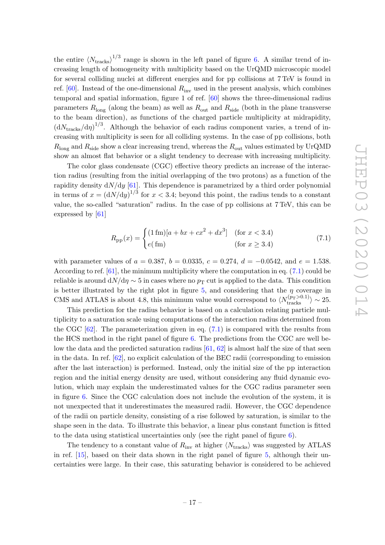the entire  $\langle N_{\text{tracks}} \rangle^{1/3}$  range is shown in the left panel of figure [6.](#page-18-0) A similar trend of increasing length of homogeneity with multiplicity based on the UrQMD microscopic model for several colliding nuclei at different energies and for pp collisions at 7 TeV is found in ref.  $[60]$ . Instead of the one-dimensional  $R_{\text{inv}}$  used in the present analysis, which combines temporal and spatial information, figure 1 of ref. [\[60\]](#page-30-10) shows the three-dimensional radius parameters  $R_{\text{long}}$  (along the beam) as well as  $R_{\text{out}}$  and  $R_{\text{side}}$  (both in the plane transverse to the beam direction), as functions of the charged particle multiplicity at midrapidity,  $(dN<sub>tracks</sub>/d\eta)<sup>1/3</sup>$ . Although the behavior of each radius component varies, a trend of increasing with multiplicity is seen for all colliding systems. In the case of pp collisions, both  $R_{\text{long}}$  and  $R_{\text{side}}$  show a clear increasing trend, whereas the  $R_{\text{out}}$  values estimated by UrQMD show an almost flat behavior or a slight tendency to decrease with increasing multiplicity.

The color glass condensate (CGC) effective theory predicts an increase of the interaction radius (resulting from the initial overlapping of the two protons) as a function of the rapidity density  $dN/dy$  [\[61\]](#page-30-11). This dependence is parametrized by a third order polynomial in terms of  $x = (dN/dy)^{1/3}$  for  $x < 3.4$ ; beyond this point, the radius tends to a constant value, the so-called "saturation" radius. In the case of pp collisions at 7 TeV, this can be expressed by [\[61\]](#page-30-11)

<span id="page-17-0"></span>
$$
R_{\rm pp}(x) = \begin{cases} (1 \,\text{fm})[a + bx + cx^2 + dx^3] & \text{(for } x < 3.4) \\ e(\,\text{fm}) & \text{(for } x \ge 3.4) \end{cases} \tag{7.1}
$$

with parameter values of  $a = 0.387$ ,  $b = 0.0335$ ,  $c = 0.274$ ,  $d = -0.0542$ , and  $e = 1.538$ . According to ref.  $[61]$ , the minimum multiplicity where the computation in eq.  $(7.1)$  could be reliable is around  $dN/d\eta \sim 5$  in cases where no  $p_T$  cut is applied to the data. This condition is better illustrated by the right plot in figure [5,](#page-16-0) and considering that the  $\eta$  coverage in CMS and ATLAS is about 4.8, this minimum value would correspond to  $\langle N_{\text{tracks}}^{(p_T>0.1)} \rangle \sim 25$ .

This prediction for the radius behavior is based on a calculation relating particle multiplicity to a saturation scale using computations of the interaction radius determined from the CGC  $[62]$ . The parameterization given in eq.  $(7.1)$  is compared with the results from the HCS method in the right panel of figure [6.](#page-18-0) The predictions from the CGC are well below the data and the predicted saturation radius  $[61, 62]$  $[61, 62]$  $[61, 62]$  is almost half the size of that seen in the data. In ref. [\[62\]](#page-30-12), no explicit calculation of the BEC radii (corresponding to emission after the last interaction) is performed. Instead, only the initial size of the pp interaction region and the initial energy density are used, without considering any fluid dynamic evolution, which may explain the underestimated values for the CGC radius parameter seen in figure [6.](#page-18-0) Since the CGC calculation does not include the evolution of the system, it is not unexpected that it underestimates the measured radii. However, the CGC dependence of the radii on particle density, consisting of a rise followed by saturation, is similar to the shape seen in the data. To illustrate this behavior, a linear plus constant function is fitted to the data using statistical uncertainties only (see the right panel of figure  $6$ ).

The tendency to a constant value of  $R_{\text{inv}}$  at higher  $\langle N_{\text{tracks}} \rangle$  was suggested by ATLAS in ref. [\[15\]](#page-28-11), based on their data shown in the right panel of figure [5,](#page-16-0) although their uncertainties were large. In their case, this saturating behavior is considered to be achieved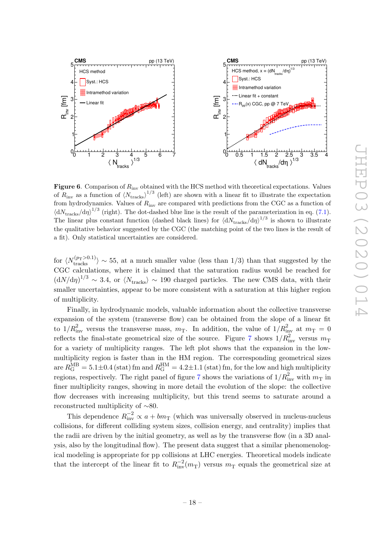

<span id="page-18-0"></span>Figure 6. Comparison of  $R_{\text{inv}}$  obtained with the HCS method with theoretical expectations. Values of  $R_{\text{inv}}$  as a function of  $\langle N_{\text{tracks}} \rangle^{1/3}$  (left) are shown with a linear fit to illustrate the expectation from hydrodynamics. Values of  $R_{\text{inv}}$  are compared with predictions from the CGC as a function of  $\langle dN_{\text{tracks}}/d\eta \rangle^{1/3}$  (right). The dot-dashed blue line is the result of the parameterization in eq. [\(7.1\)](#page-17-0). The linear plus constant function (dashed black lines) for  $\langle dN_{\text{tracks}}/d\eta \rangle^{1/3}$  is shown to illustrate the qualitative behavior suggested by the CGC (the matching point of the two lines is the result of a fit). Only statistical uncertainties are considered.

for  $\langle N_{\text{tracks}}^{(p_T>0.1)} \rangle \sim 55$ , at a much smaller value (less than 1/3) than that suggested by the CGC calculations, where it is claimed that the saturation radius would be reached for  $(dN/d\eta)^{1/3} \sim 3.4$ , or  $\langle N_{\text{tracks}} \rangle \sim 190$  charged particles. The new CMS data, with their smaller uncertainties, appear to be more consistent with a saturation at this higher region of multiplicity.

Finally, in hydrodynamic models, valuable information about the collective transverse expansion of the system (transverse flow) can be obtained from the slope of a linear fit to  $1/R_{\text{inv}}^2$  versus the transverse mass,  $m_T$ . In addition, the value of  $1/R_{\text{inv}}^2$  at  $m_T = 0$ reflects the final-state geometrical size of the source. Figure [7](#page-19-1) shows  $1/R_{\text{inv}}^2$  versus  $m_{\text{T}}$ for a variety of multiplicity ranges. The left plot shows that the expansion in the lowmultiplicity region is faster than in the HM region. The corresponding geometrical sizes  $\rm{Area} \ R_G^{\rm MB} = 5.1 \pm 0.4 \ (stat) \ fm$  and  $R_G^{\rm HM} = 4.2 \pm 1.1 \ (stat) \ fm,$  for the low and high multiplicity regions, respectively. The right panel of figure [7](#page-19-1) shows the variations of  $1/R_{\text{inv}}^2$  with  $m_\text{T}$  in finer multiplicity ranges, showing in more detail the evolution of the slope: the collective flow decreases with increasing multiplicity, but this trend seems to saturate around a reconstructed multiplicity of ∼80.

This dependence  $R_{\text{inv}}^{-2} \propto a + bm_T$  (which was universally observed in nucleus-nucleus collisions, for different colliding system sizes, collision energy, and centrality) implies that the radii are driven by the initial geometry, as well as by the transverse flow (in a 3D analysis, also by the longitudinal flow). The present data suggest that a similar phenomenological modeling is appropriate for pp collisions at LHC energies. Theoretical models indicate that the intercept of the linear fit to  $R_{\text{inv}}^{-2}(m_{\text{T}})$  versus  $m_{\text{T}}$  equals the geometrical size at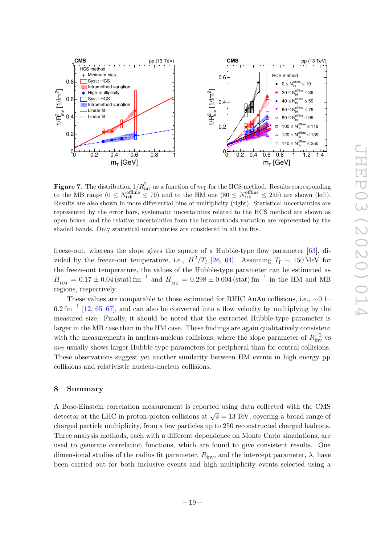

<span id="page-19-1"></span>**Figure 7**. The distribution  $1/R_{\text{inv}}^2$  as a function of  $m_T$  for the HCS method. Results corresponding to the MB range  $(0 \leq N_{\text{trk}}^{\text{offline}} \leq 79)$  and to the HM one  $(80 \leq N_{\text{trk}}^{\text{offline}} \leq 250)$  are shown (left). Results are also shown in more differential bins of multiplicity (right). Statistical uncertainties are represented by the error bars, systematic uncertainties related to the HCS method are shown as open boxes, and the relative uncertainties from the intramethods variation are represented by the shaded bands. Only statistical uncertainties are considered in all the fits.

freeze-out, whereas the slope gives the square of a Hubble-type flow parameter [\[63\]](#page-30-13), divided by the freeze-out temperature, i.e.,  $H^2/T_f$  [\[26,](#page-28-6) [64\]](#page-30-14). Assuming  $T_f \sim 150 \,\text{MeV}$  for the freeze-out temperature, the values of the Hubble-type parameter can be estimated as  $H_{_{\rm HM}} = 0.17 \pm 0.04 \, (\text{stat}) \, \text{fm}^{-1}$  and  $H_{_{\rm MB}} = 0.298 \pm 0.004 \, (\text{stat}) \, \text{fm}^{-1}$  in the HM and MB regions, respectively.

These values are comparable to those estimated for RHIC AuAu collisions, i.e., ∼0.1–  $0.2 \,\mathrm{fm}^{-1}$  [\[12,](#page-27-7) [65](#page-31-0)[–67\]](#page-31-1), and can also be converted into a flow velocity by multiplying by the measured size. Finally, it should be noted that the extracted Hubble-type parameter is larger in the MB case than in the HM case. These findings are again qualitatively consistent with the measurements in nucleus-nucleus collisions, where the slope parameter of  $R_{\text{inv}}^{-2}$  vs  $m<sub>T</sub>$  usually shows larger Hubble-type parameters for peripheral than for central collisions. These observations suggest yet another similarity between HM events in high energy pp collisions and relativistic nucleus-nucleus collisions.

# <span id="page-19-0"></span>8 Summary

A Bose-Einstein correlation measurement is reported using data collected with the CMS detector at the LHC in proton-proton collisions at  $\sqrt{s} = 13$  TeV, covering a broad range of charged particle multiplicity, from a few particles up to 250 reconstructed charged hadrons. Three analysis methods, each with a different dependence on Monte Carlo simulations, are used to generate correlation functions, which are found to give consistent results. One dimensional studies of the radius fit parameter,  $R_{\text{inv}}$ , and the intercept parameter,  $\lambda$ , have been carried out for both inclusive events and high multiplicity events selected using a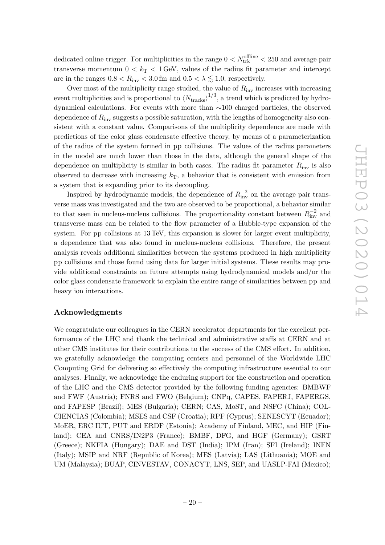dedicated online trigger. For multiplicities in the range  $0 < N_{\text{trk}}^{\text{offline}} < 250$  and average pair transverse momentum  $0 < k_T < 1$  GeV, values of the radius fit parameter and intercept are in the ranges  $0.8 < R_{\text{inv}} < 3.0 \,\text{fm}$  and  $0.5 < \lambda \lesssim 1.0$ , respectively.

Over most of the multiplicity range studied, the value of  $R_{\text{inv}}$  increases with increasing event multiplicities and is proportional to  $\langle N_{\rm tracks} \rangle^{1/3}$ , a trend which is predicted by hydrodynamical calculations. For events with more than ∼100 charged particles, the observed dependence of  $R_{\text{inv}}$  suggests a possible saturation, with the lengths of homogeneity also consistent with a constant value. Comparisons of the multiplicity dependence are made with predictions of the color glass condensate effective theory, by means of a parameterization of the radius of the system formed in pp collisions. The values of the radius parameters in the model are much lower than those in the data, although the general shape of the dependence on multiplicity is similar in both cases. The radius fit parameter  $R_{\text{inv}}$  is also observed to decrease with increasing  $k<sub>T</sub>$ , a behavior that is consistent with emission from a system that is expanding prior to its decoupling.

Inspired by hydrodynamic models, the dependence of  $R_{\text{inv}}^{-2}$  on the average pair transverse mass was investigated and the two are observed to be proportional, a behavior similar to that seen in nucleus-nucleus collisions. The proportionality constant between  $R_{\text{inv}}^{-2}$  and transverse mass can be related to the flow parameter of a Hubble-type expansion of the system. For pp collisions at 13 TeV, this expansion is slower for larger event multiplicity, a dependence that was also found in nucleus-nucleus collisions. Therefore, the present analysis reveals additional similarities between the systems produced in high multiplicity pp collisions and those found using data for larger initial systems. These results may provide additional constraints on future attempts using hydrodynamical models and/or the color glass condensate framework to explain the entire range of similarities between pp and heavy ion interactions.

# Acknowledgments

We congratulate our colleagues in the CERN accelerator departments for the excellent performance of the LHC and thank the technical and administrative staffs at CERN and at other CMS institutes for their contributions to the success of the CMS effort. In addition, we gratefully acknowledge the computing centers and personnel of the Worldwide LHC Computing Grid for delivering so effectively the computing infrastructure essential to our analyses. Finally, we acknowledge the enduring support for the construction and operation of the LHC and the CMS detector provided by the following funding agencies: BMBWF and FWF (Austria); FNRS and FWO (Belgium); CNPq, CAPES, FAPERJ, FAPERGS, and FAPESP (Brazil); MES (Bulgaria); CERN; CAS, MoST, and NSFC (China); COL-CIENCIAS (Colombia); MSES and CSF (Croatia); RPF (Cyprus); SENESCYT (Ecuador); MoER, ERC IUT, PUT and ERDF (Estonia); Academy of Finland, MEC, and HIP (Finland); CEA and CNRS/IN2P3 (France); BMBF, DFG, and HGF (Germany); GSRT (Greece); NKFIA (Hungary); DAE and DST (India); IPM (Iran); SFI (Ireland); INFN (Italy); MSIP and NRF (Republic of Korea); MES (Latvia); LAS (Lithuania); MOE and UM (Malaysia); BUAP, CINVESTAV, CONACYT, LNS, SEP, and UASLP-FAI (Mexico);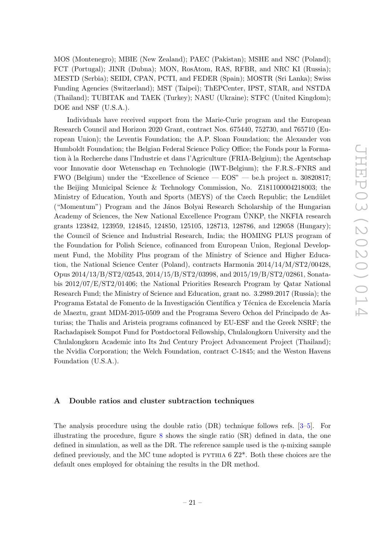MOS (Montenegro); MBIE (New Zealand); PAEC (Pakistan); MSHE and NSC (Poland); FCT (Portugal); JINR (Dubna); MON, RosAtom, RAS, RFBR, and NRC KI (Russia); MESTD (Serbia); SEIDI, CPAN, PCTI, and FEDER (Spain); MOSTR (Sri Lanka); Swiss Funding Agencies (Switzerland); MST (Taipei); ThEPCenter, IPST, STAR, and NSTDA (Thailand); TUBITAK and TAEK (Turkey); NASU (Ukraine); STFC (United Kingdom); DOE and NSF (U.S.A.).

Individuals have received support from the Marie-Curie program and the European Research Council and Horizon 2020 Grant, contract Nos. 675440, 752730, and 765710 (European Union); the Leventis Foundation; the A.P. Sloan Foundation; the Alexander von Humboldt Foundation; the Belgian Federal Science Policy Office; the Fonds pour la Formation `a la Recherche dans l'Industrie et dans l'Agriculture (FRIA-Belgium); the Agentschap voor Innovatie door Wetenschap en Technologie (IWT-Belgium); the F.R.S.-FNRS and FWO (Belgium) under the "Excellence of Science — EOS" — be.h project n. 30820817; the Beijing Municipal Science & Technology Commission, No. Z181100004218003; the Ministry of Education, Youth and Sports (MEYS) of the Czech Republic; the Lendület ("Momentum") Program and the J´anos Bolyai Research Scholarship of the Hungarian Academy of Sciences, the New National Excellence Program UNKP, the NKFIA research ´ grants 123842, 123959, 124845, 124850, 125105, 128713, 128786, and 129058 (Hungary); the Council of Science and Industrial Research, India; the HOMING PLUS program of the Foundation for Polish Science, cofinanced from European Union, Regional Development Fund, the Mobility Plus program of the Ministry of Science and Higher Education, the National Science Center (Poland), contracts Harmonia 2014/14/M/ST2/00428, Opus 2014/13/B/ST2/02543, 2014/15/B/ST2/03998, and 2015/19/B/ST2/02861, Sonatabis 2012/07/E/ST2/01406; the National Priorities Research Program by Qatar National Research Fund; the Ministry of Science and Education, grant no. 3.2989.2017 (Russia); the Programa Estatal de Fomento de la Investigación Científica y Técnica de Excelencia María de Maeztu, grant MDM-2015-0509 and the Programa Severo Ochoa del Principado de Asturias; the Thalis and Aristeia programs cofinanced by EU-ESF and the Greek NSRF; the Rachadapisek Sompot Fund for Postdoctoral Fellowship, Chulalongkorn University and the Chulalongkorn Academic into Its 2nd Century Project Advancement Project (Thailand); the Nvidia Corporation; the Welch Foundation, contract C-1845; and the Weston Havens Foundation (U.S.A.).

# <span id="page-21-0"></span>A Double ratios and cluster subtraction techniques

The analysis procedure using the double ratio (DR) technique follows refs. [\[3](#page-27-2)[–5\]](#page-27-4). For illustrating the procedure, figure [8](#page-22-0) shows the single ratio (SR) defined in data, the one defined in simulation, as well as the DR. The reference sample used is the  $\eta$ -mixing sample defined previously, and the MC tune adopted is pythia 6 Z2\*. Both these choices are the default ones employed for obtaining the results in the DR method.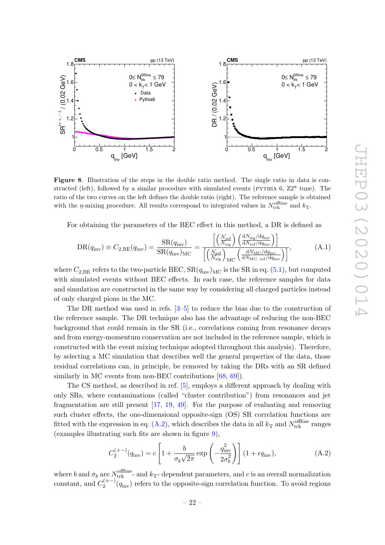

<span id="page-22-0"></span>Figure 8. Illustration of the steps in the double ratio method. The single ratio in data is constructed (left), followed by a similar procedure with simulated events (PYTHIA  $6$ ,  $Z2^*$  tune). The ratio of the two curves on the left defines the double ratio (right). The reference sample is obtained with the  $\eta$ -mixing procedure. All results correspond to integrated values in  $N_{\text{trk}}^{\text{offline}}$  and  $k_{\text{T}}$ .

For obtaining the parameters of the BEC effect in this method, a DR is defined as

$$
DR(q_{\text{inv}}) \equiv C_{2,\text{BE}}(q_{\text{inv}}) = \frac{\text{SR}(q_{\text{inv}})}{\text{SR}(q_{\text{inv}})_{\text{MC}}} = \frac{\left[ \left( \frac{N_{\text{ref}}}{N_{\text{sig}}} \right) \left( \frac{dN_{\text{sig}}/dq_{\text{inv}}}{dN_{\text{ref}}/dq_{\text{inv}}} \right) \right]}{\left[ \left( \frac{N_{\text{ref}}}{N_{\text{sig}}} \right)_{\text{MC}} \left( \frac{dN_{\text{MC}}/dq_{\text{inv}}}{dN_{\text{MC, ref}}/dq_{\text{inv}}} \right) \right]},\tag{A.1}
$$

where  $C_{2,BE}$  refers to the two-particle BEC,  $SR(q_{inv})_{MC}$  is the SR in eq. [\(5.1\)](#page-6-1), but computed with simulated events without BEC effects. In each case, the reference samples for data and simulation are constructed in the same way by considering all charged particles instead of only charged pions in the MC.

The DR method was used in refs. [\[3](#page-27-2)[–5\]](#page-27-4) to reduce the bias due to the construction of the reference sample. The DR technique also has the advantage of reducing the non-BEC background that could remain in the SR (i.e., correlations coming from resonance decays and from energy-momentum conservation are not included in the reference sample, which is constructed with the event mixing technique adopted throughout this analysis). Therefore, by selecting a MC simulation that describes well the general properties of the data, those residual correlations can, in principle, be removed by taking the DRs with an SR defined similarly in MC events from non-BEC contributions  $[68, 69]$  $[68, 69]$  $[68, 69]$ .

The CS method, as described in ref. [\[5\]](#page-27-4), employs a different approach by dealing with only SRs, where contaminations (called "cluster contribution") from resonances and jet fragmentation are still present [\[17,](#page-28-1) [19,](#page-28-10) [49\]](#page-30-1). For the purpose of evaluating and removing such cluster effects, the one-dimensional opposite-sign (OS) SR correlation functions are fitted with the expression in eq. [\(A.2\)](#page-22-1), which describes the data in all  $k_T$  and  $N_{\text{trk}}^{\text{offline}}$  ranges (examples illustrating such fits are shown in figure [9\)](#page-23-0),

<span id="page-22-1"></span>
$$
C_2^{(+-)}(q_{\rm inv}) = c \left[ 1 + \frac{b}{\sigma_b \sqrt{2\pi}} \exp\left( -\frac{q_{\rm inv}^2}{2\sigma_b^2} \right) \right] (1 + \epsilon q_{\rm inv}), \tag{A.2}
$$

where b and  $\sigma_b$  are  $N_{\text{trk}}^{\text{offline}}$  - and  $k_T$ - dependent parameters, and c is an overall normalization constant, and  $C_2^{(+-)}$  $2^{(+)}(q_{\text{inv}})$  refers to the opposite-sign correlation function. To avoid regions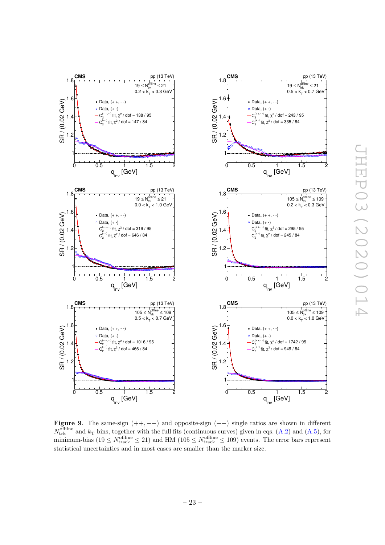

JHEP03(2020)014 JHEP03(2020)014

<span id="page-23-0"></span>Figure 9. The same-sign  $(++,--)$  and opposite-sign  $(+-)$  single ratios are shown in different  $N_{\text{trk}}^{\text{offline}}$  and  $k_{\text{T}}$  bins, together with the full fits (continuous curves) given in eqs. [\(A.2\)](#page-22-1) and [\(A.5\)](#page-24-1), for minimum-bias ( $19 \leq N_{\text{track}}^{\text{offline}} \leq 21$ ) and HM ( $105 \leq N_{\text{track}}^{\text{offline}} \leq 109$ ) events. The error bars represent statistical uncertainties and in most cases are smaller than the marker size.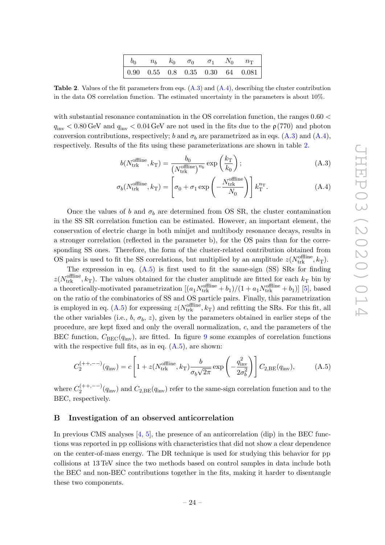| $\begin{vmatrix} b_0 & n_b & k_0 & \sigma_0 & \sigma_1 & N_0 & n_T \end{vmatrix}$ |  |  |                                                                                  |
|-----------------------------------------------------------------------------------|--|--|----------------------------------------------------------------------------------|
|                                                                                   |  |  | $\begin{array}{cccccc} 0.90 & 0.55 & 0.8 & 0.35 & 0.30 & 64 & 0.081 \end{array}$ |

<span id="page-24-4"></span>Table 2. Values of the fit parameters from eqs. [\(A.3\)](#page-24-2) and [\(A.4\)](#page-24-3), describing the cluster contribution in the data OS correlation function. The estimated uncertainty in the parameters is about 10%.

with substantial resonance contamination in the OS correlation function, the ranges 0.60 <  $q_{\text{inv}} < 0.80$  GeV and  $q_{\text{inv}} < 0.04$  GeV are not used in the fits due to the  $\rho(770)$  and photon conversion contributions, respectively; b and  $\sigma_b$  are parametrized as in eqs. [\(A.3\)](#page-24-2) and [\(A.4\)](#page-24-3), respectively. Results of the fits using these parameterizations are shown in table [2.](#page-24-4)

<span id="page-24-3"></span><span id="page-24-2"></span>
$$
b(N_{\text{trk}}^{\text{offline}}, k_{\text{T}}) = \frac{b_0}{(N_{\text{trk}}^{\text{offline}})^{n_b}} \exp\left(\frac{k_{\text{T}}}{k_0}\right);
$$
 (A.3)

$$
\sigma_b(N_{\text{trk}}^{\text{offline}}, k_{\text{T}}) = \left[\sigma_0 + \sigma_1 \exp\left(-\frac{N_{\text{trk}}^{\text{offline}}}{N_0}\right)\right] k_{\text{T}}^{n_{\text{T}}}.\tag{A.4}
$$

Once the values of b and  $\sigma_b$  are determined from OS SR, the cluster contamination in the SS SR correlation function can be estimated. However, an important element, the conservation of electric charge in both minijet and multibody resonance decays, results in a stronger correlation (reflected in the parameter b), for the OS pairs than for the corresponding SS ones. Therefore, the form of the cluster-related contribution obtained from OS pairs is used to fit the SS correlations, but multiplied by an amplitude  $z(N_{\text{trk}}^{\text{offline}}, k_{\text{T}})$ .

The expression in eq.  $(A.5)$  is first used to fit the same-sign  $(SS)$  SRs for finding  $z(N_{\text{trk}}^{\text{offline}}, k_{\text{T}})$ . The values obtained for the cluster amplitude are fitted for each  $k_{\text{T}}$  bin by a theoretically-motivated parametrization  $[(a_1N_{\text{trk}}^{\text{offline}}+b_1)/(1+a_1N_{\text{trk}}^{\text{offline}}+b_1)]$  [\[5\]](#page-27-4), based on the ratio of the combinatorics of SS and OS particle pairs. Finally, this parametrization is employed in eq. [\(A.5\)](#page-24-1) for expressing  $z(N_{\text{trk}}^{\text{offline}}, k_{\text{T}})$  and refitting the SRs. For this fit, all the other variables (i.e., b,  $\sigma_b$ , z), given by the parameters obtained in earlier steps of the procedure, are kept fixed and only the overall normalization, c, and the parameters of the BEC function,  $C_{\text{BEC}}(q_{\text{inv}})$ , are fitted. In figure [9](#page-23-0) some examples of correlation functions with the respective full fits, as in eq.  $(A.5)$ , are shown:

<span id="page-24-1"></span>
$$
C_2^{(++,--)}(q_{\rm inv}) = c \left[ 1 + z(N_{\rm trk}^{\rm offline}, k_{\rm T}) \frac{b}{\sigma_b \sqrt{2\pi}} \exp\left( -\frac{q_{\rm inv}^2}{2\sigma_b^2} \right) \right] C_{2,\rm BE}(q_{\rm inv}), \tag{A.5}
$$

where  $C_2^{(++,--)}$  $C_2^{(++,--)}(q_{\text{inv}})$  and  $C_{2,\text{BE}}(q_{\text{inv}})$  refer to the same-sign correlation function and to the BEC, respectively.

# <span id="page-24-0"></span>B Investigation of an observed anticorrelation

In previous CMS analyses  $[4, 5]$  $[4, 5]$  $[4, 5]$ , the presence of an anticorrelation (dip) in the BEC functions was reported in pp collisions with characteristics that did not show a clear dependence on the center-of-mass energy. The DR technique is used for studying this behavior for pp collisions at 13 TeV since the two methods based on control samples in data include both the BEC and non-BEC contributions together in the fits, making it harder to disentangle these two components.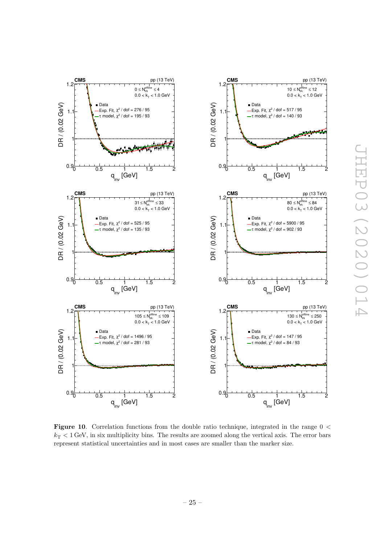

<span id="page-25-0"></span>Figure 10. Correlation functions from the double ratio technique, integrated in the range 0  $\lt$  $k_T < 1$  GeV, in six multiplicity bins. The results are zoomed along the vertical axis. The error bars represent statistical uncertainties and in most cases are smaller than the marker size.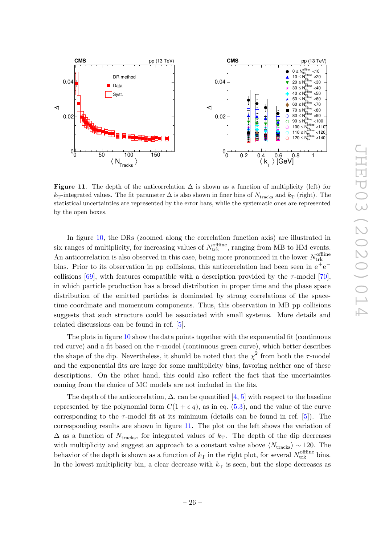

<span id="page-26-0"></span>Figure 11. The depth of the anticorrelation  $\Delta$  is shown as a function of multiplicity (left) for  $k_T$ -integrated values. The fit parameter  $\Delta$  is also shown in finer bins of  $N_{\text{tracks}}$  and  $k_T$  (right). The statistical uncertainties are represented by the error bars, while the systematic ones are represented by the open boxes.

In figure [10,](#page-25-0) the DRs (zoomed along the correlation function axis) are illustrated in six ranges of multiplicity, for increasing values of  $N_{\text{trk}}^{\text{offline}}$ , ranging from MB to HM events. An anticorrelation is also observed in this case, being more pronounced in the lower  $N_{\text{trk}}^{\text{offline}}$ bins. Prior to its observation in pp collisions, this anticorrelation had been seen in  $e^+e^-$ collisions [\[69\]](#page-31-3), with features compatible with a description provided by the  $\tau$ -model [\[70\]](#page-31-4), in which particle production has a broad distribution in proper time and the phase space distribution of the emitted particles is dominated by strong correlations of the spacetime coordinate and momentum components. Thus, this observation in MB pp collisions suggests that such structure could be associated with small systems. More details and related discussions can be found in ref. [\[5\]](#page-27-4).

The plots in figure [10](#page-25-0) show the data points together with the exponential fit (continuous red curve) and a fit based on the  $\tau$ -model (continuous green curve), which better describes the shape of the dip. Nevertheless, it should be noted that the  $\chi^2$  from both the  $\tau$ -model and the exponential fits are large for some multiplicity bins, favoring neither one of these descriptions. On the other hand, this could also reflect the fact that the uncertainties coming from the choice of MC models are not included in the fits.

The depth of the anticorrelation,  $\Delta$ , can be quantified [\[4,](#page-27-3) [5\]](#page-27-4) with respect to the baseline represented by the polynomial form  $C(1 + \epsilon q)$ , as in eq. [\(5.3\)](#page-7-2), and the value of the curve corresponding to the  $\tau$ -model fit at its minimum (details can be found in ref. [\[5\]](#page-27-4)). The corresponding results are shown in figure [11.](#page-26-0) The plot on the left shows the variation of  $\Delta$  as a function of  $N_{\text{tracks}}$ , for integrated values of  $k_T$ . The depth of the dip decreases with multiplicity and suggest an approach to a constant value above  $\langle N_{\text{tracks}} \rangle \sim 120$ . The behavior of the depth is shown as a function of  $k<sub>T</sub>$  in the right plot, for several  $N_{\text{trk}}^{\text{offline}}$  bins. In the lowest multiplicity bin, a clear decrease with  $k<sub>T</sub>$  is seen, but the slope decreases as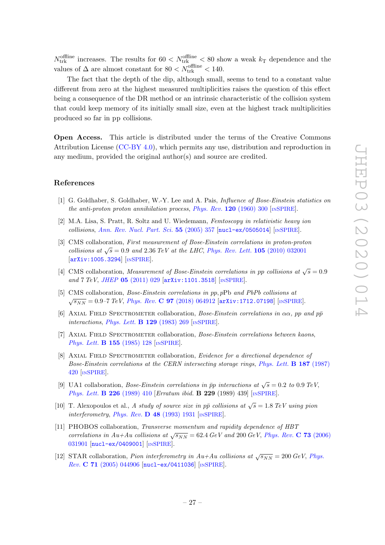$N_{\text{trk}}^{\text{offline}}$  increases. The results for 60 <  $N_{\text{trk}}^{\text{offline}}$  < 80 show a weak  $k_{\text{T}}$  dependence and the values of  $\Delta$  are almost constant for  $80 < N_{\text{trk}}^{\text{offline}} < 140$ .

The fact that the depth of the dip, although small, seems to tend to a constant value different from zero at the highest measured multiplicities raises the question of this effect being a consequence of the DR method or an intrinsic characteristic of the collision system that could keep memory of its initially small size, even at the highest track multiplicities produced so far in pp collisions.

Open Access. This article is distributed under the terms of the Creative Commons Attribution License [\(CC-BY 4.0\)](https://creativecommons.org/licenses/by/4.0/), which permits any use, distribution and reproduction in any medium, provided the original author(s) and source are credited.

## References

- <span id="page-27-0"></span>[1] G. Goldhaber, S. Goldhaber, W.-Y. Lee and A. Pais, Influence of Bose-Einstein statistics on the anti-proton proton annihilation process, [Phys. Rev.](https://doi.org/10.1103/PhysRev.120.300) 120 (1960) 300 [IN[SPIRE](https://inspirehep.net/search?p=find+J+%22Phys.Rev.,120,300%22)].
- <span id="page-27-1"></span>[2] M.A. Lisa, S. Pratt, R. Soltz and U. Wiedemann, Femtoscopy in relativistic heavy ion  $collisions, Ann. Rev. Nucl. Part. Sci. 55 (2005) 357 [nucl-ex/0505014] [inSPIRE].$  $collisions, Ann. Rev. Nucl. Part. Sci. 55 (2005) 357 [nucl-ex/0505014] [inSPIRE].$  $collisions, Ann. Rev. Nucl. Part. Sci. 55 (2005) 357 [nucl-ex/0505014] [inSPIRE].$  $collisions, Ann. Rev. Nucl. Part. Sci. 55 (2005) 357 [nucl-ex/0505014] [inSPIRE].$  $collisions, Ann. Rev. Nucl. Part. Sci. 55 (2005) 357 [nucl-ex/0505014] [inSPIRE].$  $collisions, Ann. Rev. Nucl. Part. Sci. 55 (2005) 357 [nucl-ex/0505014] [inSPIRE].$  $collisions, Ann. Rev. Nucl. Part. Sci. 55 (2005) 357 [nucl-ex/0505014] [inSPIRE].$
- <span id="page-27-2"></span>[3] CMS collaboration, First measurement of Bose-Einstein correlations in proton-proton collisions at  $\sqrt{s} = 0.9$  and 2.36 TeV at the LHC, [Phys. Rev. Lett.](https://doi.org/10.1103/PhysRevLett.105.032001) **105** (2010) 032001 [[arXiv:1005.3294](https://arxiv.org/abs/1005.3294)] [IN[SPIRE](https://inspirehep.net/search?p=find+EPRINT+arXiv:1005.3294)].
- <span id="page-27-3"></span>[4] CMS collaboration, *Measurement of Bose-Einstein correlations in pp collisions at*  $\sqrt{s} = 0.9$ and 7 TeV, JHEP 05 [\(2011\) 029](https://doi.org/10.1007/JHEP05(2011)029) [[arXiv:1101.3518](https://arxiv.org/abs/1101.3518)] [IN[SPIRE](https://inspirehep.net/search?p=find+EPRINT+arXiv:1101.3518)].
- <span id="page-27-4"></span>[5] CMS collaboration, Bose-Einstein correlations in pp, pPb and PbPb collisions at  $\sqrt{s_{NN}} = 0.9$ –7 TeV, Phys. Rev. C 97 [\(2018\) 064912](https://doi.org/10.1103/PhysRevC.97.064912) [[arXiv:1712.07198](https://arxiv.org/abs/1712.07198)] [IN[SPIRE](https://inspirehep.net/search?p=find+EPRINT+arXiv:1712.07198)].
- <span id="page-27-5"></span>[6] AXIAL FIELD SPECTROMETER collaboration, Bose-Einstein correlations in  $\alpha\alpha$ , pp and pp interactions, [Phys. Lett.](https://doi.org/10.1016/0370-2693(83)90859-6) B 129 (1983) 269 [IN[SPIRE](https://inspirehep.net/search?p=find+J+%22Phys.Lett.,B129,269%22)].
- <span id="page-27-6"></span>[7] Axial Field Spectrometer collaboration, Bose-Einstein correlations between kaons, [Phys. Lett.](https://doi.org/10.1016/0370-2693(85)91046-9) **B 155** (1985) 128 [IN[SPIRE](https://inspirehep.net/search?p=find+J+%22Phys.Lett.,B155,128%22)].
- [8] AXIAL FIELD SPECTROMETER collaboration, *Evidence for a directional dependence of* Bose-Einstein correlations at the CERN intersecting storage rings, [Phys. Lett.](https://doi.org/10.1016/0370-2693(87)91122-1) B 187 (1987) [420](https://doi.org/10.1016/0370-2693(87)91122-1) [IN[SPIRE](https://inspirehep.net/search?p=find+J+%22Phys.Lett.,B187,420%22)].
- [9] UA1 collaboration, *Bose-Einstein correlations in*  $\bar{p}p$  *interactions at*  $\sqrt{s} = 0.2$  to 0.9 TeV, [Phys. Lett.](https://doi.org/10.1016/0370-2693(89)91221-5) **B 226** (1989) 410 [Erratum ibid. **B 229** (1989) 439] [IN[SPIRE](https://inspirehep.net/search?p=find+J+%22Phys.Lett.,B226,410%22)].
- [10] T. Alexopoulos et al., A study of source size in pp collisions at  $\sqrt{s} = 1.8 \text{ TeV}$  using pion interferometry, Phys. Rev.  $\bf{D}$  48 [\(1993\) 1931](https://doi.org/10.1103/PhysRevD.48.1931) [IN[SPIRE](https://inspirehep.net/search?p=find+J+%22Phys.Rev.,D48,1931%22)].
- [11] PHOBOS collaboration, Transverse momentum and rapidity dependence of HBT correlations in Au+Au collisions at  $\sqrt{s_{NN}} = 62.4 \text{ GeV}$  and 200 GeV, [Phys. Rev.](https://doi.org/10.1103/PhysRevC.73.031901) C 73 (2006) [031901](https://doi.org/10.1103/PhysRevC.73.031901) [[nucl-ex/0409001](https://arxiv.org/abs/nucl-ex/0409001)] [IN[SPIRE](https://inspirehep.net/search?p=find+EPRINT+nucl-ex/0409001)].
- <span id="page-27-7"></span>[12] STAR collaboration, Pion interferometry in Au+Au collisions at  $\sqrt{s_{NN}} = 200 \text{ GeV}$ , [Phys.](https://doi.org/10.1103/PhysRevC.71.044906) Rev. C 71 [\(2005\) 044906](https://doi.org/10.1103/PhysRevC.71.044906) [[nucl-ex/0411036](https://arxiv.org/abs/nucl-ex/0411036)] [IN[SPIRE](https://inspirehep.net/search?p=find+EPRINT+nucl-ex/0411036)].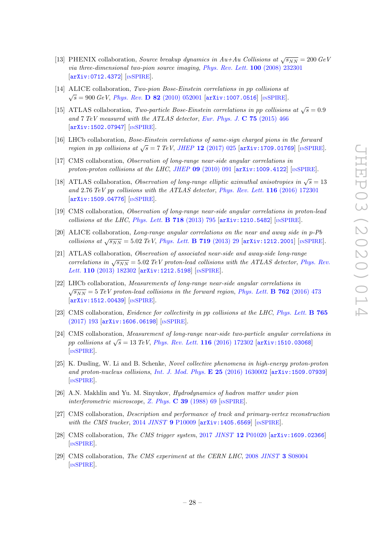- [13] PHENIX collaboration, Source breakup dynamics in Au+Au Collisions at  $\sqrt{s_{NN}} = 200 \text{ GeV}$ via three-dimensional two-pion source imaging, [Phys. Rev. Lett.](https://doi.org/10.1103/PhysRevLett.100.232301) 100 (2008) 232301 [[arXiv:0712.4372](https://arxiv.org/abs/0712.4372)] [IN[SPIRE](https://inspirehep.net/search?p=find+EPRINT+arXiv:0712.4372)].
- <span id="page-28-12"></span>[14] ALICE collaboration, Two-pion Bose-Einstein correlations in pp collisions at  $\sqrt{s} = 900 \text{ GeV},$  Phys. Rev. **D 82** [\(2010\) 052001](https://doi.org/10.1103/PhysRevD.82.052001) [[arXiv:1007.0516](https://arxiv.org/abs/1007.0516)] [IN[SPIRE](https://inspirehep.net/search?p=find+EPRINT+arXiv:1007.0516)].
- <span id="page-28-11"></span>[15] ATLAS collaboration, Two-particle Bose-Einstein correlations in pp collisions at  $\sqrt{s} = 0.9$ and 7 TeV measured with the ATLAS detector, [Eur. Phys. J.](https://doi.org/10.1140/epjc/s10052-015-3644-x)  $\bf{C}$  75 (2015) 466 [[arXiv:1502.07947](https://arxiv.org/abs/1502.07947)] [IN[SPIRE](https://inspirehep.net/search?p=find+EPRINT+arXiv:1502.07947)].
- <span id="page-28-0"></span>[16] LHCb collaboration, Bose-Einstein correlations of same-sign charged pions in the forward region in pp collisions at  $\sqrt{s} = 7 \text{ TeV}$ , JHEP 12 [\(2017\) 025](https://doi.org/10.1007/JHEP12(2017)025) [[arXiv:1709.01769](https://arxiv.org/abs/1709.01769)] [IN[SPIRE](https://inspirehep.net/search?p=find+EPRINT+arXiv:1709.01769)].
- <span id="page-28-1"></span>[17] CMS collaboration, Observation of long-range near-side angular correlations in proton-proton collisions at the LHC, JHEP  $\bf{09}$  [\(2010\) 091](https://doi.org/10.1007/JHEP09(2010)091) [[arXiv:1009.4122](https://arxiv.org/abs/1009.4122)] [IN[SPIRE](https://inspirehep.net/search?p=find+EPRINT+arXiv:1009.4122)].
- [18] ATLAS collaboration, Observation of long-range elliptic azimuthal anisotropies in  $\sqrt{s} = 13$ and 2.76 TeV pp collisions with the ATLAS detector, [Phys. Rev. Lett.](https://doi.org/10.1103/PhysRevLett.116.172301) 116 (2016) 172301 [[arXiv:1509.04776](https://arxiv.org/abs/1509.04776)] [IN[SPIRE](https://inspirehep.net/search?p=find+EPRINT+arXiv:1509.04776)].
- <span id="page-28-10"></span>[19] CMS collaboration, Observation of long-range near-side angular correlations in proton-lead collisions at the LHC, [Phys. Lett.](https://doi.org/10.1016/j.physletb.2012.11.025) **B** 718 (2013) 795  $\left[$ [arXiv:1210.5482](https://arxiv.org/abs/1210.5482) $\right]$   $\left[$ IN[SPIRE](https://inspirehep.net/search?p=find+EPRINT+arXiv:1210.5482) $\right]$ .
- [20] ALICE collaboration, Long-range angular correlations on the near and away side in p-Pb collisions at  $\sqrt{s_{NN}} = 5.02 \text{ TeV}$ , [Phys. Lett.](https://doi.org/10.1016/j.physletb.2013.01.012) **B** 719 (2013) 29 [[arXiv:1212.2001](https://arxiv.org/abs/1212.2001)] [IN[SPIRE](https://inspirehep.net/search?p=find+EPRINT+arXiv:1212.2001)].
- [21] ATLAS collaboration, Observation of associated near-side and away-side long-range correlations in  $\sqrt{s_{NN}}$  = 5.02 TeV proton-lead collisions with the ATLAS detector, [Phys. Rev.](https://doi.org/10.1103/PhysRevLett.110.182302) Lett. 110 [\(2013\) 182302](https://doi.org/10.1103/PhysRevLett.110.182302) [[arXiv:1212.5198](https://arxiv.org/abs/1212.5198)] [IN[SPIRE](https://inspirehep.net/search?p=find+EPRINT+arXiv:1212.5198)].
- <span id="page-28-2"></span>[22] LHCb collaboration, Measurements of long-range near-side angular correlations in  $\sqrt{s_{NN}} = 5 \text{ TeV}$  proton-lead collisions in the forward region, [Phys. Lett.](https://doi.org/10.1016/j.physletb.2016.09.064) **B 762** (2016) 473 [[arXiv:1512.00439](https://arxiv.org/abs/1512.00439)] [IN[SPIRE](https://inspirehep.net/search?p=find+EPRINT+arXiv:1512.00439)].
- <span id="page-28-3"></span>[23] CMS collaboration, *Evidence for collectivity in pp collisions at the LHC*, *[Phys. Lett.](https://doi.org/10.1016/j.physletb.2016.12.009)* **B 765** [\(2017\) 193](https://doi.org/10.1016/j.physletb.2016.12.009) [[arXiv:1606.06198](https://arxiv.org/abs/1606.06198)] [IN[SPIRE](https://inspirehep.net/search?p=find+EPRINT+arXiv:1606.06198)].
- <span id="page-28-4"></span>[24] CMS collaboration, Measurement of long-range near-side two-particle angular correlations in pp collisions at  $\sqrt{s} = 13 \text{ TeV}$ , [Phys. Rev. Lett.](https://doi.org/10.1103/PhysRevLett.116.172302) 116 (2016) 172302 [[arXiv:1510.03068](https://arxiv.org/abs/1510.03068)] [IN[SPIRE](https://inspirehep.net/search?p=find+EPRINT+arXiv:1510.03068)].
- <span id="page-28-5"></span>[25] K. Dusling, W. Li and B. Schenke, Novel collective phenomena in high-energy proton-proton and proton-nucleus collisions, [Int. J. Mod. Phys.](https://doi.org/10.1142/S0218301316300022) E 25 (2016) 1630002 [[arXiv:1509.07939](https://arxiv.org/abs/1509.07939)] [IN[SPIRE](https://inspirehep.net/search?p=find+EPRINT+arXiv:1509.07939)].
- <span id="page-28-6"></span>[26] A.N. Makhlin and Yu. M. Sinyukov, *Hydrodynamics of hadron matter under pion* interferometric microscope, Z. Phys.  $C$  39 [\(1988\) 69](https://doi.org/10.1007/BF01560393) [IN[SPIRE](https://inspirehep.net/search?p=find+J+%22Z.Physik,C39,69%22)].
- <span id="page-28-7"></span>[27] CMS collaboration, Description and performance of track and primary-vertex reconstruction with the CMS tracker, 2014 JINST 9 [P10009](https://doi.org/10.1088/1748-0221/9/10/P10009) [[arXiv:1405.6569](https://arxiv.org/abs/1405.6569)] [IN[SPIRE](https://inspirehep.net/search?p=find+EPRINT+arXiv:1405.6569)].
- <span id="page-28-8"></span>[28] CMS collaboration, The CMS trigger system, 2017 JINST 12 [P01020](https://doi.org/10.1088/1748-0221/12/01/P01020) [[arXiv:1609.02366](https://arxiv.org/abs/1609.02366)] [IN[SPIRE](https://inspirehep.net/search?p=find+EPRINT+arXiv:1609.02366)].
- <span id="page-28-9"></span>[29] CMS collaboration, The CMS experiment at the CERN LHC, 2008 JINST 3 [S08004](https://doi.org/10.1088/1748-0221/3/08/S08004) [IN[SPIRE](https://inspirehep.net/search?p=find+J+%22JINST,3,S08004%22)].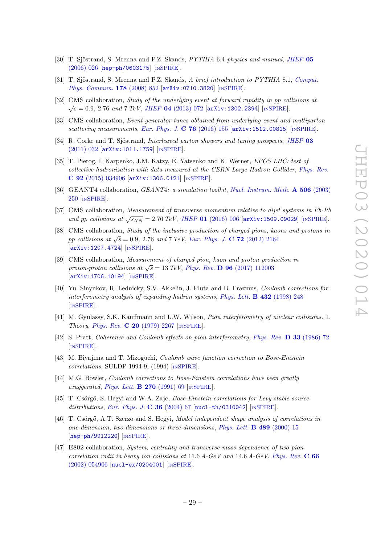- <span id="page-29-0"></span>[30] T. Sjöstrand, S. Mrenna and P.Z. Skands, PYTHIA 6.4 physics and manual, [JHEP](https://doi.org/10.1088/1126-6708/2006/05/026) 05 [\(2006\) 026](https://doi.org/10.1088/1126-6708/2006/05/026) [[hep-ph/0603175](https://arxiv.org/abs/hep-ph/0603175)] [IN[SPIRE](https://inspirehep.net/search?p=find+EPRINT+hep-ph/0603175)].
- <span id="page-29-1"></span>[31] T. Sjöstrand, S. Mrenna and P.Z. Skands, A brief introduction to PYTHIA 8.1, [Comput.](https://doi.org/10.1016/j.cpc.2008.01.036) [Phys. Commun.](https://doi.org/10.1016/j.cpc.2008.01.036) 178 (2008) 852 [[arXiv:0710.3820](https://arxiv.org/abs/0710.3820)] [IN[SPIRE](https://inspirehep.net/search?p=find+EPRINT+arXiv:0710.3820)].
- <span id="page-29-2"></span>[32] CMS collaboration, *Study of the underlying event at forward rapidity in pp collisions at*  $\sqrt{s} = 0.9$ , 2.76 and 7 TeV, JHEP 04 [\(2013\) 072](https://doi.org/10.1007/JHEP04(2013)072) [[arXiv:1302.2394](https://arxiv.org/abs/1302.2394)] [IN[SPIRE](https://inspirehep.net/search?p=find+EPRINT+arXiv:1302.2394)].
- <span id="page-29-3"></span>[33] CMS collaboration, Event generator tunes obtained from underlying event and multiparton scattering measurements, [Eur. Phys. J.](https://doi.org/10.1140/epjc/s10052-016-3988-x) C  $76$  (2016) 155  $\text{arXiv:1512.00815}$  $\text{arXiv:1512.00815}$  $\text{arXiv:1512.00815}$  [IN[SPIRE](https://inspirehep.net/search?p=find+EPRINT+arXiv:1512.00815)].
- <span id="page-29-4"></span>[34] R. Corke and T. Sjöstrand, *Interleaved parton showers and tuning prospects*, *[JHEP](https://doi.org/10.1007/JHEP03(2011)032)* 03 [\(2011\) 032](https://doi.org/10.1007/JHEP03(2011)032) [[arXiv:1011.1759](https://arxiv.org/abs/1011.1759)] [IN[SPIRE](https://inspirehep.net/search?p=find+EPRINT+arXiv:1011.1759)].
- <span id="page-29-5"></span>[35] T. Pierog, I. Karpenko, J.M. Katzy, E. Yatsenko and K. Werner, EPOS LHC: test of collective hadronization with data measured at the CERN Large Hadron Collider, [Phys. Rev.](https://doi.org/10.1103/PhysRevC.92.034906) C 92 [\(2015\) 034906](https://doi.org/10.1103/PhysRevC.92.034906) [[arXiv:1306.0121](https://arxiv.org/abs/1306.0121)] [IN[SPIRE](https://inspirehep.net/search?p=find+EPRINT+arXiv:1306.0121)].
- <span id="page-29-6"></span>[36] GEANT4 collaboration, *GEANT4: a simulation toolkit, [Nucl. Instrum. Meth.](https://doi.org/10.1016/S0168-9002(03)01368-8)* A 506 (2003) [250](https://doi.org/10.1016/S0168-9002(03)01368-8) [IN[SPIRE](https://inspirehep.net/search?p=find+J+%22Nucl.Instrum.Meth.,A506,250%22)].
- <span id="page-29-7"></span>[37] CMS collaboration, Measurement of transverse momentum relative to dijet systems in Pb-Pb and pp collisions at  $\sqrt{s_{NN}}$  = 2.76 TeV, JHEP 01 [\(2016\) 006](https://doi.org/10.1007/JHEP01(2016)006) [[arXiv:1509.09029](https://arxiv.org/abs/1509.09029)] [IN[SPIRE](https://inspirehep.net/search?p=find+EPRINT+arXiv:1509.09029)].
- <span id="page-29-8"></span>[38] CMS collaboration, *Study of the inclusive production of charged pions, kaons and protons in* pp collisions at  $\sqrt{s} = 0.9$ , 2.76 and 7 TeV, [Eur. Phys. J.](https://doi.org/10.1140/epjc/s10052-012-2164-1) C 72 (2012) 2164 [[arXiv:1207.4724](https://arxiv.org/abs/1207.4724)] [IN[SPIRE](https://inspirehep.net/search?p=find+EPRINT+arXiv:1207.4724)].
- <span id="page-29-9"></span>[39] CMS collaboration, Measurement of charged pion, kaon and proton production in proton-proton collisions at  $\sqrt{s} = 13 \text{ TeV}$ , Phys. Rev. **D** 96 [\(2017\) 112003](https://doi.org/10.1103/PhysRevD.96.112003) [[arXiv:1706.10194](https://arxiv.org/abs/1706.10194)] [IN[SPIRE](https://inspirehep.net/search?p=find+EPRINT+arXiv:1706.10194)].
- <span id="page-29-10"></span>[40] Yu. Sinyukov, R. Lednicky, S.V. Akkelin, J. Pluta and B. Erazmus, Coulomb corrections for interferometry analysis of expanding hadron systems, [Phys. Lett.](https://doi.org/10.1016/S0370-2693(98)00653-4) B 432 (1998) 248 [IN[SPIRE](https://inspirehep.net/search?p=find+J+%22Phys.Lett.,B432,248%22)].
- <span id="page-29-11"></span>[41] M. Gyulassy, S.K. Kauffmann and L.W. Wilson, Pion interferometry of nuclear collisions. 1. Theory, Phys. Rev. C 20 [\(1979\) 2267](https://doi.org/10.1103/PhysRevC.20.2267) [IN[SPIRE](https://inspirehep.net/search?p=find+J+%22Phys.Rev.,C20,2267%22)].
- <span id="page-29-12"></span>[42] S. Pratt, Coherence and Coulomb effects on pion interferometry, [Phys. Rev.](https://doi.org/10.1103/PhysRevD.33.72) D 33 (1986) 72 [IN[SPIRE](https://inspirehep.net/search?p=find+J+%22Phys.Rev.,D33,72%22)].
- [43] M. Biyajima and T. Mizoguchi, Coulomb wave function correction to Bose-Einstein correlations, SULDP-1994-9, (1994) [IN[SPIRE](https://inspirehep.net/search?p=find+R+SULDP-1994-9)].
- <span id="page-29-13"></span>[44] M.G. Bowler, Coulomb corrections to Bose-Einstein correlations have been greatly exaggerated, [Phys. Lett.](https://doi.org/10.1016/0370-2693(91)91541-3)  $\bf{B}$  270 (1991) 69 [IN[SPIRE](https://inspirehep.net/search?p=find+J+%22Phys.Lett.,B270,69%22)].
- <span id="page-29-14"></span>[45] T. Csörgő, S. Hegyi and W.A. Zajc, Bose-Einstein correlations for Levy stable source distributions, [Eur. Phys. J.](https://doi.org/10.1140/epjc/s2004-01870-9) C 36 (2004) 67  $[nuc1-th/0310042]$  [IN[SPIRE](https://inspirehep.net/search?p=find+EPRINT+nucl-th/0310042)].
- <span id="page-29-15"></span>[46] T. Csörgő, A.T. Szerzo and S. Hegyi, Model independent shape analysis of correlations in one-dimension, two-dimensions or three-dimensions, [Phys. Lett.](https://doi.org/10.1016/S0370-2693(00)00935-7) B 489 (2000) 15 [[hep-ph/9912220](https://arxiv.org/abs/hep-ph/9912220)] [IN[SPIRE](https://inspirehep.net/search?p=find+EPRINT+hep-ph/9912220)].
- <span id="page-29-16"></span>[47] E802 collaboration, System, centrality and transverse mass dependence of two pion correlation radii in heavy ion collisions at 11.6  $A$ -GeV and 14.6  $A$ -GeV, [Phys. Rev.](https://doi.org/10.1103/PhysRevC.66.054906) C 66 [\(2002\) 054906](https://doi.org/10.1103/PhysRevC.66.054906) [[nucl-ex/0204001](https://arxiv.org/abs/nucl-ex/0204001)] [IN[SPIRE](https://inspirehep.net/search?p=find+EPRINT+nucl-ex/0204001)].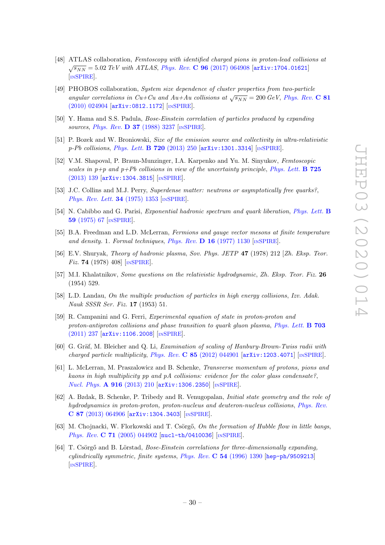- <span id="page-30-0"></span>[48] ATLAS collaboration, Femtoscopy with identified charged pions in proton-lead collisions at  $\sqrt{s_{NN}} = 5.02 \; TeV$  with ATLAS, Phys. Rev. C 96 [\(2017\) 064908](https://doi.org/10.1103/PhysRevC.96.064908) [[arXiv:1704.01621](https://arxiv.org/abs/1704.01621)] [IN[SPIRE](https://inspirehep.net/search?p=find+EPRINT+arXiv:1704.01621)].
- <span id="page-30-1"></span>[49] PHOBOS collaboration, System size dependence of cluster properties from two-particle angular correlations in Cu+Cu and Au+Au collisions at  $\sqrt{s_{NN}} = 200 \text{ GeV}$ , [Phys. Rev.](https://doi.org/10.1103/PhysRevC.81.024904) C 81 [\(2010\) 024904](https://doi.org/10.1103/PhysRevC.81.024904) [[arXiv:0812.1172](https://arxiv.org/abs/0812.1172)] [IN[SPIRE](https://inspirehep.net/search?p=find+EPRINT+arXiv:0812.1172)].
- <span id="page-30-2"></span>[50] Y. Hama and S.S. Padula, Bose-Einstein correlation of particles produced by expanding sources, *Phys. Rev.* **D 37** [\(1988\) 3237](https://doi.org/10.1103/PhysRevD.37.3237) [IN[SPIRE](https://inspirehep.net/search?p=find+J+%22Phys.Rev.,D37,3237%22)].
- <span id="page-30-9"></span>[51] P. Bozek and W. Broniowski, Size of the emission source and collectivity in ultra-relativistic p-Pb collisions, [Phys. Lett.](https://doi.org/10.1016/j.physletb.2013.02.014) B 720 (2013) 250 [[arXiv:1301.3314](https://arxiv.org/abs/1301.3314)] [IN[SPIRE](https://inspirehep.net/search?p=find+EPRINT+arXiv:1301.3314)].
- <span id="page-30-3"></span>[52] V.M. Shapoval, P. Braun-Munzinger, I.A. Karpenko and Yu. M. Sinyukov, Femtoscopic scales in  $p+p$  and  $p+Pb$  collisions in view of the uncertainty principle, [Phys. Lett.](https://doi.org/10.1016/j.physletb.2013.07.002) B 725 [\(2013\) 139](https://doi.org/10.1016/j.physletb.2013.07.002) [[arXiv:1304.3815](https://arxiv.org/abs/1304.3815)] [IN[SPIRE](https://inspirehep.net/search?p=find+EPRINT+arXiv:1304.3815)].
- <span id="page-30-4"></span>[53] J.C. Collins and M.J. Perry, Superdense matter: neutrons or asymptotically free quarks?, [Phys. Rev. Lett.](https://doi.org/10.1103/PhysRevLett.34.1353) 34 (1975) 1353 [IN[SPIRE](https://inspirehep.net/search?p=find+J+%22Phys.Rev.Lett.,34,1353%22)].
- [54] N. Cabibbo and G. Parisi, *Exponential hadronic spectrum and quark liberation*, *[Phys. Lett.](https://doi.org/10.1016/0370-2693(75)90158-6)* **B** 59 [\(1975\) 67](https://doi.org/10.1016/0370-2693(75)90158-6) [IN[SPIRE](https://inspirehep.net/search?p=find+J+%22Phys.Lett.,B59,67%22)].
- [55] B.A. Freedman and L.D. McLerran, Fermions and gauge vector mesons at finite temperature and density. 1. Formal techniques, Phys. Rev.  $\bf{D}$  16 [\(1977\) 1130](https://doi.org/10.1103/PhysRevD.16.1130) [IN[SPIRE](https://inspirehep.net/search?p=find+J+%22Phys.Rev.,D16,1130%22)].
- <span id="page-30-5"></span>[56] E.V. Shuryak, Theory of hadronic plasma, Sov. Phys. JETP 47 (1978) 212 [Zh. Eksp. Teor. Fiz. 74 (1978) 408] [IN[SPIRE](https://inspirehep.net/search?p=find+J+%22Sov.Phys.JETP,47,212%22)].
- <span id="page-30-6"></span>[57] M.I. Khalatnikov, Some questions on the relativistic hydrodynamic, Zh. Eksp. Teor. Fiz. 26 (1954) 529.
- <span id="page-30-7"></span>[58] L.D. Landau, On the multiple production of particles in high energy collisions, Izv. Adak. Nauk SSSR Ser. Fiz. 17 (1953) 51.
- <span id="page-30-8"></span>[59] R. Campanini and G. Ferri, Experimental equation of state in proton-proton and proton-antiproton collisions and phase transition to quark gluon plasma, [Phys. Lett.](https://doi.org/10.1016/j.physletb.2011.08.009) B 703 [\(2011\) 237](https://doi.org/10.1016/j.physletb.2011.08.009) [[arXiv:1106.2008](https://arxiv.org/abs/1106.2008)] [IN[SPIRE](https://inspirehep.net/search?p=find+EPRINT+arXiv:1106.2008)].
- <span id="page-30-10"></span>[60] G. Gräf, M. Bleicher and Q. Li, *Examination of scaling of Hanbury-Brown-Twiss radii with* charged particle multiplicity, Phys. Rev. C  $85$  [\(2012\) 044901](https://doi.org/10.1103/PhysRevC.85.044901) [[arXiv:1203.4071](https://arxiv.org/abs/1203.4071)] [IN[SPIRE](https://inspirehep.net/search?p=find+EPRINT+arXiv:1203.4071)].
- <span id="page-30-11"></span>[61] L. McLerran, M. Praszalowicz and B. Schenke, Transverse momentum of protons, pions and kaons in high multiplicity pp and pA collisions: evidence for the color glass condensate?, [Nucl. Phys.](https://doi.org/10.1016/j.nuclphysa.2013.08.008) A 916 (2013) 210 [[arXiv:1306.2350](https://arxiv.org/abs/1306.2350)] [IN[SPIRE](https://inspirehep.net/search?p=find+EPRINT+arXiv:1306.2350)].
- <span id="page-30-12"></span>[62] A. Bzdak, B. Schenke, P. Tribedy and R. Venugopalan, Initial state geometry and the role of hydrodynamics in proton-proton, proton-nucleus and deuteron-nucleus collisions, [Phys. Rev.](https://doi.org/10.1103/PhysRevC.87.064906) C 87 [\(2013\) 064906](https://doi.org/10.1103/PhysRevC.87.064906) [[arXiv:1304.3403](https://arxiv.org/abs/1304.3403)] [IN[SPIRE](https://inspirehep.net/search?p=find+EPRINT+arXiv:1304.3403)].
- <span id="page-30-13"></span>[63] M. Chojnacki, W. Florkowski and T. Csörgő, On the formation of Hubble flow in little bangs, Phys. Rev. C 71 [\(2005\) 044902](https://doi.org/10.1103/PhysRevC.71.044902) [[nucl-th/0410036](https://arxiv.org/abs/nucl-th/0410036)] [IN[SPIRE](https://inspirehep.net/search?p=find+EPRINT+nucl-th/0410036)].
- <span id="page-30-14"></span>[64] T. Csörgő and B. Lörstad, Bose-Einstein correlations for three-dimensionally expanding, cylindrically symmetric, finite systems, Phys. Rev. C 54 [\(1996\) 1390](https://doi.org/10.1103/PhysRevC.54.1390) [[hep-ph/9509213](https://arxiv.org/abs/hep-ph/9509213)] [IN[SPIRE](https://inspirehep.net/search?p=find+EPRINT+hep-ph/9509213)].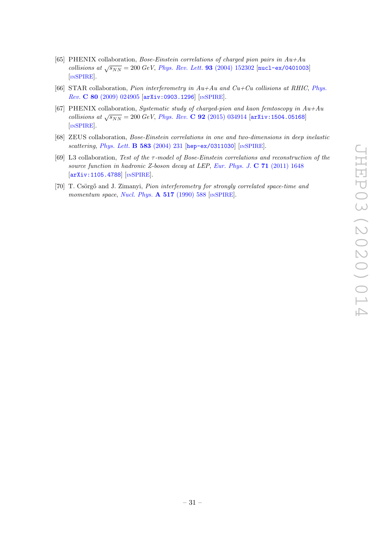- <span id="page-31-0"></span>[65] PHENIX collaboration, *Bose-Einstein correlations of charged pion pairs in Au+Au* collisions at  $\sqrt{s_{NN}} = 200 \text{ GeV}$ , [Phys. Rev. Lett.](https://doi.org/10.1103/PhysRevLett.93.152302) **93** (2004) 152302 [[nucl-ex/0401003](https://arxiv.org/abs/nucl-ex/0401003)] [IN[SPIRE](https://inspirehep.net/search?p=find+EPRINT+nucl-ex/0401003)].
- [66] STAR collaboration, Pion interferometry in  $Au+Au$  and  $Cu+Cu$  collisions at RHIC, [Phys.](https://doi.org/10.1103/PhysRevC.80.024905) Rev. C 80 [\(2009\) 024905](https://doi.org/10.1103/PhysRevC.80.024905) [[arXiv:0903.1296](https://arxiv.org/abs/0903.1296)] [IN[SPIRE](https://inspirehep.net/search?p=find+EPRINT+arXiv:0903.1296)].
- <span id="page-31-1"></span>[67] PHENIX collaboration, Systematic study of charged-pion and kaon femtoscopy in  $Au+Au$ collisions at  $\sqrt{s_{NN}} = 200 \text{ GeV}$ , *Phys. Rev.* **C** 92 [\(2015\) 034914](https://doi.org/10.1103/PhysRevC.92.034914) [[arXiv:1504.05168](https://arxiv.org/abs/1504.05168)] [IN[SPIRE](https://inspirehep.net/search?p=find+EPRINT+arXiv:1504.05168)].
- <span id="page-31-2"></span>[68] ZEUS collaboration, Bose-Einstein correlations in one and two-dimensions in deep inelastic scattering, [Phys. Lett.](https://doi.org/10.1016/j.physletb.2003.12.068) **B 583** (2004) 231 [[hep-ex/0311030](https://arxiv.org/abs/hep-ex/0311030)] [IN[SPIRE](https://inspirehep.net/search?p=find+EPRINT+hep-ex/0311030)].
- <span id="page-31-3"></span>[69] L3 collaboration, Test of the  $\tau$ -model of Bose-Einstein correlations and reconstruction of the source function in hadronic Z-boson decay at LEP, [Eur. Phys. J.](https://doi.org/10.1140/epjc/s10052-011-1648-8)  $C$  71 (2011) 1648 [[arXiv:1105.4788](https://arxiv.org/abs/1105.4788)] [IN[SPIRE](https://inspirehep.net/search?p=find+EPRINT+arXiv:1105.4788)].
- <span id="page-31-4"></span>[70] T. Csörgő and J. Zimanyi, Pion interferometry for strongly correlated space-time and momentum space, [Nucl. Phys.](https://doi.org/10.1016/0375-9474(90)90220-G)  $\mathbf{A}$  517 (1990) 588 [IN[SPIRE](https://inspirehep.net/search?p=find+J+%22Nucl.Phys.,A517,588%22)].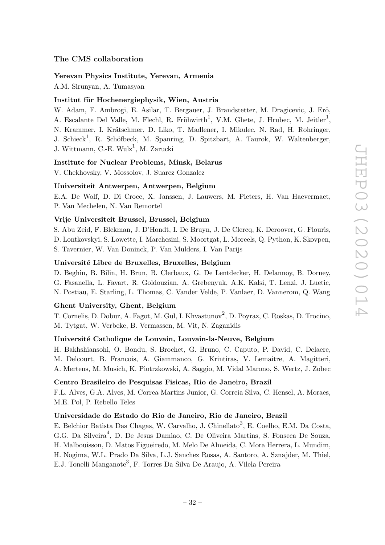# The CMS collaboration

## <span id="page-32-0"></span>Yerevan Physics Institute, Yerevan, Armenia

A.M. Sirunyan, A. Tumasyan

#### Institut für Hochenergiephysik, Wien, Austria

W. Adam, F. Ambrogi, E. Asilar, T. Bergauer, J. Brandstetter, M. Dragicevic, J. Erö,

A. Escalante Del Valle, M. Flechl, R. Frühwirth<sup>1</sup>, V.M. Ghete, J. Hrubec, M. Jeitler<sup>1</sup>,

N. Krammer, I. Krätschmer, D. Liko, T. Madlener, I. Mikulec, N. Rad, H. Rohringer,

J. Schieck<sup>1</sup>, R. Schöfbeck, M. Spanring, D. Spitzbart, A. Taurok, W. Waltenberger,

J. Wittmann, C.-E. Wulz<sup>1</sup>, M. Zarucki

# Institute for Nuclear Problems, Minsk, Belarus

V. Chekhovsky, V. Mossolov, J. Suarez Gonzalez

## Universiteit Antwerpen, Antwerpen, Belgium

E.A. De Wolf, D. Di Croce, X. Janssen, J. Lauwers, M. Pieters, H. Van Haevermaet, P. Van Mechelen, N. Van Remortel

#### Vrije Universiteit Brussel, Brussel, Belgium

S. Abu Zeid, F. Blekman, J. D'Hondt, I. De Bruyn, J. De Clercq, K. Deroover, G. Flouris, D. Lontkovskyi, S. Lowette, I. Marchesini, S. Moortgat, L. Moreels, Q. Python, K. Skovpen, S. Tavernier, W. Van Doninck, P. Van Mulders, I. Van Parijs

#### Universit´e Libre de Bruxelles, Bruxelles, Belgium

D. Beghin, B. Bilin, H. Brun, B. Clerbaux, G. De Lentdecker, H. Delannoy, B. Dorney, G. Fasanella, L. Favart, R. Goldouzian, A. Grebenyuk, A.K. Kalsi, T. Lenzi, J. Luetic,

N. Postiau, E. Starling, L. Thomas, C. Vander Velde, P. Vanlaer, D. Vannerom, Q. Wang

#### Ghent University, Ghent, Belgium

T. Cornelis, D. Dobur, A. Fagot, M. Gul, I. Khvastunov<sup>2</sup>, D. Poyraz, C. Roskas, D. Trocino, M. Tytgat, W. Verbeke, B. Vermassen, M. Vit, N. Zaganidis

#### Université Catholique de Louvain, Louvain-la-Neuve, Belgium

H. Bakhshiansohi, O. Bondu, S. Brochet, G. Bruno, C. Caputo, P. David, C. Delaere, M. Delcourt, B. Francois, A. Giammanco, G. Krintiras, V. Lemaitre, A. Magitteri, A. Mertens, M. Musich, K. Piotrzkowski, A. Saggio, M. Vidal Marono, S. Wertz, J. Zobec

#### Centro Brasileiro de Pesquisas Fisicas, Rio de Janeiro, Brazil

F.L. Alves, G.A. Alves, M. Correa Martins Junior, G. Correia Silva, C. Hensel, A. Moraes, M.E. Pol, P. Rebello Teles

# Universidade do Estado do Rio de Janeiro, Rio de Janeiro, Brazil

E. Belchior Batista Das Chagas, W. Carvalho, J. Chinellato<sup>3</sup>, E. Coelho, E.M. Da Costa, G.G. Da Silveira<sup>4</sup>, D. De Jesus Damiao, C. De Oliveira Martins, S. Fonseca De Souza, H. Malbouisson, D. Matos Figueiredo, M. Melo De Almeida, C. Mora Herrera, L. Mundim, H. Nogima, W.L. Prado Da Silva, L.J. Sanchez Rosas, A. Santoro, A. Sznajder, M. Thiel, E.J. Tonelli Manganote<sup>3</sup>, F. Torres Da Silva De Araujo, A. Vilela Pereira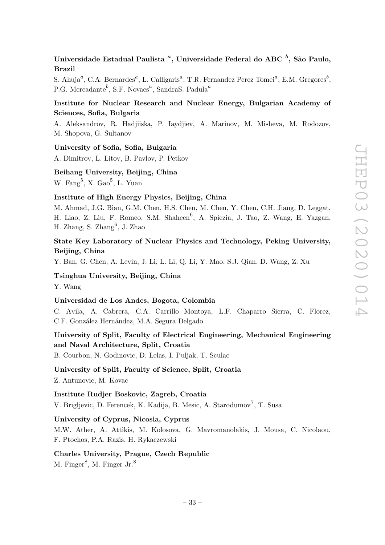# Universidade Estadual Paulista  $^a,$  Universidade Federal do ABC  $^b,$  São Paulo, Brazil

S. Ahuja<sup>a</sup>, C.A. Bernardes<sup>a</sup>, L. Calligaris<sup>a</sup>, T.R. Fernandez Perez Tomei<sup>a</sup>, E.M. Gregores<sup>b</sup>, P.G. Mercadante $^b$ , S.F. Novaes<sup>a</sup>, SandraS. Padula<sup>a</sup>

# Institute for Nuclear Research and Nuclear Energy, Bulgarian Academy of Sciences, Sofia, Bulgaria

A. Aleksandrov, R. Hadjiiska, P. Iaydjiev, A. Marinov, M. Misheva, M. Rodozov, M. Shopova, G. Sultanov

# University of Sofia, Sofia, Bulgaria

A. Dimitrov, L. Litov, B. Pavlov, P. Petkov

# Beihang University, Beijing, China W.  $\text{Fang}^5$ , X.  $\text{Gao}^5$ , L. Yuan

#### Institute of High Energy Physics, Beijing, China

M. Ahmad, J.G. Bian, G.M. Chen, H.S. Chen, M. Chen, Y. Chen, C.H. Jiang, D. Leggat, H. Liao, Z. Liu, F. Romeo, S.M. Shaheen<sup>6</sup>, A. Spiezia, J. Tao, Z. Wang, E. Yazgan, H. Zhang, S. Zhang<sup>6</sup>, J. Zhao

# State Key Laboratory of Nuclear Physics and Technology, Peking University, Beijing, China

Y. Ban, G. Chen, A. Levin, J. Li, L. Li, Q. Li, Y. Mao, S.J. Qian, D. Wang, Z. Xu

Tsinghua University, Beijing, China

Y. Wang

# Universidad de Los Andes, Bogota, Colombia

C. Avila, A. Cabrera, C.A. Carrillo Montoya, L.F. Chaparro Sierra, C. Florez, C.F. González Hernández, M.A. Segura Delgado

# University of Split, Faculty of Electrical Engineering, Mechanical Engineering and Naval Architecture, Split, Croatia

B. Courbon, N. Godinovic, D. Lelas, I. Puljak, T. Sculac

## University of Split, Faculty of Science, Split, Croatia

Z. Antunovic, M. Kovac

## Institute Rudjer Boskovic, Zagreb, Croatia

V. Brigljevic, D. Ferencek, K. Kadija, B. Mesic, A. Starodumov<sup>7</sup>, T. Susa

#### University of Cyprus, Nicosia, Cyprus

M.W. Ather, A. Attikis, M. Kolosova, G. Mavromanolakis, J. Mousa, C. Nicolaou, F. Ptochos, P.A. Razis, H. Rykaczewski

# Charles University, Prague, Czech Republic

M. Finger<sup>8</sup>, M. Finger Jr.<sup>8</sup>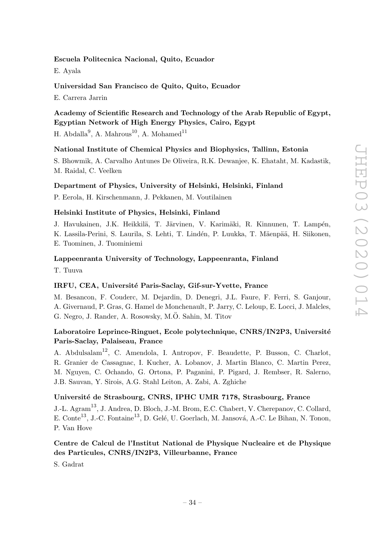# Escuela Politecnica Nacional, Quito, Ecuador

E. Ayala

## Universidad San Francisco de Quito, Quito, Ecuador

E. Carrera Jarrin

# Academy of Scientific Research and Technology of the Arab Republic of Egypt, Egyptian Network of High Energy Physics, Cairo, Egypt

H. Abdalla $^9$ , A. Mahrous<sup>10</sup>, A. Mohamed<sup>11</sup>

## National Institute of Chemical Physics and Biophysics, Tallinn, Estonia

S. Bhowmik, A. Carvalho Antunes De Oliveira, R.K. Dewanjee, K. Ehataht, M. Kadastik, M. Raidal, C. Veelken

## Department of Physics, University of Helsinki, Helsinki, Finland

P. Eerola, H. Kirschenmann, J. Pekkanen, M. Voutilainen

# Helsinki Institute of Physics, Helsinki, Finland

J. Havukainen, J.K. Heikkilä, T. Järvinen, V. Karimäki, R. Kinnunen, T. Lampén, K. Lassila-Perini, S. Laurila, S. Lehti, T. Lindén, P. Luukka, T. Mäenpää, H. Siikonen, E. Tuominen, J. Tuominiemi

# Lappeenranta University of Technology, Lappeenranta, Finland

T. Tuuva

## IRFU, CEA, Université Paris-Saclay, Gif-sur-Yvette, France

M. Besancon, F. Couderc, M. Dejardin, D. Denegri, J.L. Faure, F. Ferri, S. Ganjour, A. Givernaud, P. Gras, G. Hamel de Monchenault, P. Jarry, C. Leloup, E. Locci, J. Malcles, G. Negro, J. Rander, A. Rosowsky, M.O. Sahin, M. Titov ¨

# Laboratoire Leprince-Ringuet, Ecole polytechnique, CNRS/IN2P3, Université Paris-Saclay, Palaiseau, France

A. Abdulsalam12, C. Amendola, I. Antropov, F. Beaudette, P. Busson, C. Charlot, R. Granier de Cassagnac, I. Kucher, A. Lobanov, J. Martin Blanco, C. Martin Perez, M. Nguyen, C. Ochando, G. Ortona, P. Paganini, P. Pigard, J. Rembser, R. Salerno, J.B. Sauvan, Y. Sirois, A.G. Stahl Leiton, A. Zabi, A. Zghiche

# Universit´e de Strasbourg, CNRS, IPHC UMR 7178, Strasbourg, France

J.-L. Agram13, J. Andrea, D. Bloch, J.-M. Brom, E.C. Chabert, V. Cherepanov, C. Collard, E. Conte<sup>13</sup>, J.-C. Fontaine<sup>13</sup>, D. Gelé, U. Goerlach, M. Jansová, A.-C. Le Bihan, N. Tonon, P. Van Hove

# Centre de Calcul de l'Institut National de Physique Nucleaire et de Physique des Particules, CNRS/IN2P3, Villeurbanne, France

S. Gadrat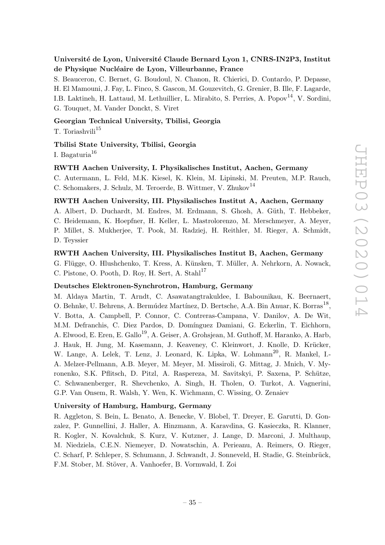# Université de Lyon, Université Claude Bernard Lyon 1, CNRS-IN2P3, Institut de Physique Nucléaire de Lyon, Villeurbanne, France

S. Beauceron, C. Bernet, G. Boudoul, N. Chanon, R. Chierici, D. Contardo, P. Depasse, H. El Mamouni, J. Fay, L. Finco, S. Gascon, M. Gouzevitch, G. Grenier, B. Ille, F. Lagarde, I.B. Laktineh, H. Lattaud, M. Lethuillier, L. Mirabito, S. Perries, A. Popov<sup>14</sup>, V. Sordini, G. Touquet, M. Vander Donckt, S. Viret

# Georgian Technical University, Tbilisi, Georgia

T. Toriashvili<sup>15</sup>

# Tbilisi State University, Tbilisi, Georgia

I. Bagaturia<sup>16</sup>

# RWTH Aachen University, I. Physikalisches Institut, Aachen, Germany

C. Autermann, L. Feld, M.K. Kiesel, K. Klein, M. Lipinski, M. Preuten, M.P. Rauch, C. Schomakers, J. Schulz, M. Teroerde, B. Wittmer, V. Zhukov<sup>14</sup>

# RWTH Aachen University, III. Physikalisches Institut A, Aachen, Germany

A. Albert, D. Duchardt, M. Endres, M. Erdmann, S. Ghosh, A. Güth, T. Hebbeker, C. Heidemann, K. Hoepfner, H. Keller, L. Mastrolorenzo, M. Merschmeyer, A. Meyer, P. Millet, S. Mukherjee, T. Pook, M. Radziej, H. Reithler, M. Rieger, A. Schmidt, D. Teyssier

## RWTH Aachen University, III. Physikalisches Institut B, Aachen, Germany

G. Flügge, O. Hlushchenko, T. Kress, A. Künsken, T. Müller, A. Nehrkorn, A. Nowack, C. Pistone, O. Pooth, D. Roy, H. Sert, A. Stahl<sup>17</sup>

# Deutsches Elektronen-Synchrotron, Hamburg, Germany

M. Aldaya Martin, T. Arndt, C. Asawatangtrakuldee, I. Babounikau, K. Beernaert, O. Behnke, U. Behrens, A. Bermúdez Martínez, D. Bertsche, A.A. Bin Anuar, K. Borras<sup>18</sup>, V. Botta, A. Campbell, P. Connor, C. Contreras-Campana, V. Danilov, A. De Wit, M.M. Defranchis, C. Diez Pardos, D. Dom´ınguez Damiani, G. Eckerlin, T. Eichhorn, A. Elwood, E. Eren, E. Gallo<sup>19</sup>, A. Geiser, A. Grohsjean, M. Guthoff, M. Haranko, A. Harb, J. Hauk, H. Jung, M. Kasemann, J. Keaveney, C. Kleinwort, J. Knolle, D. Krücker, W. Lange, A. Lelek, T. Lenz, J. Leonard, K. Lipka, W. Lohmann<sup>20</sup>, R. Mankel, I.-A. Melzer-Pellmann, A.B. Meyer, M. Meyer, M. Missiroli, G. Mittag, J. Mnich, V. Myronenko, S.K. Pflitsch, D. Pitzl, A. Raspereza, M. Savitskyi, P. Saxena, P. Schütze, C. Schwanenberger, R. Shevchenko, A. Singh, H. Tholen, O. Turkot, A. Vagnerini, G.P. Van Onsem, R. Walsh, Y. Wen, K. Wichmann, C. Wissing, O. Zenaiev

# University of Hamburg, Hamburg, Germany

R. Aggleton, S. Bein, L. Benato, A. Benecke, V. Blobel, T. Dreyer, E. Garutti, D. Gonzalez, P. Gunnellini, J. Haller, A. Hinzmann, A. Karavdina, G. Kasieczka, R. Klanner, R. Kogler, N. Kovalchuk, S. Kurz, V. Kutzner, J. Lange, D. Marconi, J. Multhaup, M. Niedziela, C.E.N. Niemeyer, D. Nowatschin, A. Perieanu, A. Reimers, O. Rieger, C. Scharf, P. Schleper, S. Schumann, J. Schwandt, J. Sonneveld, H. Stadie, G. Steinbrück, F.M. Stober, M. Stöver, A. Vanhoefer, B. Vormwald, I. Zoi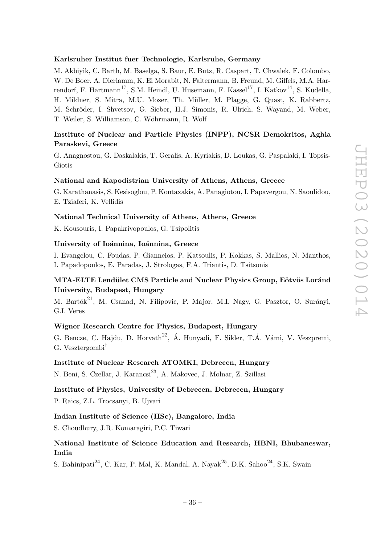# Karlsruher Institut fuer Technologie, Karlsruhe, Germany

M. Akbiyik, C. Barth, M. Baselga, S. Baur, E. Butz, R. Caspart, T. Chwalek, F. Colombo, W. De Boer, A. Dierlamm, K. El Morabit, N. Faltermann, B. Freund, M. Giffels, M.A. Harrendorf, F. Hartmann<sup>17</sup>, S.M. Heindl, U. Husemann, F. Kassel<sup>17</sup>, I. Katkov<sup>14</sup>, S. Kudella, H. Mildner, S. Mitra, M.U. Mozer, Th. Müller, M. Plagge, G. Quast, K. Rabbertz, M. Schröder, I. Shvetsov, G. Sieber, H.J. Simonis, R. Ulrich, S. Wayand, M. Weber, T. Weiler, S. Williamson, C. Wöhrmann, R. Wolf

# Institute of Nuclear and Particle Physics (INPP), NCSR Demokritos, Aghia Paraskevi, Greece

G. Anagnostou, G. Daskalakis, T. Geralis, A. Kyriakis, D. Loukas, G. Paspalaki, I. Topsis-Giotis

# National and Kapodistrian University of Athens, Athens, Greece

G. Karathanasis, S. Kesisoglou, P. Kontaxakis, A. Panagiotou, I. Papavergou, N. Saoulidou, E. Tziaferi, K. Vellidis

# National Technical University of Athens, Athens, Greece

K. Kousouris, I. Papakrivopoulos, G. Tsipolitis

# University of Ioánnina, Ioánnina, Greece

I. Evangelou, C. Foudas, P. Gianneios, P. Katsoulis, P. Kokkas, S. Mallios, N. Manthos, I. Papadopoulos, E. Paradas, J. Strologas, F.A. Triantis, D. Tsitsonis

# MTA-ELTE Lendület CMS Particle and Nuclear Physics Group, Eötvös Loránd University, Budapest, Hungary

M. Bartók<sup>21</sup>, M. Csanad, N. Filipovic, P. Major, M.I. Nagy, G. Pasztor, O. Surányi, G.I. Veres

# Wigner Research Centre for Physics, Budapest, Hungary

G. Bencze, C. Hajdu, D. Horvath<sup>22</sup>, Á. Hunyadi, F. Sikler, T.Á. Vámi, V. Veszpremi, G. Vesztergombi†

# Institute of Nuclear Research ATOMKI, Debrecen, Hungary

N. Beni, S. Czellar, J. Karancsi<sup>23</sup>, A. Makovec, J. Molnar, Z. Szillasi

# Institute of Physics, University of Debrecen, Debrecen, Hungary

P. Raics, Z.L. Trocsanyi, B. Ujvari

# Indian Institute of Science (IISc), Bangalore, India

S. Choudhury, J.R. Komaragiri, P.C. Tiwari

# National Institute of Science Education and Research, HBNI, Bhubaneswar, India

S. Bahinipati<sup>24</sup>, C. Kar, P. Mal, K. Mandal, A. Nayak<sup>25</sup>, D.K. Sahoo<sup>24</sup>, S.K. Swain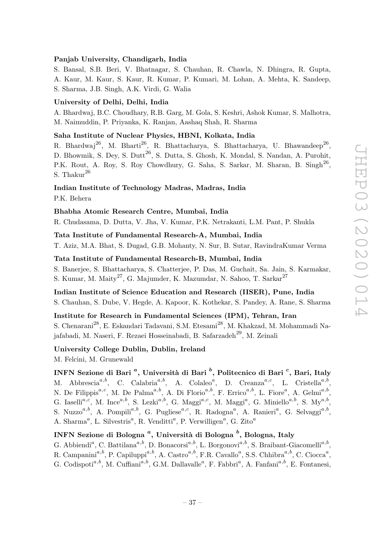## Panjab University, Chandigarh, India

S. Bansal, S.B. Beri, V. Bhatnagar, S. Chauhan, R. Chawla, N. Dhingra, R. Gupta, A. Kaur, M. Kaur, S. Kaur, R. Kumar, P. Kumari, M. Lohan, A. Mehta, K. Sandeep, S. Sharma, J.B. Singh, A.K. Virdi, G. Walia

# University of Delhi, Delhi, India

A. Bhardwaj, B.C. Choudhary, R.B. Garg, M. Gola, S. Keshri, Ashok Kumar, S. Malhotra, M. Naimuddin, P. Priyanka, K. Ranjan, Aashaq Shah, R. Sharma

# Saha Institute of Nuclear Physics, HBNI, Kolkata, India

R. Bhardwaj<sup>26</sup>, M. Bharti<sup>26</sup>, R. Bhattacharya, S. Bhattacharya, U. Bhawandeep<sup>26</sup>, D. Bhowmik, S. Dey, S. Dutt<sup>26</sup>, S. Dutta, S. Ghosh, K. Mondal, S. Nandan, A. Purohit, P.K. Rout, A. Roy, S. Roy Chowdhury, G. Saha, S. Sarkar, M. Sharan, B. Singh<sup>26</sup>, S. Thakur $^{26}$ 

# Indian Institute of Technology Madras, Madras, India

P.K. Behera

### Bhabha Atomic Research Centre, Mumbai, India

R. Chudasama, D. Dutta, V. Jha, V. Kumar, P.K. Netrakanti, L.M. Pant, P. Shukla

#### Tata Institute of Fundamental Research-A, Mumbai, India

T. Aziz, M.A. Bhat, S. Dugad, G.B. Mohanty, N. Sur, B. Sutar, RavindraKumar Verma

## Tata Institute of Fundamental Research-B, Mumbai, India

S. Banerjee, S. Bhattacharya, S. Chatterjee, P. Das, M. Guchait, Sa. Jain, S. Karmakar, S. Kumar, M. Maity<sup>27</sup>, G. Majumder, K. Mazumdar, N. Sahoo, T. Sarkar<sup>27</sup>

# Indian Institute of Science Education and Research (IISER), Pune, India S. Chauhan, S. Dube, V. Hegde, A. Kapoor, K. Kothekar, S. Pandey, A. Rane, S. Sharma

# Institute for Research in Fundamental Sciences (IPM), Tehran, Iran

S. Chenarani28, E. Eskandari Tadavani, S.M. Etesami28, M. Khakzad, M. Mohammadi Najafabadi, M. Naseri, F. Rezaei Hosseinabadi, B. Safarzadeh<sup>29</sup>, M. Zeinali

# University College Dublin, Dublin, Ireland

M. Felcini, M. Grunewald

# INFN Sezione di Bari <sup>a</sup>, Università di Bari <sup>b</sup>, Politecnico di Bari <sup>c</sup>, Bari, Italy M. Abbrescia $a,b$ , C. Calabria $a,b$ , A. Colaleo<sup>a</sup>, D. Creanza $a,c$ , L. Cristella $a,b$ , N. De Filippis<sup>a,c</sup>, M. De Palma<sup>a,b</sup>, A. Di Florio<sup>a,b</sup>, F. Errico<sup>a,b</sup>, L. Fiore<sup>a</sup>, A. Gelmi<sup>a,b</sup>, G. Iaselli<sup>a,c</sup>, M. Ince<sup>a,b</sup>, S. Lezki<sup>a,b</sup>, G. Maggi<sup>a,c</sup>, M. Maggi<sup>a</sup>, G. Miniello<sup>a,b</sup>, S. My<sup>a,b</sup>, S. Nuzzo<sup>a,b</sup>, A. Pompili<sup>a,b</sup>, G. Pugliese<sup>a,c</sup>, R. Radogna<sup>a</sup>, A. Ranieri<sup>a</sup>, G. Selvaggi<sup>a,b</sup>, A. Sharma<sup>a</sup>, L. Silvestris<sup>a</sup>, R. Venditti<sup>a</sup>, P. Verwilligen<sup>a</sup>, G. Zito<sup>a</sup>

# INFN Sezione di Bologna  $^a,$  Università di Bologna  $^b,$  Bologna, Italy

G. Abbiendi<sup>a</sup>, C. Battilana<sup>a,b</sup>, D. Bonacorsi<sup>a,b</sup>, L. Borgonovi<sup>a,b</sup>, S. Braibant-Giacomelli<sup>a,b</sup>, R. Campanini<sup>a,b</sup>, P. Capiluppi<sup>a,b</sup>, A. Castro<sup>a,b</sup>, F.R. Cavallo<sup>a</sup>, S.S. Chhibra<sup>a,b</sup>, C. Ciocca<sup>a</sup>, G. Codispoti<sup>a,b</sup>, M. Cuffiani<sup>a,b</sup>, G.M. Dallavalle<sup>a</sup>, F. Fabbri<sup>a</sup>, A. Fanfani<sup>a,b</sup>, E. Fontanesi,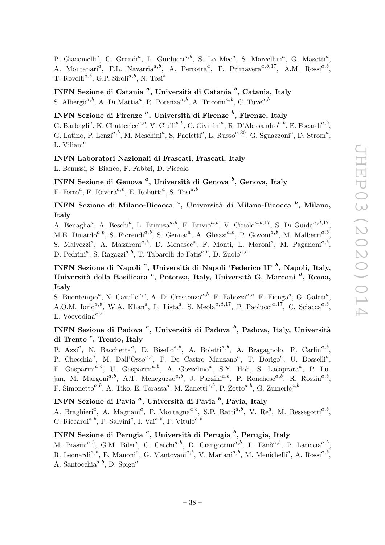P. Giacomelli<sup>a</sup>, C. Grandi<sup>a</sup>, L. Guiducci<sup>a,b</sup>, S. Lo Meo<sup>a</sup>, S. Marcellini<sup>a</sup>, G. Masetti<sup>a</sup>, A. Montanari<sup>a</sup>, F.L. Navarria<sup>a,b</sup>, A. Perrotta<sup>a</sup>, F. Primavera<sup>a,b,17</sup>, A.M. Rossi<sup>a,b</sup>, T. Rovelli<sup>a,b</sup>, G.P. Siroli<sup>a,b</sup>, N. Tosi<sup>a</sup>

INFN Sezione di Catania  $^a,$  Università di Catania  $^b,$  Catania, Italy

S. Albergo<sup>a,b</sup>, A. Di Mattia<sup>a</sup>, R. Potenza<sup>a,b</sup>, A. Tricomi<sup>a,b</sup>, C. Tuve<sup>a,b</sup>

# INFN Sezione di Firenze  $^a,$  Università di Firenze  $^b,$  Firenze, Italy

G. Barbagli<sup>a</sup>, K. Chatterjee<sup>a,b</sup>, V. Ciulli<sup>a,b</sup>, C. Civinini<sup>a</sup>, R. D'Alessandro<sup>a,b</sup>, E. Focardi<sup>a,b</sup>, G. Latino, P. Lenzi<sup>a,b</sup>, M. Meschini<sup>a</sup>, S. Paoletti<sup>a</sup>, L. Russo<sup>a, 30</sup>, G. Sguazzoni<sup>a</sup>, D. Strom<sup>a</sup>, L. Viliani $^a$ 

# INFN Laboratori Nazionali di Frascati, Frascati, Italy

L. Benussi, S. Bianco, F. Fabbri, D. Piccolo

INFN Sezione di Genova  $^a,$  Università di Genova  $^b,$  Genova, Italy F. Ferro<sup>a</sup>, F. Ravera<sup> $a,b$ </sup>, E. Robutti<sup>a</sup>, S. Tosi<sup> $a,b$ </sup>

# INFN Sezione di Milano-Bicocca  $^a$ , Università di Milano-Bicocca  $^b$ , Milano, Italy

A. Benaglia<sup>a</sup>, A. Beschi<sup>b</sup>, L. Brianza<sup>a,b</sup>, F. Brivio<sup>a,b</sup>, V. Ciriolo<sup>a,b,17</sup>, S. Di Guida<sup>a,d,17</sup>, M.E. Dinardo<sup>a,b</sup>, S. Fiorendi<sup>a,b</sup>, S. Gennai<sup>a</sup>, A. Ghezzi<sup>a,b</sup>, P. Govoni<sup>a,b</sup>, M. Malberti<sup>a,b</sup>, S. Malvezzi<sup>a</sup>, A. Massironi<sup>a,b</sup>, D. Menasce<sup>a</sup>, F. Monti, L. Moroni<sup>a</sup>, M. Paganoni<sup>a,b</sup>, D. Pedrini<sup>a</sup>, S. Ragazzi<sup>a,b</sup>, T. Tabarelli de Fatis<sup>a,b</sup>, D. Zuolo<sup>a,b</sup>

# INFN Sezione di Napoli  $^a$ , Università di Napoli 'Federico II'  $^b$ , Napoli, Italy, Università della Basilicata  $^c$ , Potenza, Italy, Università G. Marconi  $^d$ , Roma, Italy

S. Buontempo<sup>a</sup>, N. Cavallo<sup>a,c</sup>, A. Di Crescenzo<sup>a,b</sup>, F. Fabozzi<sup>a,c</sup>, F. Fienga<sup>a</sup>, G. Galati<sup>a</sup>, A.O.M. Iorio<sup>a,b</sup>, W.A. Khan<sup>a</sup>, L. Lista<sup>a</sup>, S. Meola<sup>a,d,17</sup>, P. Paolucci<sup>a,17</sup>, C. Sciacca<sup>a,b</sup>, E. Voevodina $a,b$ 

# INFN Sezione di Padova  $^a$ , Università di Padova  $^b$ , Padova, Italy, Università di Trento <sup>c</sup>, Trento, Italy

P. Azzi<sup>a</sup>, N. Bacchetta<sup>a</sup>, D. Bisello<sup>a,b</sup>, A. Boletti<sup>a,b</sup>, A. Bragagnolo, R. Carlin<sup>a,b</sup>, P. Checchia<sup>a</sup>, M. Dall'Osso<sup>a,b</sup>, P. De Castro Manzano<sup>a</sup>, T. Dorigo<sup>a</sup>, U. Dosselli<sup>a</sup>, F. Gasparini<sup>a,b</sup>, U. Gasparini<sup>a,b</sup>, A. Gozzelino<sup>a</sup>, S.Y. Hoh, S. Lacaprara<sup>a</sup>, P. Lujan, M. Margoni<sup>a,b</sup>, A.T. Meneguzzo<sup>a,b</sup>, J. Pazzini<sup>a,b</sup>, P. Ronchese<sup>a,b</sup>, R. Rossin<sup>a,b</sup>, F. Simonetto<sup>a,b</sup>, A. Tiko, E. Torassa<sup>a</sup>, M. Zanetti<sup>a,b</sup>, P. Zotto<sup>a,b</sup>, G. Zumerle<sup>a,b</sup>

# INFN Sezione di Pavia <sup>a</sup>, Università di Pavia <sup>b</sup>, Pavia, Italy

A. Braghieri<sup>a</sup>, A. Magnani<sup>a</sup>, P. Montagna<sup>a,b</sup>, S.P. Ratti<sup>a,b</sup>, V. Re<sup>a</sup>, M. Ressegotti<sup>a,b</sup>, C. Riccardi<sup>a,b</sup>, P. Salvini<sup>a</sup>, I. Vai<sup>a,b</sup>, P. Vitulo<sup>a,b</sup>

# INFN Sezione di Perugia  $^a,$  Università di Perugia  $^b,$  Perugia, Italy

M. Biasini<sup>a,b</sup>, G.M. Bilei<sup>a</sup>, C. Cecchi<sup>a,b</sup>, D. Ciangottini<sup>a,b</sup>, L. Fanò<sup>a,b</sup>, P. Lariccia<sup>a,b</sup>, R. Leonardi<sup>a,b</sup>, E. Manoni<sup>a</sup>, G. Mantovani<sup>a,b</sup>, V. Mariani<sup>a,b</sup>, M. Menichelli<sup>a</sup>, A. Rossi<sup>a,b</sup>, A. Santocchia<sup>a,b</sup>, D. Spiga<sup>a</sup>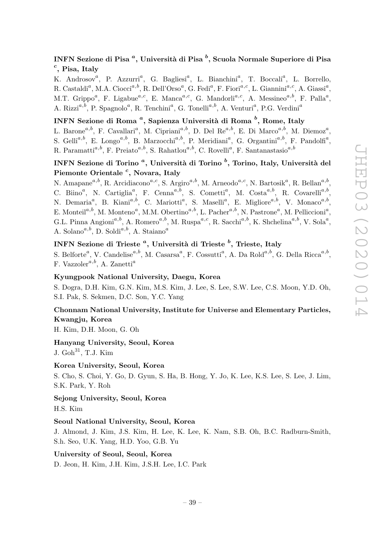# INFN Sezione di Pisa  $^a,$  Università di Pisa  $^b,$  Scuola Normale Superiore di Pisa  $^c$ , Pisa, Italy

K. Androsov<sup>a</sup>, P. Azzurri<sup>a</sup>, G. Bagliesi<sup>a</sup>, L. Bianchini<sup>a</sup>, T. Boccali<sup>a</sup>, L. Borrello, R. Castaldi<sup>a</sup>, M.A. Ciocci<sup>a,b</sup>, R. Dell'Orso<sup>a</sup>, G. Fedi<sup>a</sup>, F. Fiori<sup>a,c</sup>, L. Giannini<sup>a,c</sup>, A. Giassi<sup>a</sup>, M.T. Grippo<sup>a</sup>, F. Ligabue<sup>a,c</sup>, E. Manca<sup>a,c</sup>, G. Mandorli<sup>a,c</sup>, A. Messineo<sup>a,b</sup>, F. Palla<sup>a</sup>, A. Rizzi<sup>a,b</sup>, P. Spagnolo<sup>a</sup>, R. Tenchini<sup>a</sup>, G. Tonelli<sup>a,b</sup>, A. Venturi<sup>a</sup>, P.G. Verdini<sup>a</sup>

# INFN Sezione di Roma  $^a,$  Sapienza Università di Roma  $^b,$  Rome, Italy

L. Barone<sup>a,b</sup>, F. Cavallari<sup>a</sup>, M. Cipriani<sup>a,b</sup>, D. Del Re<sup>a,b</sup>, E. Di Marco<sup>a,b</sup>, M. Diemoz<sup>a</sup>, S. Gelli<sup>a,b</sup>, E. Longo<sup>a,b</sup>, B. Marzocchi<sup>a,b</sup>, P. Meridiani<sup>a</sup>, G. Organtini<sup>a,b</sup>, F. Pandolfi<sup>a</sup>, R. Paramatti<sup>a,b</sup>, F. Preiato<sup>a,b</sup>, S. Rahatlou<sup>a,b</sup>, C. Rovelli<sup>a</sup>, F. Santanastasio<sup>a,b</sup>

# INFN Sezione di Torino  $^a,$  Università di Torino  $^b,$  Torino, Italy, Università del Piemonte Orientale <sup>c</sup>, Novara, Italy

N. Amapane ${}^{a,b}$ , R. Arcidiacono ${}^{a,c}$ , S. Argiro ${}^{a,b}$ , M. Arneodo ${}^{a,c}$ , N. Bartosik ${}^{a}$ , R. Bellan ${}^{a,b}$ , C. Biino<sup>a</sup>, N. Cartiglia<sup>a</sup>, F. Cenna<sup>a,b</sup>, S. Cometti<sup>a</sup>, M. Costa<sup>a,b</sup>, R. Covarelli<sup>a,b</sup>, N. Demaria<sup>a</sup>, B. Kiani<sup>a,b</sup>, C. Mariotti<sup>a</sup>, S. Maselli<sup>a</sup>, E. Migliore<sup>a,b</sup>, V. Monaco<sup>a,b</sup>, E. Monteil<sup>a,b</sup>, M. Monteno<sup>a</sup>, M.M. Obertino<sup>a,b</sup>, L. Pacher<sup>a,b</sup>, N. Pastrone<sup>a</sup>, M. Pelliccioni<sup>a</sup>, G.L. Pinna Angioni<sup>a,b</sup>, A. Romero<sup>a,b</sup>, M. Ruspa<sup>a,c</sup>, R. Sacchi<sup>a,b</sup>, K. Shchelina<sup>a,b</sup>, V. Sola<sup>a</sup>, A. Solano<sup>a,b</sup>, D. Soldi<sup>a,b</sup>, A. Staiano<sup>a</sup>

# INFN Sezione di Trieste  $^a,$  Università di Trieste  $^b,$  Trieste, Italy

S. Belforte<sup>a</sup>, V. Candelise<sup>a,b</sup>, M. Casarsa<sup>a</sup>, F. Cossutti<sup>a</sup>, A. Da Rold<sup>a,b</sup>, G. Della Ricca<sup>a,b</sup>, F. Vazzoler<sup> $a,b$ </sup>, A. Zanetti<sup>a</sup>

# Kyungpook National University, Daegu, Korea

S. Dogra, D.H. Kim, G.N. Kim, M.S. Kim, J. Lee, S. Lee, S.W. Lee, C.S. Moon, Y.D. Oh, S.I. Pak, S. Sekmen, D.C. Son, Y.C. Yang

# Chonnam National University, Institute for Universe and Elementary Particles, Kwangju, Korea

H. Kim, D.H. Moon, G. Oh

# Hanyang University, Seoul, Korea

J.  $\text{Goh}^{31}$ , T.J. Kim

# Korea University, Seoul, Korea

S. Cho, S. Choi, Y. Go, D. Gyun, S. Ha, B. Hong, Y. Jo, K. Lee, K.S. Lee, S. Lee, J. Lim, S.K. Park, Y. Roh

Sejong University, Seoul, Korea H.S. Kim

## Seoul National University, Seoul, Korea

J. Almond, J. Kim, J.S. Kim, H. Lee, K. Lee, K. Nam, S.B. Oh, B.C. Radburn-Smith, S.h. Seo, U.K. Yang, H.D. Yoo, G.B. Yu

# University of Seoul, Seoul, Korea

D. Jeon, H. Kim, J.H. Kim, J.S.H. Lee, I.C. Park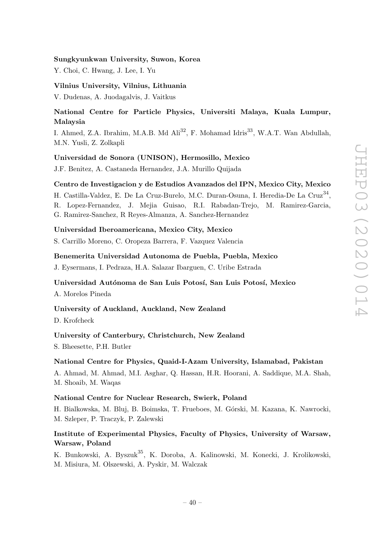## Sungkyunkwan University, Suwon, Korea

Y. Choi, C. Hwang, J. Lee, I. Yu

### Vilnius University, Vilnius, Lithuania

V. Dudenas, A. Juodagalvis, J. Vaitkus

# National Centre for Particle Physics, Universiti Malaya, Kuala Lumpur, Malaysia

I. Ahmed, Z.A. Ibrahim, M.A.B. Md Ali<sup>32</sup>, F. Mohamad Idris<sup>33</sup>, W.A.T. Wan Abdullah, M.N. Yusli, Z. Zolkapli

#### Universidad de Sonora (UNISON), Hermosillo, Mexico

J.F. Benitez, A. Castaneda Hernandez, J.A. Murillo Quijada

## Centro de Investigacion y de Estudios Avanzados del IPN, Mexico City, Mexico

H. Castilla-Valdez, E. De La Cruz-Burelo, M.C. Duran-Osuna, I. Heredia-De La Cruz<sup>34</sup>, R. Lopez-Fernandez, J. Mejia Guisao, R.I. Rabadan-Trejo, M. Ramirez-Garcia, G. Ramirez-Sanchez, R Reyes-Almanza, A. Sanchez-Hernandez

# Universidad Iberoamericana, Mexico City, Mexico

S. Carrillo Moreno, C. Oropeza Barrera, F. Vazquez Valencia

#### Benemerita Universidad Autonoma de Puebla, Puebla, Mexico

J. Eysermans, I. Pedraza, H.A. Salazar Ibarguen, C. Uribe Estrada

# Universidad Autónoma de San Luis Potosí, San Luis Potosí, Mexico

A. Morelos Pineda

# University of Auckland, Auckland, New Zealand

D. Krofcheck

# University of Canterbury, Christchurch, New Zealand

S. Bheesette, P.H. Butler

#### National Centre for Physics, Quaid-I-Azam University, Islamabad, Pakistan

A. Ahmad, M. Ahmad, M.I. Asghar, Q. Hassan, H.R. Hoorani, A. Saddique, M.A. Shah, M. Shoaib, M. Waqas

#### National Centre for Nuclear Research, Swierk, Poland

H. Bialkowska, M. Bluj, B. Boimska, T. Frueboes, M. G´orski, M. Kazana, K. Nawrocki, M. Szleper, P. Traczyk, P. Zalewski

# Institute of Experimental Physics, Faculty of Physics, University of Warsaw, Warsaw, Poland

K. Bunkowski, A. Byszuk<sup>35</sup>, K. Doroba, A. Kalinowski, M. Konecki, J. Krolikowski, M. Misiura, M. Olszewski, A. Pyskir, M. Walczak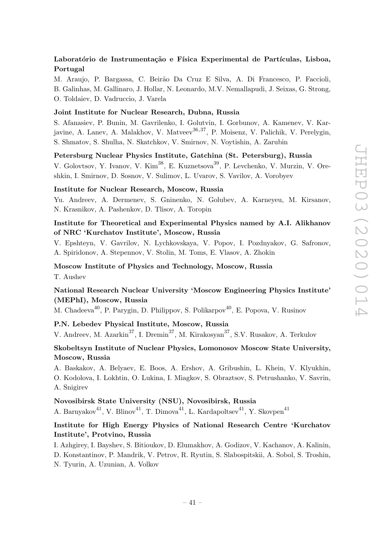# Laboratório de Instrumentação e Física Experimental de Partículas, Lisboa, Portugal

M. Araujo, P. Bargassa, C. Beirão Da Cruz E Silva, A. Di Francesco, P. Faccioli, B. Galinhas, M. Gallinaro, J. Hollar, N. Leonardo, M.V. Nemallapudi, J. Seixas, G. Strong, O. Toldaiev, D. Vadruccio, J. Varela

# Joint Institute for Nuclear Research, Dubna, Russia

S. Afanasiev, P. Bunin, M. Gavrilenko, I. Golutvin, I. Gorbunov, A. Kamenev, V. Karjavine, A. Lanev, A. Malakhov, V. Matveev<sup>36,37</sup>, P. Moisenz, V. Palichik, V. Perelygin, S. Shmatov, S. Shulha, N. Skatchkov, V. Smirnov, N. Voytishin, A. Zarubin

# Petersburg Nuclear Physics Institute, Gatchina (St. Petersburg), Russia

V. Golovtsov, Y. Ivanov, V. Kim<sup>38</sup>, E. Kuznetsova<sup>39</sup>, P. Levchenko, V. Murzin, V. Oreshkin, I. Smirnov, D. Sosnov, V. Sulimov, L. Uvarov, S. Vavilov, A. Vorobyev

# Institute for Nuclear Research, Moscow, Russia

Yu. Andreev, A. Dermenev, S. Gninenko, N. Golubev, A. Karneyeu, M. Kirsanov, N. Krasnikov, A. Pashenkov, D. Tlisov, A. Toropin

# Institute for Theoretical and Experimental Physics named by A.I. Alikhanov of NRC 'Kurchatov Institute', Moscow, Russia

V. Epshteyn, V. Gavrilov, N. Lychkovskaya, V. Popov, I. Pozdnyakov, G. Safronov, A. Spiridonov, A. Stepennov, V. Stolin, M. Toms, E. Vlasov, A. Zhokin

Moscow Institute of Physics and Technology, Moscow, Russia T. Aushev

# National Research Nuclear University 'Moscow Engineering Physics Institute' (MEPhI), Moscow, Russia

M. Chadeeva<sup>40</sup>, P. Parygin, D. Philippov, S. Polikarpov<sup>40</sup>, E. Popova, V. Rusinov

# P.N. Lebedev Physical Institute, Moscow, Russia

V. Andreev, M. Azarkin<sup>37</sup>, I. Dremin<sup>37</sup>, M. Kirakosyan<sup>37</sup>, S.V. Rusakov, A. Terkulov

# Skobeltsyn Institute of Nuclear Physics, Lomonosov Moscow State University, Moscow, Russia

A. Baskakov, A. Belyaev, E. Boos, A. Ershov, A. Gribushin, L. Khein, V. Klyukhin, O. Kodolova, I. Lokhtin, O. Lukina, I. Miagkov, S. Obraztsov, S. Petrushanko, V. Savrin, A. Snigirev

# Novosibirsk State University (NSU), Novosibirsk, Russia

A. Barnyakov<sup>41</sup>, V. Blinov<sup>41</sup>, T. Dimova<sup>41</sup>, L. Kardapoltsev<sup>41</sup>, Y. Skovpen<sup>41</sup>

# Institute for High Energy Physics of National Research Centre 'Kurchatov Institute', Protvino, Russia

I. Azhgirey, I. Bayshev, S. Bitioukov, D. Elumakhov, A. Godizov, V. Kachanov, A. Kalinin, D. Konstantinov, P. Mandrik, V. Petrov, R. Ryutin, S. Slabospitskii, A. Sobol, S. Troshin, N. Tyurin, A. Uzunian, A. Volkov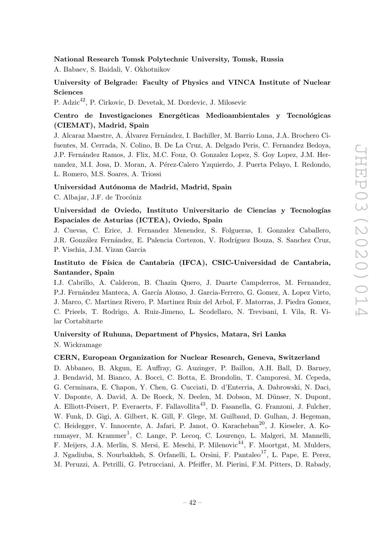#### National Research Tomsk Polytechnic University, Tomsk, Russia

A. Babaev, S. Baidali, V. Okhotnikov

# University of Belgrade: Faculty of Physics and VINCA Institute of Nuclear Sciences

P. Adzic<sup>42</sup>, P. Cirkovic, D. Devetak, M. Dordevic, J. Milosevic

# Centro de Investigaciones Energéticas Medioambientales y Tecnológicas (CIEMAT), Madrid, Spain

J. Alcaraz Maestre, A. Álvarez Fernández, I. Bachiller, M. Barrio Luna, J.A. Brochero Cifuentes, M. Cerrada, N. Colino, B. De La Cruz, A. Delgado Peris, C. Fernandez Bedoya, J.P. Fern´andez Ramos, J. Flix, M.C. Fouz, O. Gonzalez Lopez, S. Goy Lopez, J.M. Hernandez, M.I. Josa, D. Moran, A. Pérez-Calero Yzquierdo, J. Puerta Pelayo, I. Redondo, L. Romero, M.S. Soares, A. Triossi

## Universidad Autónoma de Madrid, Madrid, Spain

C. Albajar, J.F. de Trocóniz

# Universidad de Oviedo, Instituto Universitario de Ciencias y Tecnologías Espaciales de Asturias (ICTEA), Oviedo, Spain

J. Cuevas, C. Erice, J. Fernandez Menendez, S. Folgueras, I. Gonzalez Caballero, J.R. González Fernández, E. Palencia Cortezon, V. Rodríguez Bouza, S. Sanchez Cruz, P. Vischia, J.M. Vizan Garcia

# Instituto de Física de Cantabria (IFCA), CSIC-Universidad de Cantabria, Santander, Spain

I.J. Cabrillo, A. Calderon, B. Chazin Quero, J. Duarte Campderros, M. Fernandez, P.J. Fernández Manteca, A. García Alonso, J. Garcia-Ferrero, G. Gomez, A. Lopez Virto, J. Marco, C. Martinez Rivero, P. Martinez Ruiz del Arbol, F. Matorras, J. Piedra Gomez, C. Prieels, T. Rodrigo, A. Ruiz-Jimeno, L. Scodellaro, N. Trevisani, I. Vila, R. Vilar Cortabitarte

University of Ruhuna, Department of Physics, Matara, Sri Lanka N. Wickramage

# CERN, European Organization for Nuclear Research, Geneva, Switzerland

D. Abbaneo, B. Akgun, E. Auffray, G. Auzinger, P. Baillon, A.H. Ball, D. Barney, J. Bendavid, M. Bianco, A. Bocci, C. Botta, E. Brondolin, T. Camporesi, M. Cepeda, G. Cerminara, E. Chapon, Y. Chen, G. Cucciati, D. d'Enterria, A. Dabrowski, N. Daci, V. Daponte, A. David, A. De Roeck, N. Deelen, M. Dobson, M. Dünser, N. Dupont, A. Elliott-Peisert, P. Everaerts, F. Fallavollita<sup>43</sup>, D. Fasanella, G. Franzoni, J. Fulcher, W. Funk, D. Gigi, A. Gilbert, K. Gill, F. Glege, M. Guilbaud, D. Gulhan, J. Hegeman, C. Heidegger, V. Innocente, A. Jafari, P. Janot, O. Karacheban<sup>20</sup>, J. Kieseler, A. Kornmayer, M. Krammer<sup>1</sup>, C. Lange, P. Lecoq, C. Lourenço, L. Malgeri, M. Mannelli, F. Meijers, J.A. Merlin, S. Mersi, E. Meschi, P. Milenovic<sup>44</sup>, F. Moortgat, M. Mulders, J. Ngadiuba, S. Nourbakhsh, S. Orfanelli, L. Orsini, F. Pantaleo<sup>17</sup>, L. Pape, E. Perez, M. Peruzzi, A. Petrilli, G. Petrucciani, A. Pfeiffer, M. Pierini, F.M. Pitters, D. Rabady,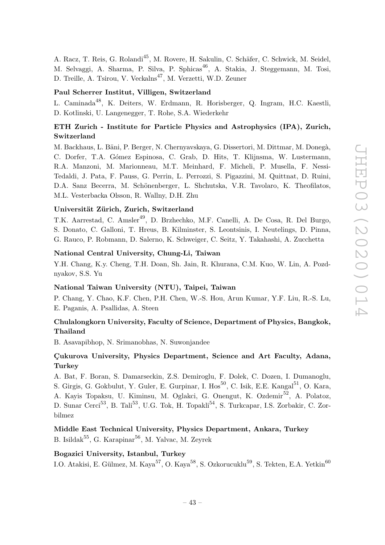A. Racz, T. Reis, G. Rolandi<sup>45</sup>, M. Rovere, H. Sakulin, C. Schäfer, C. Schwick, M. Seidel, M. Selvaggi, A. Sharma, P. Silva, P. Sphicas<sup>46</sup>, A. Stakia, J. Steggemann, M. Tosi, D. Treille, A. Tsirou, V. Veckalns<sup>47</sup>, M. Verzetti, W.D. Zeuner

## Paul Scherrer Institut, Villigen, Switzerland

L. Caminada<sup>48</sup>, K. Deiters, W. Erdmann, R. Horisberger, Q. Ingram, H.C. Kaestli, D. Kotlinski, U. Langenegger, T. Rohe, S.A. Wiederkehr

# ETH Zurich - Institute for Particle Physics and Astrophysics (IPA), Zurich, Switzerland

M. Backhaus, L. Bäni, P. Berger, N. Chernyavskaya, G. Dissertori, M. Dittmar, M. Donegà, C. Dorfer, T.A. Gómez Espinosa, C. Grab, D. Hits, T. Klijnsma, W. Lustermann, R.A. Manzoni, M. Marionneau, M.T. Meinhard, F. Micheli, P. Musella, F. Nessi-Tedaldi, J. Pata, F. Pauss, G. Perrin, L. Perrozzi, S. Pigazzini, M. Quittnat, D. Ruini, D.A. Sanz Becerra, M. Schönenberger, L. Shchutska, V.R. Tavolaro, K. Theofilatos, M.L. Vesterbacka Olsson, R. Wallny, D.H. Zhu

## Universität Zürich, Zurich, Switzerland

T.K. Aarrestad, C. Amsler<sup>49</sup>, D. Brzhechko, M.F. Canelli, A. De Cosa, R. Del Burgo, S. Donato, C. Galloni, T. Hreus, B. Kilminster, S. Leontsinis, I. Neutelings, D. Pinna, G. Rauco, P. Robmann, D. Salerno, K. Schweiger, C. Seitz, Y. Takahashi, A. Zucchetta

#### National Central University, Chung-Li, Taiwan

Y.H. Chang, K.y. Cheng, T.H. Doan, Sh. Jain, R. Khurana, C.M. Kuo, W. Lin, A. Pozdnyakov, S.S. Yu

# National Taiwan University (NTU), Taipei, Taiwan

P. Chang, Y. Chao, K.F. Chen, P.H. Chen, W.-S. Hou, Arun Kumar, Y.F. Liu, R.-S. Lu, E. Paganis, A. Psallidas, A. Steen

# Chulalongkorn University, Faculty of Science, Department of Physics, Bangkok, Thailand

B. Asavapibhop, N. Srimanobhas, N. Suwonjandee

# Çukurova University, Physics Department, Science and Art Faculty, Adana, **Turkey**

A. Bat, F. Boran, S. Damarseckin, Z.S. Demiroglu, F. Dolek, C. Dozen, I. Dumanoglu, S. Girgis, G. Gokbulut, Y. Guler, E. Gurpinar, I.  $Hos<sup>50</sup>$ , C. Isik, E.E. Kangal<sup>51</sup>, O. Kara, A. Kayis Topaksu, U. Kiminsu, M. Oglakci, G. Onengut, K. Ozdemir<sup>52</sup>, A. Polatoz, D. Sunar Cerci<sup>53</sup>, B. Tali<sup>53</sup>, U.G. Tok, H. Topakli<sup>54</sup>, S. Turkcapar, I.S. Zorbakir, C. Zorbilmez

# Middle East Technical University, Physics Department, Ankara, Turkey B. Isildak<sup>55</sup>, G. Karapinar<sup>56</sup>, M. Yalvac, M. Zeyrek

## Bogazici University, Istanbul, Turkey

I.O. Atakisi, E. Gülmez, M. Kaya<sup>57</sup>, O. Kaya<sup>58</sup>, S. Ozkorucuklu<sup>59</sup>, S. Tekten, E.A. Yetkin<sup>60</sup>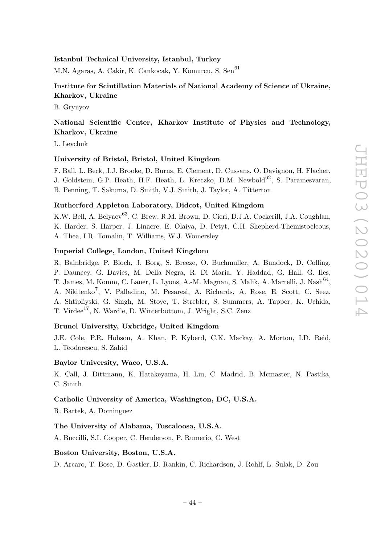## Istanbul Technical University, Istanbul, Turkey

M.N. Agaras, A. Cakir, K. Cankocak, Y. Komurcu, S. Sen<sup>61</sup>

# Institute for Scintillation Materials of National Academy of Science of Ukraine, Kharkov, Ukraine

B. Grynyov

# National Scientific Center, Kharkov Institute of Physics and Technology, Kharkov, Ukraine

L. Levchuk

# University of Bristol, Bristol, United Kingdom

F. Ball, L. Beck, J.J. Brooke, D. Burns, E. Clement, D. Cussans, O. Davignon, H. Flacher,

J. Goldstein, G.P. Heath, H.F. Heath, L. Kreczko, D.M. Newbold<sup>62</sup>. S. Paramesvaran.

B. Penning, T. Sakuma, D. Smith, V.J. Smith, J. Taylor, A. Titterton

# Rutherford Appleton Laboratory, Didcot, United Kingdom

K.W. Bell, A. Belyaev<sup>63</sup>, C. Brew, R.M. Brown, D. Cieri, D.J.A. Cockerill, J.A. Coughlan, K. Harder, S. Harper, J. Linacre, E. Olaiya, D. Petyt, C.H. Shepherd-Themistocleous, A. Thea, I.R. Tomalin, T. Williams, W.J. Womersley

# Imperial College, London, United Kingdom

R. Bainbridge, P. Bloch, J. Borg, S. Breeze, O. Buchmuller, A. Bundock, D. Colling, P. Dauncey, G. Davies, M. Della Negra, R. Di Maria, Y. Haddad, G. Hall, G. Iles, T. James, M. Komm, C. Laner, L. Lyons, A.-M. Magnan, S. Malik, A. Martelli, J. Nash<sup>64</sup>, A. Nikitenko<sup>7</sup>, V. Palladino, M. Pesaresi, A. Richards, A. Rose, E. Scott, C. Seez, A. Shtipliyski, G. Singh, M. Stoye, T. Strebler, S. Summers, A. Tapper, K. Uchida, T. Virdee<sup>17</sup>, N. Wardle, D. Winterbottom, J. Wright, S.C. Zenz

## Brunel University, Uxbridge, United Kingdom

J.E. Cole, P.R. Hobson, A. Khan, P. Kyberd, C.K. Mackay, A. Morton, I.D. Reid, L. Teodorescu, S. Zahid

#### Baylor University, Waco, U.S.A.

K. Call, J. Dittmann, K. Hatakeyama, H. Liu, C. Madrid, B. Mcmaster, N. Pastika, C. Smith

# Catholic University of America, Washington, DC, U.S.A.

R. Bartek, A. Dominguez

#### The University of Alabama, Tuscaloosa, U.S.A.

A. Buccilli, S.I. Cooper, C. Henderson, P. Rumerio, C. West

#### Boston University, Boston, U.S.A.

D. Arcaro, T. Bose, D. Gastler, D. Rankin, C. Richardson, J. Rohlf, L. Sulak, D. Zou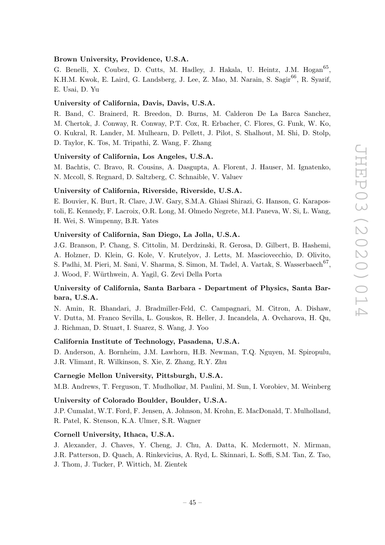# Brown University, Providence, U.S.A.

G. Benelli, X. Coubez, D. Cutts, M. Hadley, J. Hakala, U. Heintz, J.M. Hogan<sup>65</sup>, K.H.M. Kwok, E. Laird, G. Landsberg, J. Lee, Z. Mao, M. Narain, S. Sagir<sup>66</sup>, R. Syarif, E. Usai, D. Yu

# University of California, Davis, Davis, U.S.A.

R. Band, C. Brainerd, R. Breedon, D. Burns, M. Calderon De La Barca Sanchez, M. Chertok, J. Conway, R. Conway, P.T. Cox, R. Erbacher, C. Flores, G. Funk, W. Ko, O. Kukral, R. Lander, M. Mulhearn, D. Pellett, J. Pilot, S. Shalhout, M. Shi, D. Stolp, D. Taylor, K. Tos, M. Tripathi, Z. Wang, F. Zhang

# University of California, Los Angeles, U.S.A.

M. Bachtis, C. Bravo, R. Cousins, A. Dasgupta, A. Florent, J. Hauser, M. Ignatenko, N. Mccoll, S. Regnard, D. Saltzberg, C. Schnaible, V. Valuev

#### University of California, Riverside, Riverside, U.S.A.

E. Bouvier, K. Burt, R. Clare, J.W. Gary, S.M.A. Ghiasi Shirazi, G. Hanson, G. Karapostoli, E. Kennedy, F. Lacroix, O.R. Long, M. Olmedo Negrete, M.I. Paneva, W. Si, L. Wang, H. Wei, S. Wimpenny, B.R. Yates

#### University of California, San Diego, La Jolla, U.S.A.

J.G. Branson, P. Chang, S. Cittolin, M. Derdzinski, R. Gerosa, D. Gilbert, B. Hashemi, A. Holzner, D. Klein, G. Kole, V. Krutelyov, J. Letts, M. Masciovecchio, D. Olivito, S. Padhi, M. Pieri, M. Sani, V. Sharma, S. Simon, M. Tadel, A. Vartak, S. Wasserbaech<sup>67</sup>, J. Wood, F. Würthwein, A. Yagil, G. Zevi Della Porta

# University of California, Santa Barbara - Department of Physics, Santa Barbara, U.S.A.

N. Amin, R. Bhandari, J. Bradmiller-Feld, C. Campagnari, M. Citron, A. Dishaw, V. Dutta, M. Franco Sevilla, L. Gouskos, R. Heller, J. Incandela, A. Ovcharova, H. Qu, J. Richman, D. Stuart, I. Suarez, S. Wang, J. Yoo

#### California Institute of Technology, Pasadena, U.S.A.

D. Anderson, A. Bornheim, J.M. Lawhorn, H.B. Newman, T.Q. Nguyen, M. Spiropulu, J.R. Vlimant, R. Wilkinson, S. Xie, Z. Zhang, R.Y. Zhu

## Carnegie Mellon University, Pittsburgh, U.S.A.

M.B. Andrews, T. Ferguson, T. Mudholkar, M. Paulini, M. Sun, I. Vorobiev, M. Weinberg

# University of Colorado Boulder, Boulder, U.S.A.

J.P. Cumalat, W.T. Ford, F. Jensen, A. Johnson, M. Krohn, E. MacDonald, T. Mulholland, R. Patel, K. Stenson, K.A. Ulmer, S.R. Wagner

# Cornell University, Ithaca, U.S.A.

J. Alexander, J. Chaves, Y. Cheng, J. Chu, A. Datta, K. Mcdermott, N. Mirman, J.R. Patterson, D. Quach, A. Rinkevicius, A. Ryd, L. Skinnari, L. Soffi, S.M. Tan, Z. Tao, J. Thom, J. Tucker, P. Wittich, M. Zientek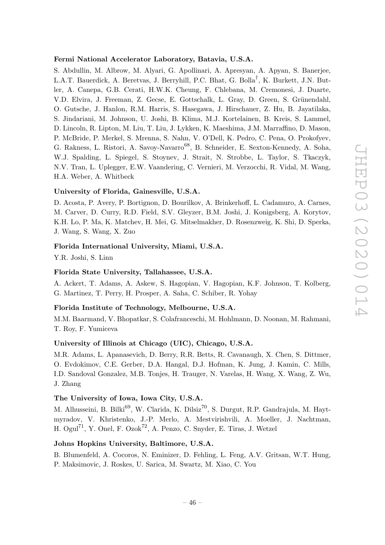## Fermi National Accelerator Laboratory, Batavia, U.S.A.

S. Abdullin, M. Albrow, M. Alyari, G. Apollinari, A. Apresyan, A. Apyan, S. Banerjee, L.A.T. Bauerdick, A. Beretvas, J. Berryhill, P.C. Bhat, G. Bolla<sup>†</sup>, K. Burkett, J.N. Butler, A. Canepa, G.B. Cerati, H.W.K. Cheung, F. Chlebana, M. Cremonesi, J. Duarte, V.D. Elvira, J. Freeman, Z. Gecse, E. Gottschalk, L. Gray, D. Green, S. Grünendahl, O. Gutsche, J. Hanlon, R.M. Harris, S. Hasegawa, J. Hirschauer, Z. Hu, B. Jayatilaka, S. Jindariani, M. Johnson, U. Joshi, B. Klima, M.J. Kortelainen, B. Kreis, S. Lammel, D. Lincoln, R. Lipton, M. Liu, T. Liu, J. Lykken, K. Maeshima, J.M. Marraffino, D. Mason, P. McBride, P. Merkel, S. Mrenna, S. Nahn, V. O'Dell, K. Pedro, C. Pena, O. Prokofyev, G. Rakness, L. Ristori, A. Savoy-Navarro<sup>68</sup>, B. Schneider, E. Sexton-Kennedy, A. Soha, W.J. Spalding, L. Spiegel, S. Stoynev, J. Strait, N. Strobbe, L. Taylor, S. Tkaczyk, N.V. Tran, L. Uplegger, E.W. Vaandering, C. Vernieri, M. Verzocchi, R. Vidal, M. Wang, H.A. Weber, A. Whitbeck

#### University of Florida, Gainesville, U.S.A.

D. Acosta, P. Avery, P. Bortignon, D. Bourilkov, A. Brinkerhoff, L. Cadamuro, A. Carnes, M. Carver, D. Curry, R.D. Field, S.V. Gleyzer, B.M. Joshi, J. Konigsberg, A. Korytov, K.H. Lo, P. Ma, K. Matchev, H. Mei, G. Mitselmakher, D. Rosenzweig, K. Shi, D. Sperka, J. Wang, S. Wang, X. Zuo

#### Florida International University, Miami, U.S.A.

Y.R. Joshi, S. Linn

## Florida State University, Tallahassee, U.S.A.

A. Ackert, T. Adams, A. Askew, S. Hagopian, V. Hagopian, K.F. Johnson, T. Kolberg, G. Martinez, T. Perry, H. Prosper, A. Saha, C. Schiber, R. Yohay

#### Florida Institute of Technology, Melbourne, U.S.A.

M.M. Baarmand, V. Bhopatkar, S. Colafranceschi, M. Hohlmann, D. Noonan, M. Rahmani, T. Roy, F. Yumiceva

# University of Illinois at Chicago (UIC), Chicago, U.S.A.

M.R. Adams, L. Apanasevich, D. Berry, R.R. Betts, R. Cavanaugh, X. Chen, S. Dittmer, O. Evdokimov, C.E. Gerber, D.A. Hangal, D.J. Hofman, K. Jung, J. Kamin, C. Mills, I.D. Sandoval Gonzalez, M.B. Tonjes, H. Trauger, N. Varelas, H. Wang, X. Wang, Z. Wu, J. Zhang

# The University of Iowa, Iowa City, U.S.A.

M. Alhusseini, B. Bilki<sup>69</sup>, W. Clarida, K. Dilsiz<sup>70</sup>, S. Durgut, R.P. Gandrajula, M. Haytmyradov, V. Khristenko, J.-P. Merlo, A. Mestvirishvili, A. Moeller, J. Nachtman, H. Ogul<sup>71</sup>, Y. Onel, F. Ozok<sup>72</sup>, A. Penzo, C. Snyder, E. Tiras, J. Wetzel

# Johns Hopkins University, Baltimore, U.S.A.

B. Blumenfeld, A. Cocoros, N. Eminizer, D. Fehling, L. Feng, A.V. Gritsan, W.T. Hung, P. Maksimovic, J. Roskes, U. Sarica, M. Swartz, M. Xiao, C. You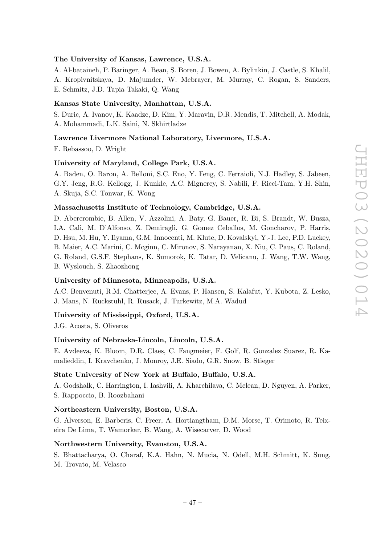# The University of Kansas, Lawrence, U.S.A.

A. Al-bataineh, P. Baringer, A. Bean, S. Boren, J. Bowen, A. Bylinkin, J. Castle, S. Khalil, A. Kropivnitskaya, D. Majumder, W. Mcbrayer, M. Murray, C. Rogan, S. Sanders, E. Schmitz, J.D. Tapia Takaki, Q. Wang

# Kansas State University, Manhattan, U.S.A.

S. Duric, A. Ivanov, K. Kaadze, D. Kim, Y. Maravin, D.R. Mendis, T. Mitchell, A. Modak, A. Mohammadi, L.K. Saini, N. Skhirtladze

# Lawrence Livermore National Laboratory, Livermore, U.S.A.

F. Rebassoo, D. Wright

#### University of Maryland, College Park, U.S.A.

A. Baden, O. Baron, A. Belloni, S.C. Eno, Y. Feng, C. Ferraioli, N.J. Hadley, S. Jabeen, G.Y. Jeng, R.G. Kellogg, J. Kunkle, A.C. Mignerey, S. Nabili, F. Ricci-Tam, Y.H. Shin, A. Skuja, S.C. Tonwar, K. Wong

#### Massachusetts Institute of Technology, Cambridge, U.S.A.

D. Abercrombie, B. Allen, V. Azzolini, A. Baty, G. Bauer, R. Bi, S. Brandt, W. Busza, I.A. Cali, M. D'Alfonso, Z. Demiragli, G. Gomez Ceballos, M. Goncharov, P. Harris, D. Hsu, M. Hu, Y. Iiyama, G.M. Innocenti, M. Klute, D. Kovalskyi, Y.-J. Lee, P.D. Luckey, B. Maier, A.C. Marini, C. Mcginn, C. Mironov, S. Narayanan, X. Niu, C. Paus, C. Roland, G. Roland, G.S.F. Stephans, K. Sumorok, K. Tatar, D. Velicanu, J. Wang, T.W. Wang, B. Wyslouch, S. Zhaozhong

# University of Minnesota, Minneapolis, U.S.A.

A.C. Benvenuti, R.M. Chatterjee, A. Evans, P. Hansen, S. Kalafut, Y. Kubota, Z. Lesko, J. Mans, N. Ruckstuhl, R. Rusack, J. Turkewitz, M.A. Wadud

# University of Mississippi, Oxford, U.S.A.

J.G. Acosta, S. Oliveros

# University of Nebraska-Lincoln, Lincoln, U.S.A.

E. Avdeeva, K. Bloom, D.R. Claes, C. Fangmeier, F. Golf, R. Gonzalez Suarez, R. Kamalieddin, I. Kravchenko, J. Monroy, J.E. Siado, G.R. Snow, B. Stieger

# State University of New York at Buffalo, Buffalo, U.S.A.

A. Godshalk, C. Harrington, I. Iashvili, A. Kharchilava, C. Mclean, D. Nguyen, A. Parker, S. Rappoccio, B. Roozbahani

# Northeastern University, Boston, U.S.A.

G. Alverson, E. Barberis, C. Freer, A. Hortiangtham, D.M. Morse, T. Orimoto, R. Teixeira De Lima, T. Wamorkar, B. Wang, A. Wisecarver, D. Wood

#### Northwestern University, Evanston, U.S.A.

S. Bhattacharya, O. Charaf, K.A. Hahn, N. Mucia, N. Odell, M.H. Schmitt, K. Sung, M. Trovato, M. Velasco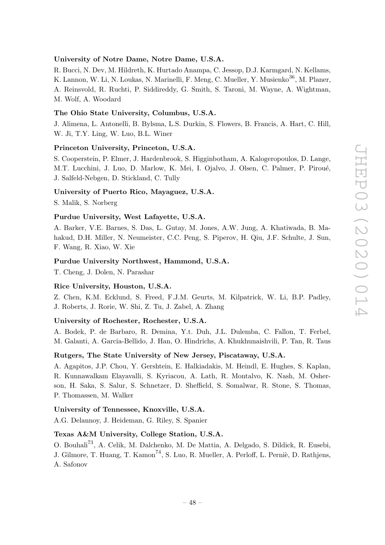# University of Notre Dame, Notre Dame, U.S.A.

R. Bucci, N. Dev, M. Hildreth, K. Hurtado Anampa, C. Jessop, D.J. Karmgard, N. Kellams, K. Lannon, W. Li, N. Loukas, N. Marinelli, F. Meng, C. Mueller, Y. Musienko<sup>36</sup>, M. Planer, A. Reinsvold, R. Ruchti, P. Siddireddy, G. Smith, S. Taroni, M. Wayne, A. Wightman, M. Wolf, A. Woodard

## The Ohio State University, Columbus, U.S.A.

J. Alimena, L. Antonelli, B. Bylsma, L.S. Durkin, S. Flowers, B. Francis, A. Hart, C. Hill, W. Ji, T.Y. Ling, W. Luo, B.L. Winer

## Princeton University, Princeton, U.S.A.

S. Cooperstein, P. Elmer, J. Hardenbrook, S. Higginbotham, A. Kalogeropoulos, D. Lange, M.T. Lucchini, J. Luo, D. Marlow, K. Mei, I. Ojalvo, J. Olsen, C. Palmer, P. Piroué, J. Salfeld-Nebgen, D. Stickland, C. Tully

#### University of Puerto Rico, Mayaguez, U.S.A.

S. Malik, S. Norberg

## Purdue University, West Lafayette, U.S.A.

A. Barker, V.E. Barnes, S. Das, L. Gutay, M. Jones, A.W. Jung, A. Khatiwada, B. Mahakud, D.H. Miller, N. Neumeister, C.C. Peng, S. Piperov, H. Qiu, J.F. Schulte, J. Sun, F. Wang, R. Xiao, W. Xie

#### Purdue University Northwest, Hammond, U.S.A.

T. Cheng, J. Dolen, N. Parashar

#### Rice University, Houston, U.S.A.

Z. Chen, K.M. Ecklund, S. Freed, F.J.M. Geurts, M. Kilpatrick, W. Li, B.P. Padley, J. Roberts, J. Rorie, W. Shi, Z. Tu, J. Zabel, A. Zhang

#### University of Rochester, Rochester, U.S.A.

A. Bodek, P. de Barbaro, R. Demina, Y.t. Duh, J.L. Dulemba, C. Fallon, T. Ferbel, M. Galanti, A. Garcia-Bellido, J. Han, O. Hindrichs, A. Khukhunaishvili, P. Tan, R. Taus

#### Rutgers, The State University of New Jersey, Piscataway, U.S.A.

A. Agapitos, J.P. Chou, Y. Gershtein, E. Halkiadakis, M. Heindl, E. Hughes, S. Kaplan, R. Kunnawalkam Elayavalli, S. Kyriacou, A. Lath, R. Montalvo, K. Nash, M. Osherson, H. Saka, S. Salur, S. Schnetzer, D. Sheffield, S. Somalwar, R. Stone, S. Thomas, P. Thomassen, M. Walker

## University of Tennessee, Knoxville, U.S.A.

A.G. Delannoy, J. Heideman, G. Riley, S. Spanier

# Texas A&M University, College Station, U.S.A.

O. Bouhali73, A. Celik, M. Dalchenko, M. De Mattia, A. Delgado, S. Dildick, R. Eusebi, J. Gilmore, T. Huang, T. Kamon<sup>74</sup>, S. Luo, R. Mueller, A. Perloff, L. Perniè, D. Rathjens, A. Safonov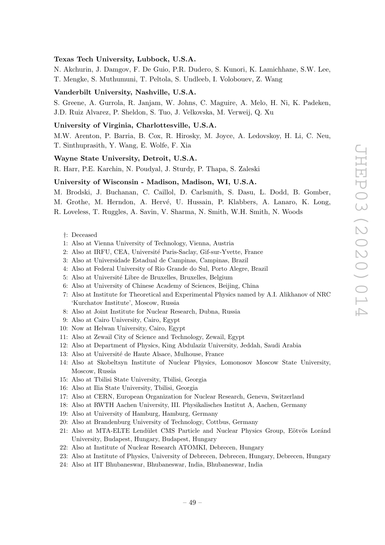#### Texas Tech University, Lubbock, U.S.A.

N. Akchurin, J. Damgov, F. De Guio, P.R. Dudero, S. Kunori, K. Lamichhane, S.W. Lee, T. Mengke, S. Muthumuni, T. Peltola, S. Undleeb, I. Volobouev, Z. Wang

#### Vanderbilt University, Nashville, U.S.A.

S. Greene, A. Gurrola, R. Janjam, W. Johns, C. Maguire, A. Melo, H. Ni, K. Padeken, J.D. Ruiz Alvarez, P. Sheldon, S. Tuo, J. Velkovska, M. Verweij, Q. Xu

## University of Virginia, Charlottesville, U.S.A.

M.W. Arenton, P. Barria, B. Cox, R. Hirosky, M. Joyce, A. Ledovskoy, H. Li, C. Neu, T. Sinthuprasith, Y. Wang, E. Wolfe, F. Xia

#### Wayne State University, Detroit, U.S.A.

R. Harr, P.E. Karchin, N. Poudyal, J. Sturdy, P. Thapa, S. Zaleski

## University of Wisconsin - Madison, Madison, WI, U.S.A.

M. Brodski, J. Buchanan, C. Caillol, D. Carlsmith, S. Dasu, L. Dodd, B. Gomber, M. Grothe, M. Herndon, A. Hervé, U. Hussain, P. Klabbers, A. Lanaro, K. Long,

R. Loveless, T. Ruggles, A. Savin, V. Sharma, N. Smith, W.H. Smith, N. Woods

- †: Deceased
- 1: Also at Vienna University of Technology, Vienna, Austria
- 2: Also at IRFU, CEA, Université Paris-Saclay, Gif-sur-Yvette, France
- 3: Also at Universidade Estadual de Campinas, Campinas, Brazil
- 4: Also at Federal University of Rio Grande do Sul, Porto Alegre, Brazil
- 5: Also at Université Libre de Bruxelles, Bruxelles, Belgium
- 6: Also at University of Chinese Academy of Sciences, Beijing, China
- 7: Also at Institute for Theoretical and Experimental Physics named by A.I. Alikhanov of NRC 'Kurchatov Institute', Moscow, Russia
- 8: Also at Joint Institute for Nuclear Research, Dubna, Russia
- 9: Also at Cairo University, Cairo, Egypt
- 10: Now at Helwan University, Cairo, Egypt
- 11: Also at Zewail City of Science and Technology, Zewail, Egypt
- 12: Also at Department of Physics, King Abdulaziz University, Jeddah, Saudi Arabia
- 13: Also at Université de Haute Alsace, Mulhouse, France
- 14: Also at Skobeltsyn Institute of Nuclear Physics, Lomonosov Moscow State University, Moscow, Russia
- 15: Also at Tbilisi State University, Tbilisi, Georgia
- 16: Also at Ilia State University, Tbilisi, Georgia
- 17: Also at CERN, European Organization for Nuclear Research, Geneva, Switzerland
- 18: Also at RWTH Aachen University, III. Physikalisches Institut A, Aachen, Germany
- 19: Also at University of Hamburg, Hamburg, Germany
- 20: Also at Brandenburg University of Technology, Cottbus, Germany
- 21: Also at MTA-ELTE Lendület CMS Particle and Nuclear Physics Group, Eötvös Loránd University, Budapest, Hungary, Budapest, Hungary
- 22: Also at Institute of Nuclear Research ATOMKI, Debrecen, Hungary
- 23: Also at Institute of Physics, University of Debrecen, Debrecen, Hungary, Debrecen, Hungary
- 24: Also at IIT Bhubaneswar, Bhubaneswar, India, Bhubaneswar, India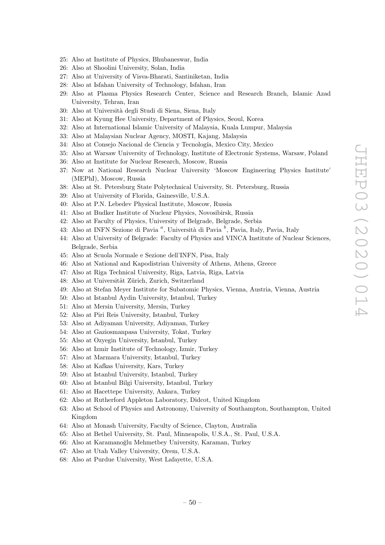- 25: Also at Institute of Physics, Bhubaneswar, India
- 26: Also at Shoolini University, Solan, India
- 27: Also at University of Visva-Bharati, Santiniketan, India
- 28: Also at Isfahan University of Technology, Isfahan, Iran
- 29: Also at Plasma Physics Research Center, Science and Research Branch, Islamic Azad University, Tehran, Iran
- 30: Also at Universit`a degli Studi di Siena, Siena, Italy
- 31: Also at Kyung Hee University, Department of Physics, Seoul, Korea
- 32: Also at International Islamic University of Malaysia, Kuala Lumpur, Malaysia
- 33: Also at Malaysian Nuclear Agency, MOSTI, Kajang, Malaysia
- 34: Also at Consejo Nacional de Ciencia y Tecnología, Mexico City, Mexico
- 35: Also at Warsaw University of Technology, Institute of Electronic Systems, Warsaw, Poland
- 36: Also at Institute for Nuclear Research, Moscow, Russia
- 37: Now at National Research Nuclear University 'Moscow Engineering Physics Institute' (MEPhI), Moscow, Russia
- 38: Also at St. Petersburg State Polytechnical University, St. Petersburg, Russia
- 39: Also at University of Florida, Gainesville, U.S.A.
- 40: Also at P.N. Lebedev Physical Institute, Moscow, Russia
- 41: Also at Budker Institute of Nuclear Physics, Novosibirsk, Russia
- 42: Also at Faculty of Physics, University of Belgrade, Belgrade, Serbia
- 43: Also at INFN Sezione di Pavia<sup>a</sup>, Università di Pavia <sup>b</sup>, Pavia, Italy, Pavia, Italy
- 44: Also at University of Belgrade: Faculty of Physics and VINCA Institute of Nuclear Sciences, Belgrade, Serbia
- 45: Also at Scuola Normale e Sezione dell'INFN, Pisa, Italy
- 46: Also at National and Kapodistrian University of Athens, Athens, Greece
- 47: Also at Riga Technical University, Riga, Latvia, Riga, Latvia
- 48: Also at Universität Zürich, Zurich, Switzerland
- 49: Also at Stefan Meyer Institute for Subatomic Physics, Vienna, Austria, Vienna, Austria
- 50: Also at Istanbul Aydin University, Istanbul, Turkey
- 51: Also at Mersin University, Mersin, Turkey
- 52: Also at Piri Reis University, Istanbul, Turkey
- 53: Also at Adiyaman University, Adiyaman, Turkey
- 54: Also at Gaziosmanpasa University, Tokat, Turkey
- 55: Also at Ozyegin University, Istanbul, Turkey
- 56: Also at Izmir Institute of Technology, Izmir, Turkey
- 57: Also at Marmara University, Istanbul, Turkey
- 58: Also at Kafkas University, Kars, Turkey
- 59: Also at Istanbul University, Istanbul, Turkey
- 60: Also at Istanbul Bilgi University, Istanbul, Turkey
- 61: Also at Hacettepe University, Ankara, Turkey
- 62: Also at Rutherford Appleton Laboratory, Didcot, United Kingdom
- 63: Also at School of Physics and Astronomy, University of Southampton, Southampton, United Kingdom
- 64: Also at Monash University, Faculty of Science, Clayton, Australia
- 65: Also at Bethel University, St. Paul, Minneapolis, U.S.A., St. Paul, U.S.A.
- 66: Also at Karamanoğlu Mehmetbey University, Karaman, Turkey
- 67: Also at Utah Valley University, Orem, U.S.A.
- 68: Also at Purdue University, West Lafayette, U.S.A.